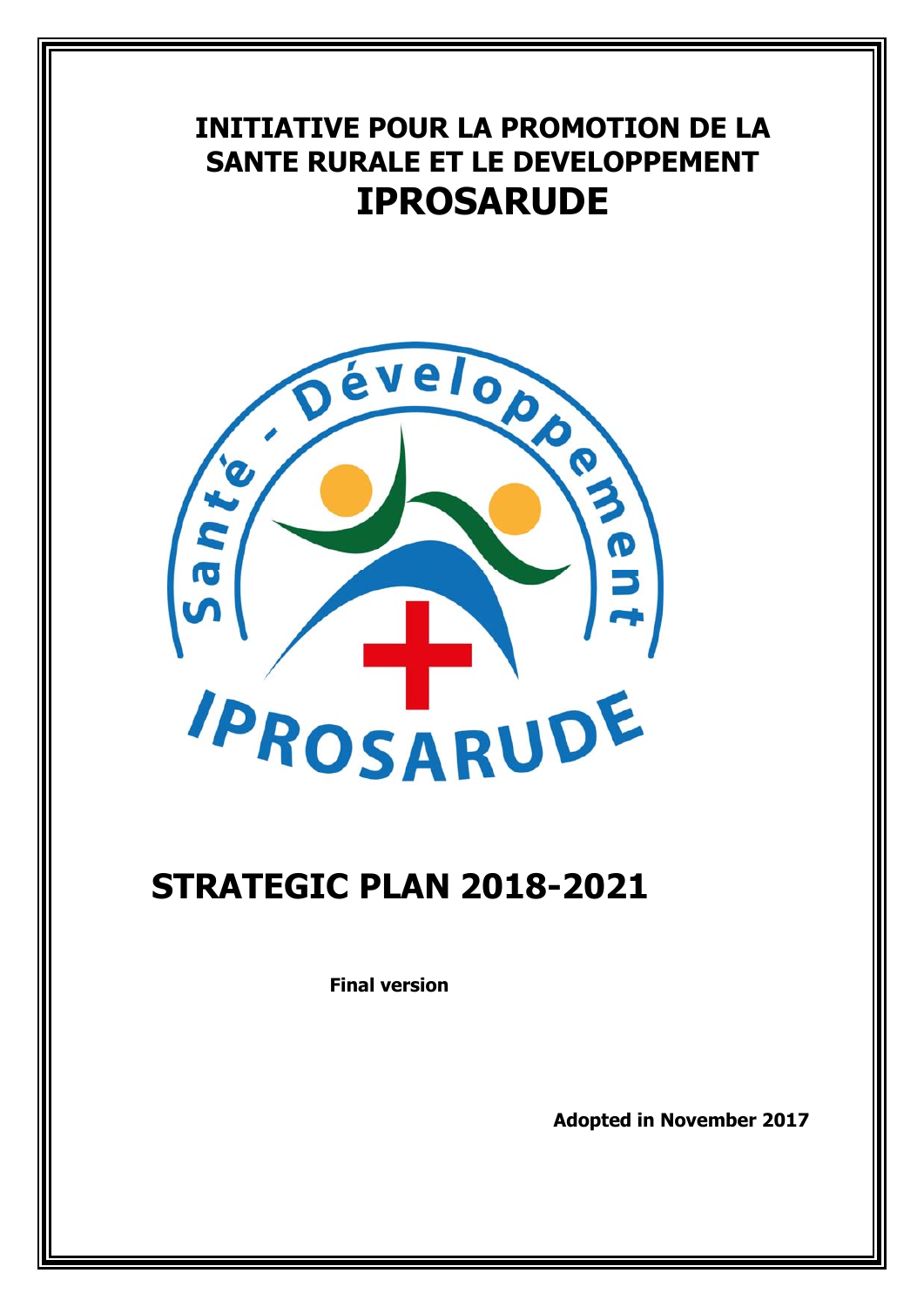# **INITIATIVE POUR LA PROMOTION DE LA SANTE RURALE ET LE DEVELOPPEMENT IPROSARUDE**



# **STRATEGIC PLAN 2018-2021**

**Final version** 

**Adopted in November 2017**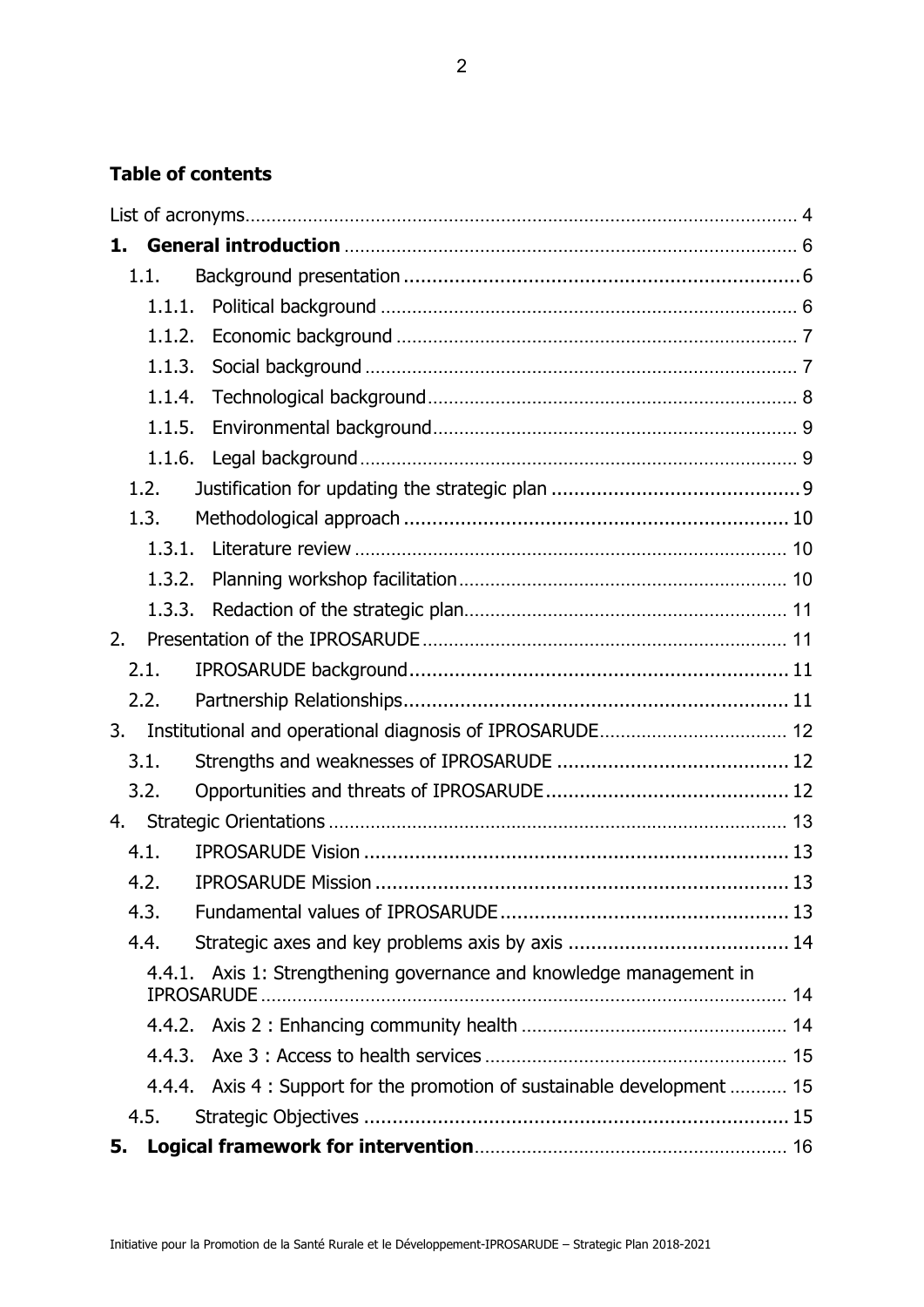## **Table of contents**

| 1. |          |                                                                          |  |
|----|----------|--------------------------------------------------------------------------|--|
|    | 1.1.     |                                                                          |  |
|    | 1.1.1.   |                                                                          |  |
|    | 1.1.2.   |                                                                          |  |
|    | 1.1.3.   |                                                                          |  |
|    | 1.1.4.   |                                                                          |  |
|    | 1.1.5.   |                                                                          |  |
|    |          |                                                                          |  |
|    | 1.2.     |                                                                          |  |
|    | 1.3.     |                                                                          |  |
|    | 1.3.1.   |                                                                          |  |
|    | 1.3.2.   |                                                                          |  |
|    | 1, 3, 3, |                                                                          |  |
| 2. |          |                                                                          |  |
|    | 2.1.     |                                                                          |  |
|    | 2.2.     |                                                                          |  |
| 3. |          |                                                                          |  |
|    | 3.1.     |                                                                          |  |
|    | 3.2.     |                                                                          |  |
| 4. |          |                                                                          |  |
|    | 4.1.     |                                                                          |  |
|    | 4.2.     |                                                                          |  |
|    | 4.3.     |                                                                          |  |
|    | 4.4.     |                                                                          |  |
|    | 4.4.1.   | Axis 1: Strengthening governance and knowledge management in             |  |
|    |          |                                                                          |  |
|    | 4.4.3.   |                                                                          |  |
|    |          | 4.4.4. Axis 4 : Support for the promotion of sustainable development  15 |  |
|    | 4.5.     |                                                                          |  |
| 5. |          |                                                                          |  |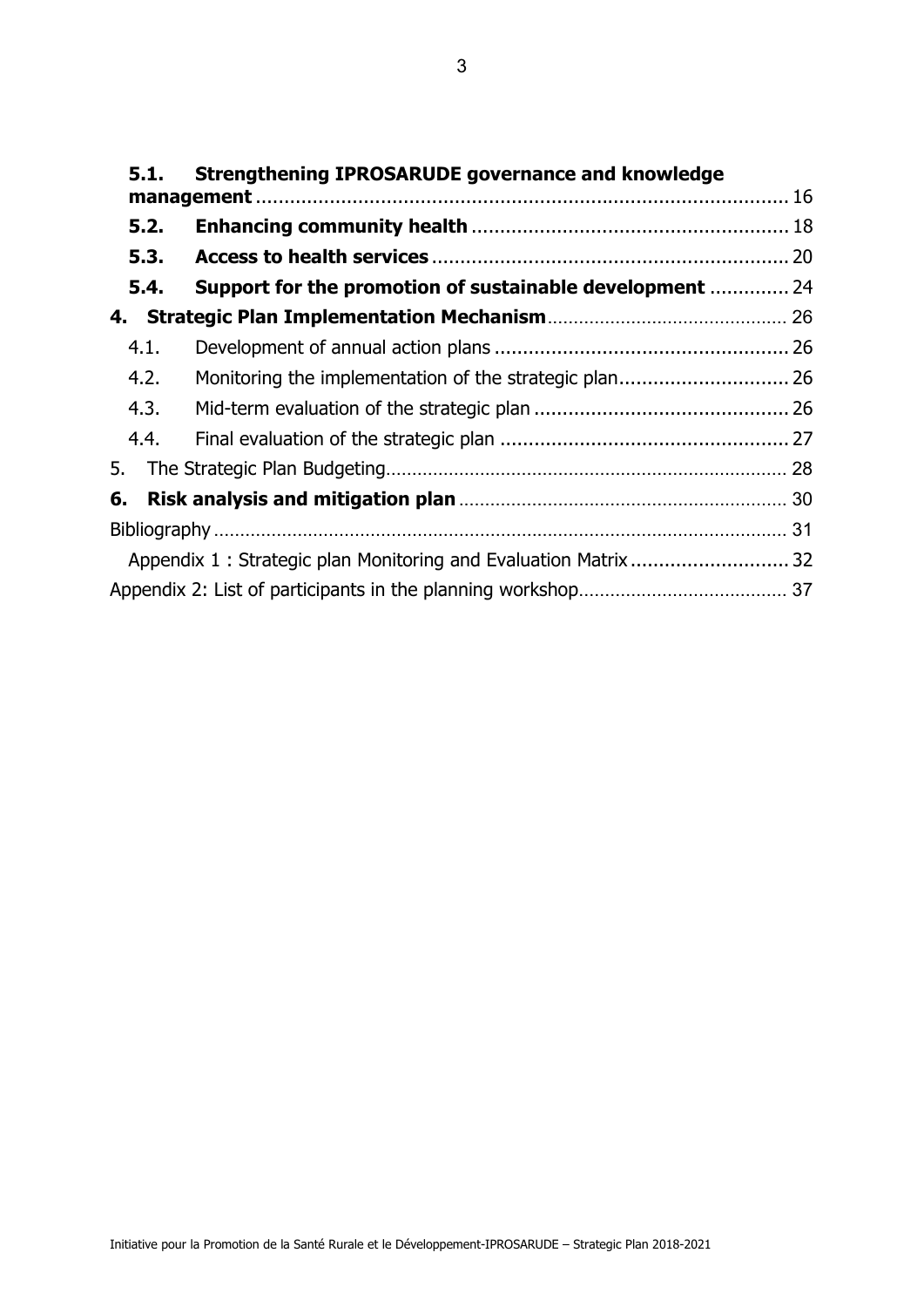| 5.1. | <b>Strengthening IPROSARUDE governance and knowledge</b>        |  |
|------|-----------------------------------------------------------------|--|
|      |                                                                 |  |
| 5.2. |                                                                 |  |
| 5.3. |                                                                 |  |
| 5.4. | <b>Support for the promotion of sustainable development  24</b> |  |
|      |                                                                 |  |
| 4.1. |                                                                 |  |
| 4.2. |                                                                 |  |
| 4.3. |                                                                 |  |
| 4.4. |                                                                 |  |
| 5.   |                                                                 |  |
| 6.   |                                                                 |  |
|      |                                                                 |  |
|      | Appendix 1: Strategic plan Monitoring and Evaluation Matrix  32 |  |
|      |                                                                 |  |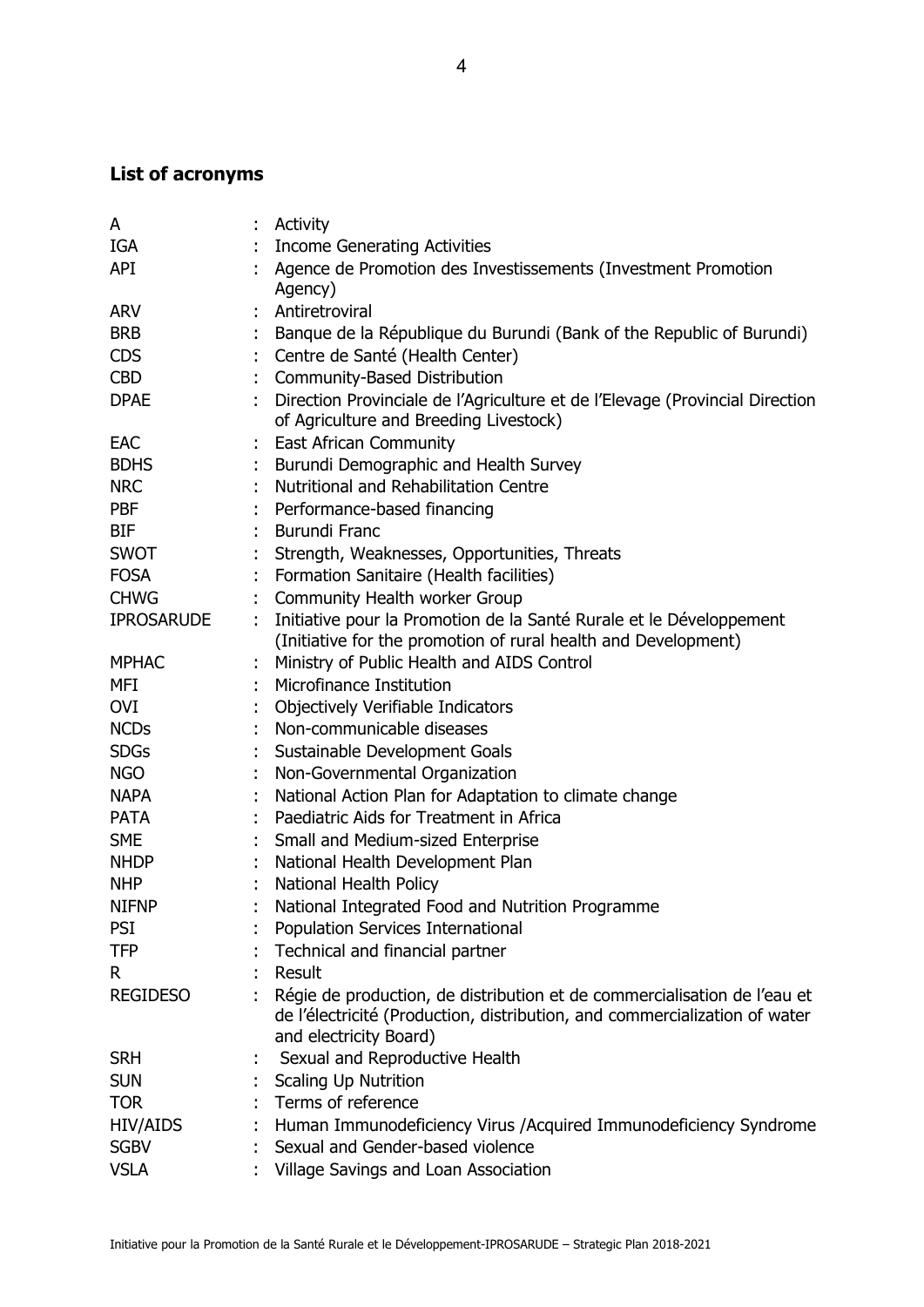## **List of acronyms**

| A                 |   | Activity                                                                                                                                                                         |
|-------------------|---|----------------------------------------------------------------------------------------------------------------------------------------------------------------------------------|
| IGA               |   | <b>Income Generating Activities</b>                                                                                                                                              |
| API               |   | Agence de Promotion des Investissements (Investment Promotion                                                                                                                    |
|                   |   | Agency)                                                                                                                                                                          |
| <b>ARV</b>        |   | Antiretroviral                                                                                                                                                                   |
| <b>BRB</b>        |   | Banque de la République du Burundi (Bank of the Republic of Burundi)                                                                                                             |
| <b>CDS</b>        |   | Centre de Santé (Health Center)                                                                                                                                                  |
| <b>CBD</b>        |   | Community-Based Distribution                                                                                                                                                     |
| <b>DPAE</b>       |   | Direction Provinciale de l'Agriculture et de l'Elevage (Provincial Direction<br>of Agriculture and Breeding Livestock)                                                           |
| <b>EAC</b>        |   | <b>East African Community</b>                                                                                                                                                    |
| <b>BDHS</b>       |   | Burundi Demographic and Health Survey                                                                                                                                            |
| <b>NRC</b>        |   | Nutritional and Rehabilitation Centre                                                                                                                                            |
| <b>PBF</b>        |   | Performance-based financing                                                                                                                                                      |
| <b>BIF</b>        |   | <b>Burundi Franc</b>                                                                                                                                                             |
| <b>SWOT</b>       |   | Strength, Weaknesses, Opportunities, Threats                                                                                                                                     |
| <b>FOSA</b>       |   | Formation Sanitaire (Health facilities)                                                                                                                                          |
| <b>CHWG</b>       |   | Community Health worker Group                                                                                                                                                    |
| <b>IPROSARUDE</b> | ÷ | Initiative pour la Promotion de la Santé Rurale et le Développement<br>(Initiative for the promotion of rural health and Development)                                            |
| <b>MPHAC</b>      |   | Ministry of Public Health and AIDS Control                                                                                                                                       |
| MFI               |   | Microfinance Institution                                                                                                                                                         |
| OVI               |   | Objectively Verifiable Indicators                                                                                                                                                |
| <b>NCDs</b>       |   | Non-communicable diseases                                                                                                                                                        |
| <b>SDGs</b>       |   | Sustainable Development Goals                                                                                                                                                    |
| <b>NGO</b>        |   | Non-Governmental Organization                                                                                                                                                    |
| <b>NAPA</b>       |   | National Action Plan for Adaptation to climate change                                                                                                                            |
| <b>PATA</b>       |   | Paediatric Aids for Treatment in Africa                                                                                                                                          |
| <b>SME</b>        |   | Small and Medium-sized Enterprise                                                                                                                                                |
| <b>NHDP</b>       |   | National Health Development Plan                                                                                                                                                 |
| <b>NHP</b>        |   | National Health Policy                                                                                                                                                           |
| <b>NIFNP</b>      |   | National Integrated Food and Nutrition Programme                                                                                                                                 |
| <b>PSI</b>        |   | Population Services International                                                                                                                                                |
| <b>TFP</b>        |   | Technical and financial partner                                                                                                                                                  |
| R.                |   | Result                                                                                                                                                                           |
| <b>REGIDESO</b>   |   | Régie de production, de distribution et de commercialisation de l'eau et<br>de l'électricité (Production, distribution, and commercialization of water<br>and electricity Board) |
| <b>SRH</b>        |   | Sexual and Reproductive Health                                                                                                                                                   |
| <b>SUN</b>        |   | <b>Scaling Up Nutrition</b>                                                                                                                                                      |
| <b>TOR</b>        |   | Terms of reference                                                                                                                                                               |
| <b>HIV/AIDS</b>   |   | Human Immunodeficiency Virus / Acquired Immunodeficiency Syndrome                                                                                                                |
| <b>SGBV</b>       |   | Sexual and Gender-based violence                                                                                                                                                 |
| <b>VSLA</b>       |   | Village Savings and Loan Association                                                                                                                                             |
|                   |   |                                                                                                                                                                                  |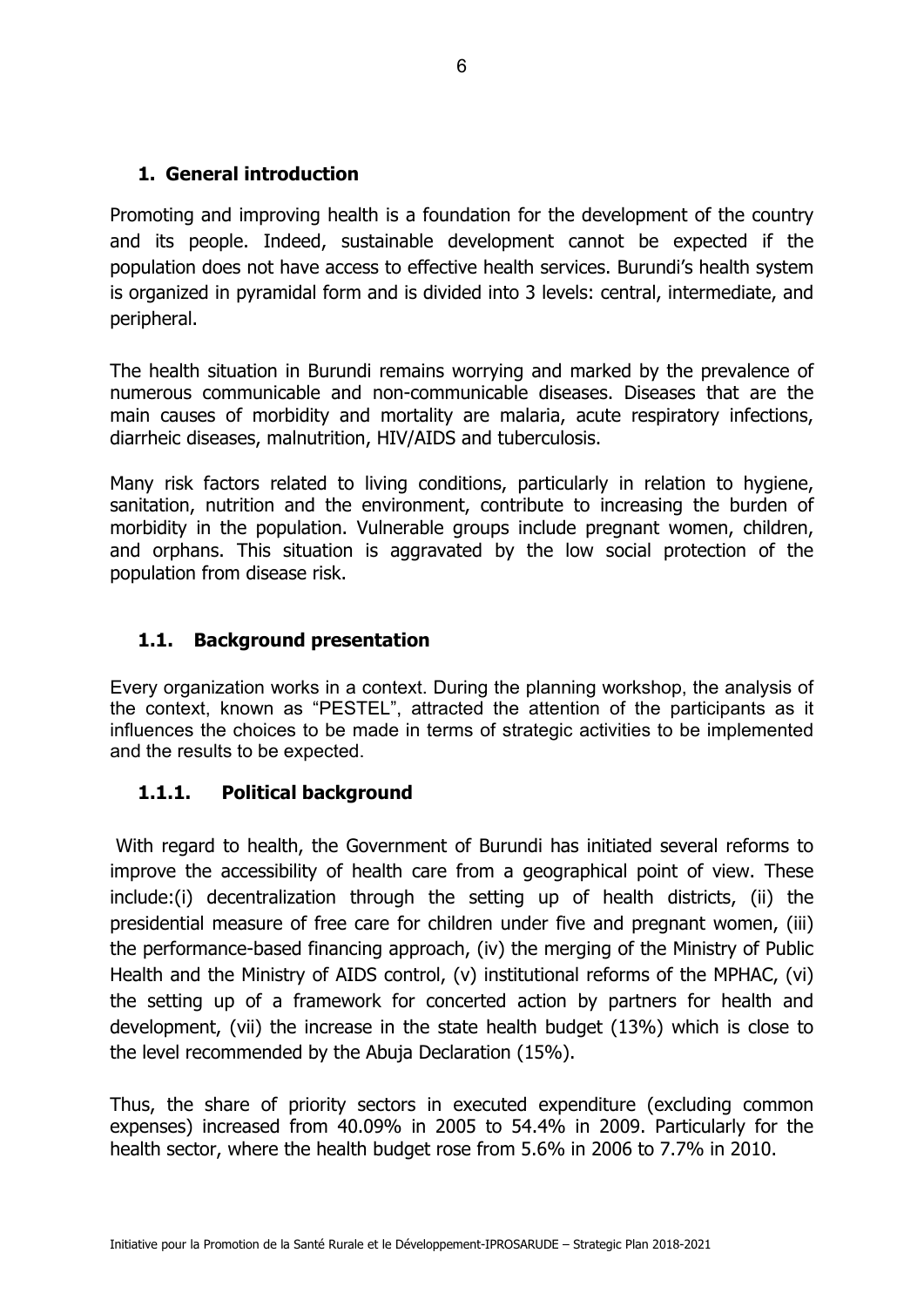#### **1. General introduction**

Promoting and improving health is a foundation for the development of the country and its people. Indeed, sustainable development cannot be expected if the population does not have access to effective health services. Burundi's health system is organized in pyramidal form and is divided into 3 levels: central, intermediate, and peripheral.

The health situation in Burundi remains worrying and marked by the prevalence of numerous communicable and non-communicable diseases. Diseases that are the main causes of morbidity and mortality are malaria, acute respiratory infections, diarrheic diseases, malnutrition, HIV/AIDS and tuberculosis.

Many risk factors related to living conditions, particularly in relation to hygiene, sanitation, nutrition and the environment, contribute to increasing the burden of morbidity in the population. Vulnerable groups include pregnant women, children, and orphans. This situation is aggravated by the low social protection of the population from disease risk.

## **1.1. Background presentation**

Every organization works in a context. During the planning workshop, the analysis of the context, known as "PESTEL", attracted the attention of the participants as it influences the choices to be made in terms of strategic activities to be implemented and the results to be expected.

#### **1.1.1. Political background**

 With regard to health, the Government of Burundi has initiated several reforms to improve the accessibility of health care from a geographical point of view. These include:(i) decentralization through the setting up of health districts, (ii) the presidential measure of free care for children under five and pregnant women, (iii) the performance-based financing approach, (iv) the merging of the Ministry of Public Health and the Ministry of AIDS control, (v) institutional reforms of the MPHAC, (vi) the setting up of a framework for concerted action by partners for health and development, (vii) the increase in the state health budget (13%) which is close to the level recommended by the Abuja Declaration (15%).

Thus, the share of priority sectors in executed expenditure (excluding common expenses) increased from 40.09% in 2005 to 54.4% in 2009. Particularly for the health sector, where the health budget rose from 5.6% in 2006 to 7.7% in 2010.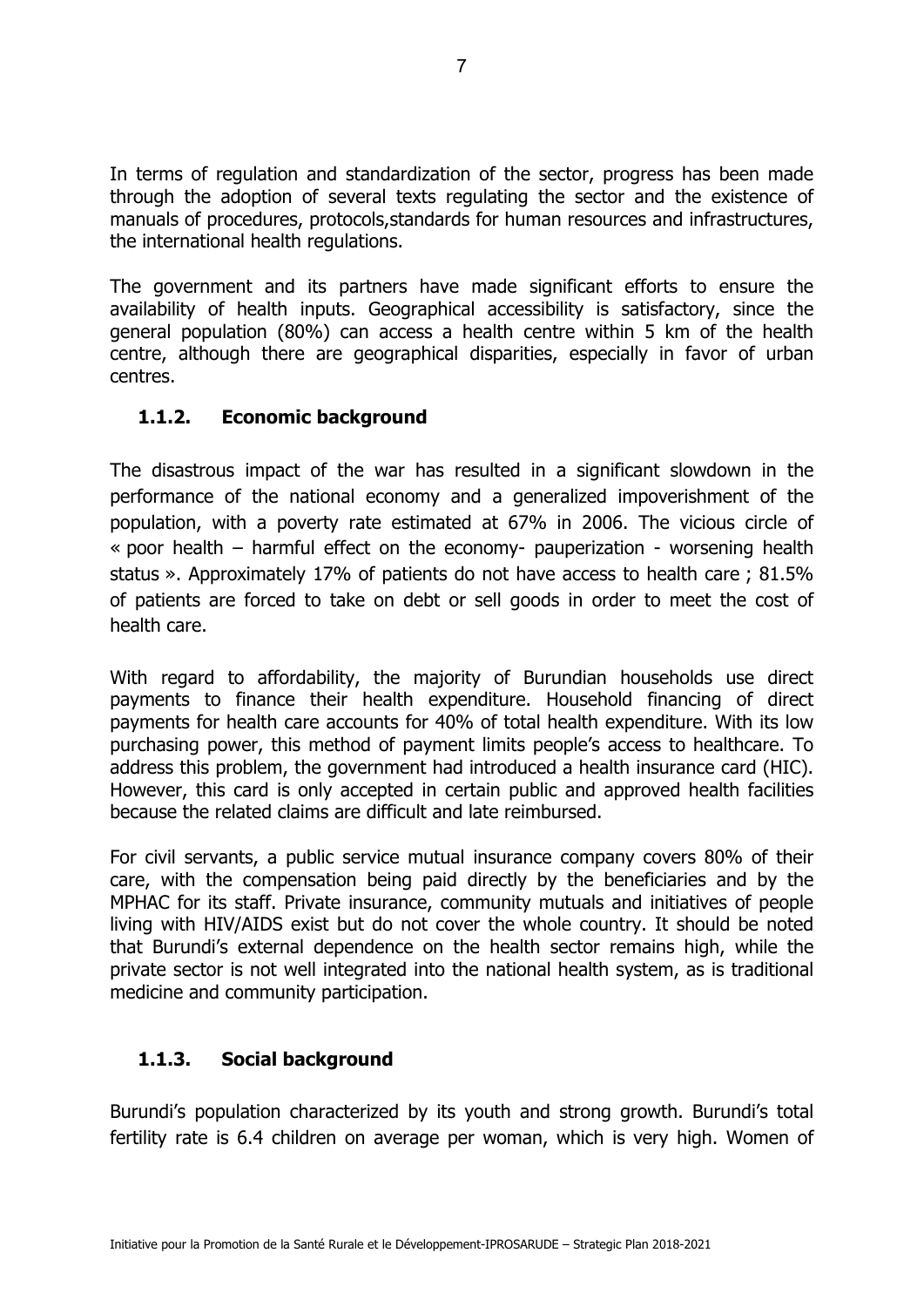In terms of regulation and standardization of the sector, progress has been made through the adoption of several texts regulating the sector and the existence of manuals of procedures, protocols,standards for human resources and infrastructures, the international health regulations.

The government and its partners have made significant efforts to ensure the availability of health inputs. Geographical accessibility is satisfactory, since the general population (80%) can access a health centre within 5 km of the health centre, although there are geographical disparities, especially in favor of urban centres.

## **1.1.2. Economic background**

The disastrous impact of the war has resulted in a significant slowdown in the performance of the national economy and a generalized impoverishment of the population, with a poverty rate estimated at 67% in 2006. The vicious circle of « poor health – harmful effect on the economy- pauperization - worsening health status ». Approximately 17% of patients do not have access to health care ; 81.5% of patients are forced to take on debt or sell goods in order to meet the cost of health care.

With regard to affordability, the majority of Burundian households use direct payments to finance their health expenditure. Household financing of direct payments for health care accounts for 40% of total health expenditure. With its low purchasing power, this method of payment limits people's access to healthcare. To address this problem, the government had introduced a health insurance card (HIC). However, this card is only accepted in certain public and approved health facilities because the related claims are difficult and late reimbursed.

For civil servants, a public service mutual insurance company covers 80% of their care, with the compensation being paid directly by the beneficiaries and by the MPHAC for its staff. Private insurance, community mutuals and initiatives of people living with HIV/AIDS exist but do not cover the whole country. It should be noted that Burundi's external dependence on the health sector remains high, while the private sector is not well integrated into the national health system, as is traditional medicine and community participation.

## **1.1.3. Social background**

Burundi's population characterized by its youth and strong growth. Burundi's total fertility rate is 6.4 children on average per woman, which is very high. Women of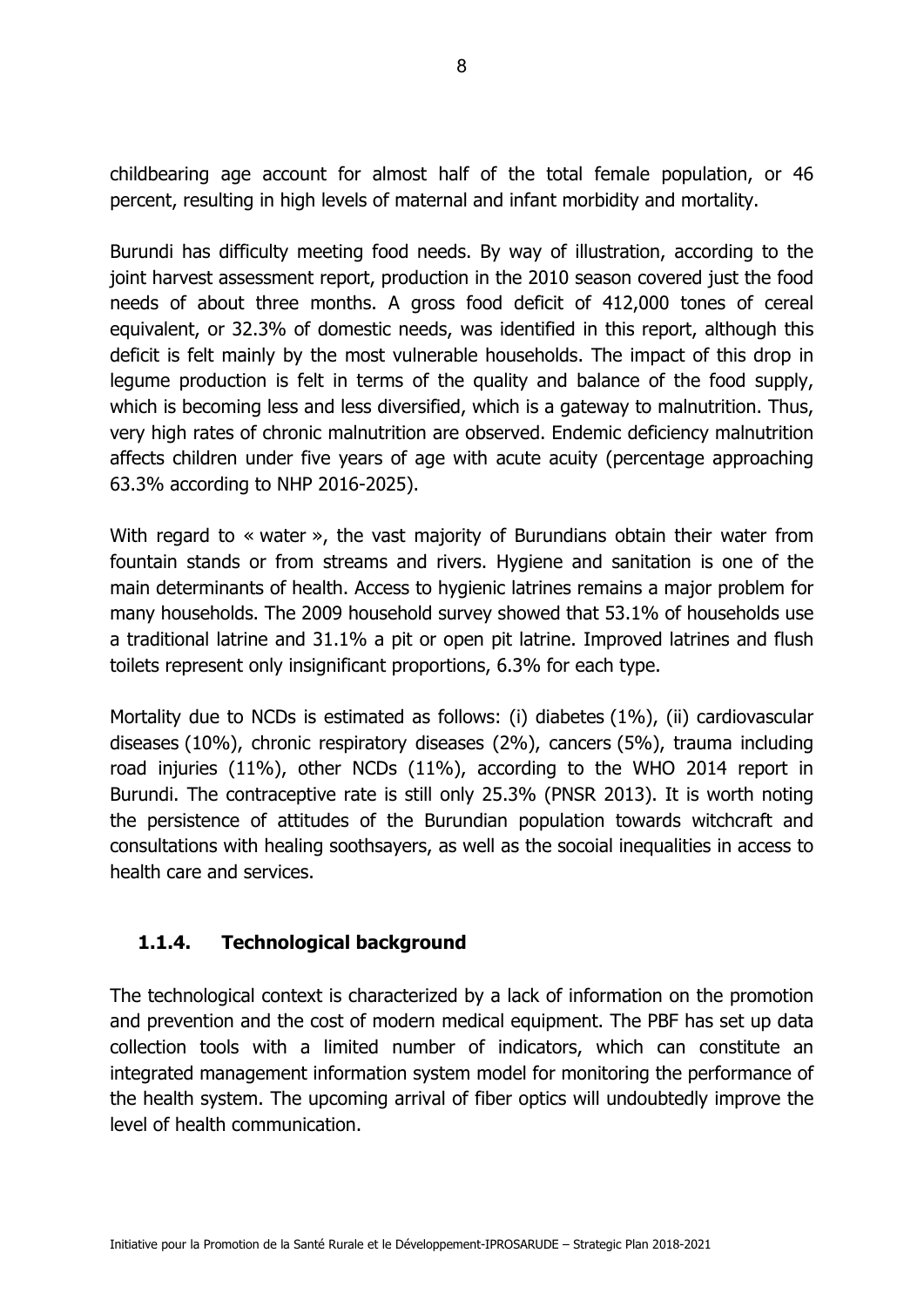childbearing age account for almost half of the total female population, or 46 percent, resulting in high levels of maternal and infant morbidity and mortality.

Burundi has difficulty meeting food needs. By way of illustration, according to the joint harvest assessment report, production in the 2010 season covered just the food needs of about three months. A gross food deficit of 412,000 tones of cereal equivalent, or 32.3% of domestic needs, was identified in this report, although this deficit is felt mainly by the most vulnerable households. The impact of this drop in legume production is felt in terms of the quality and balance of the food supply, which is becoming less and less diversified, which is a gateway to malnutrition. Thus, very high rates of chronic malnutrition are observed. Endemic deficiency malnutrition affects children under five years of age with acute acuity (percentage approaching 63.3% according to NHP 2016-2025).

With regard to « water », the vast majority of Burundians obtain their water from fountain stands or from streams and rivers. Hygiene and sanitation is one of the main determinants of health. Access to hygienic latrines remains a major problem for many households. The 2009 household survey showed that 53.1% of households use a traditional latrine and 31.1% a pit or open pit latrine. Improved latrines and flush toilets represent only insignificant proportions, 6.3% for each type.

Mortality due to NCDs is estimated as follows: (i) diabetes (1%), (ii) cardiovascular diseases (10%), chronic respiratory diseases (2%), cancers (5%), trauma including road injuries (11%), other NCDs (11%), according to the WHO 2014 report in Burundi. The contraceptive rate is still only 25.3% (PNSR 2013). It is worth noting the persistence of attitudes of the Burundian population towards witchcraft and consultations with healing soothsayers, as well as the socoial inequalities in access to health care and services.

## **1.1.4. Technological background**

The technological context is characterized by a lack of information on the promotion and prevention and the cost of modern medical equipment. The PBF has set up data collection tools with a limited number of indicators, which can constitute an integrated management information system model for monitoring the performance of the health system. The upcoming arrival of fiber optics will undoubtedly improve the level of health communication.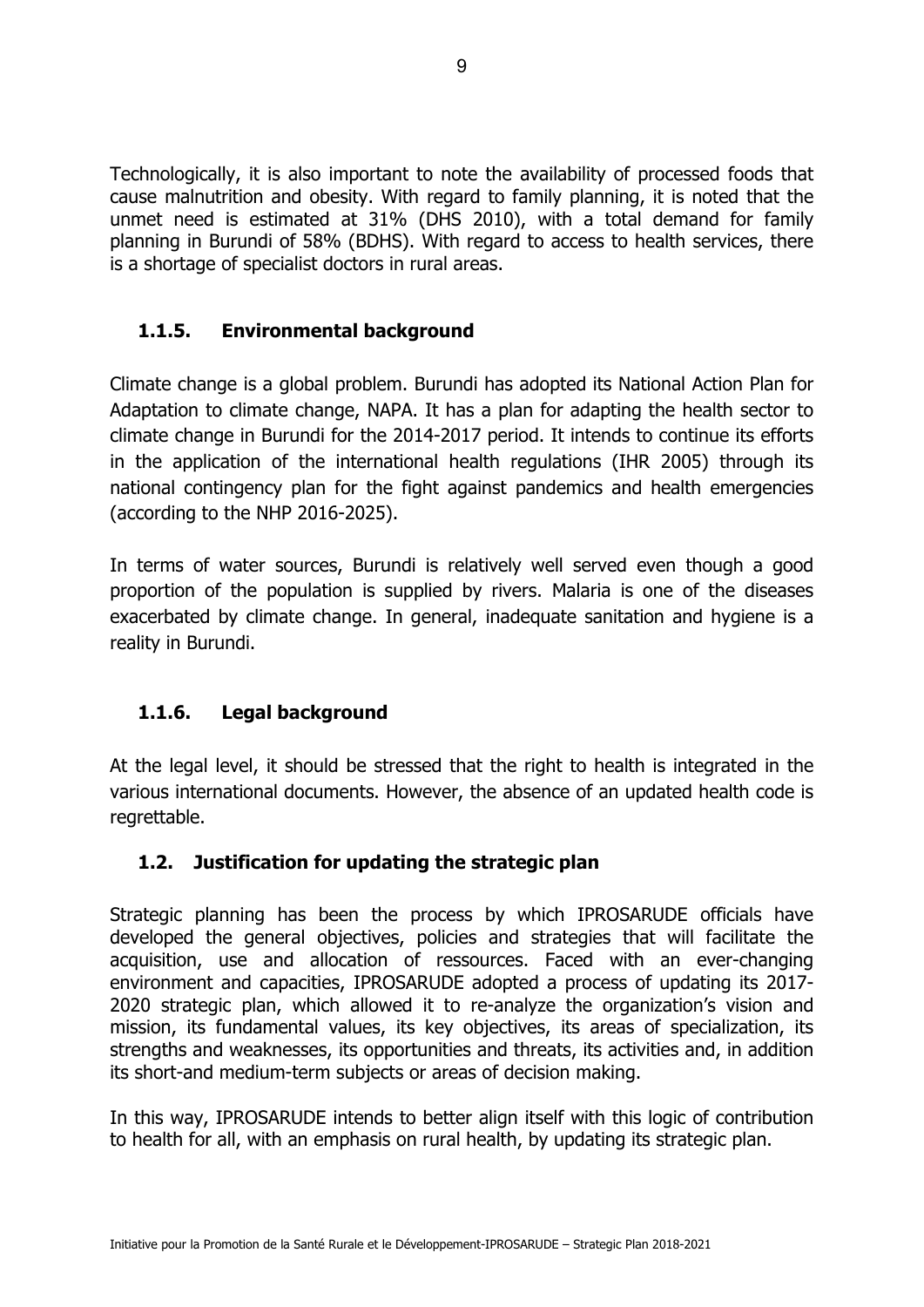Technologically, it is also important to note the availability of processed foods that cause malnutrition and obesity. With regard to family planning, it is noted that the unmet need is estimated at 31% (DHS 2010), with a total demand for family planning in Burundi of 58% (BDHS). With regard to access to health services, there is a shortage of specialist doctors in rural areas.

## **1.1.5. Environmental background**

Climate change is a global problem. Burundi has adopted its National Action Plan for Adaptation to climate change, NAPA. It has a plan for adapting the health sector to climate change in Burundi for the 2014-2017 period. It intends to continue its efforts in the application of the international health regulations (IHR 2005) through its national contingency plan for the fight against pandemics and health emergencies (according to the NHP 2016-2025).

In terms of water sources, Burundi is relatively well served even though a good proportion of the population is supplied by rivers. Malaria is one of the diseases exacerbated by climate change. In general, inadequate sanitation and hygiene is a reality in Burundi.

## **1.1.6. Legal background**

At the legal level, it should be stressed that the right to health is integrated in the various international documents. However, the absence of an updated health code is regrettable.

#### **1.2. Justification for updating the strategic plan**

Strategic planning has been the process by which IPROSARUDE officials have developed the general objectives, policies and strategies that will facilitate the acquisition, use and allocation of ressources. Faced with an ever-changing environment and capacities, IPROSARUDE adopted a process of updating its 2017- 2020 strategic plan, which allowed it to re-analyze the organization's vision and mission, its fundamental values, its key objectives, its areas of specialization, its strengths and weaknesses, its opportunities and threats, its activities and, in addition its short-and medium-term subjects or areas of decision making.

In this way, IPROSARUDE intends to better align itself with this logic of contribution to health for all, with an emphasis on rural health, by updating its strategic plan.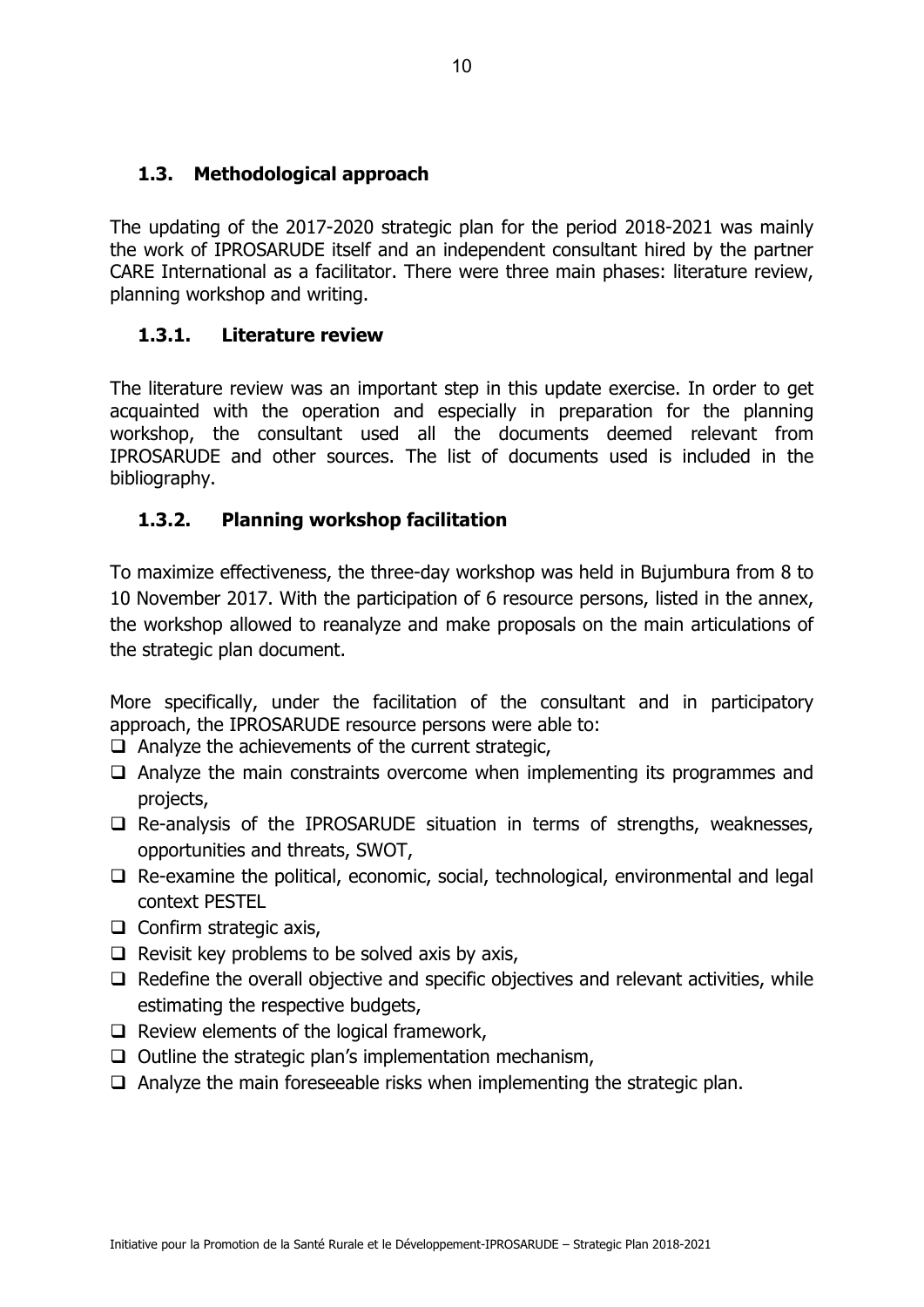#### **1.3. Methodological approach**

The updating of the 2017-2020 strategic plan for the period 2018-2021 was mainly the work of IPROSARUDE itself and an independent consultant hired by the partner CARE International as a facilitator. There were three main phases: literature review, planning workshop and writing.

#### **1.3.1. Literature review**

The literature review was an important step in this update exercise. In order to get acquainted with the operation and especially in preparation for the planning workshop, the consultant used all the documents deemed relevant from IPROSARUDE and other sources. The list of documents used is included in the bibliography.

## **1.3.2. Planning workshop facilitation**

To maximize effectiveness, the three-day workshop was held in Bujumbura from 8 to 10 November 2017. With the participation of 6 resource persons, listed in the annex, the workshop allowed to reanalyze and make proposals on the main articulations of the strategic plan document.

More specifically, under the facilitation of the consultant and in participatory approach, the IPROSARUDE resource persons were able to:

- $\Box$  Analyze the achievements of the current strategic,
- $\Box$  Analyze the main constraints overcome when implementing its programmes and projects,
- $\Box$  Re-analysis of the IPROSARUDE situation in terms of strengths, weaknesses, opportunities and threats, SWOT,
- $\Box$  Re-examine the political, economic, social, technological, environmental and legal context PESTEL
- $\Box$  Confirm strategic axis,
- $\Box$  Revisit key problems to be solved axis by axis,
- $\Box$  Redefine the overall objective and specific objectives and relevant activities, while estimating the respective budgets,
- $\Box$  Review elements of the logical framework,
- $\Box$  Outline the strategic plan's implementation mechanism,
- $\Box$  Analyze the main foreseeable risks when implementing the strategic plan.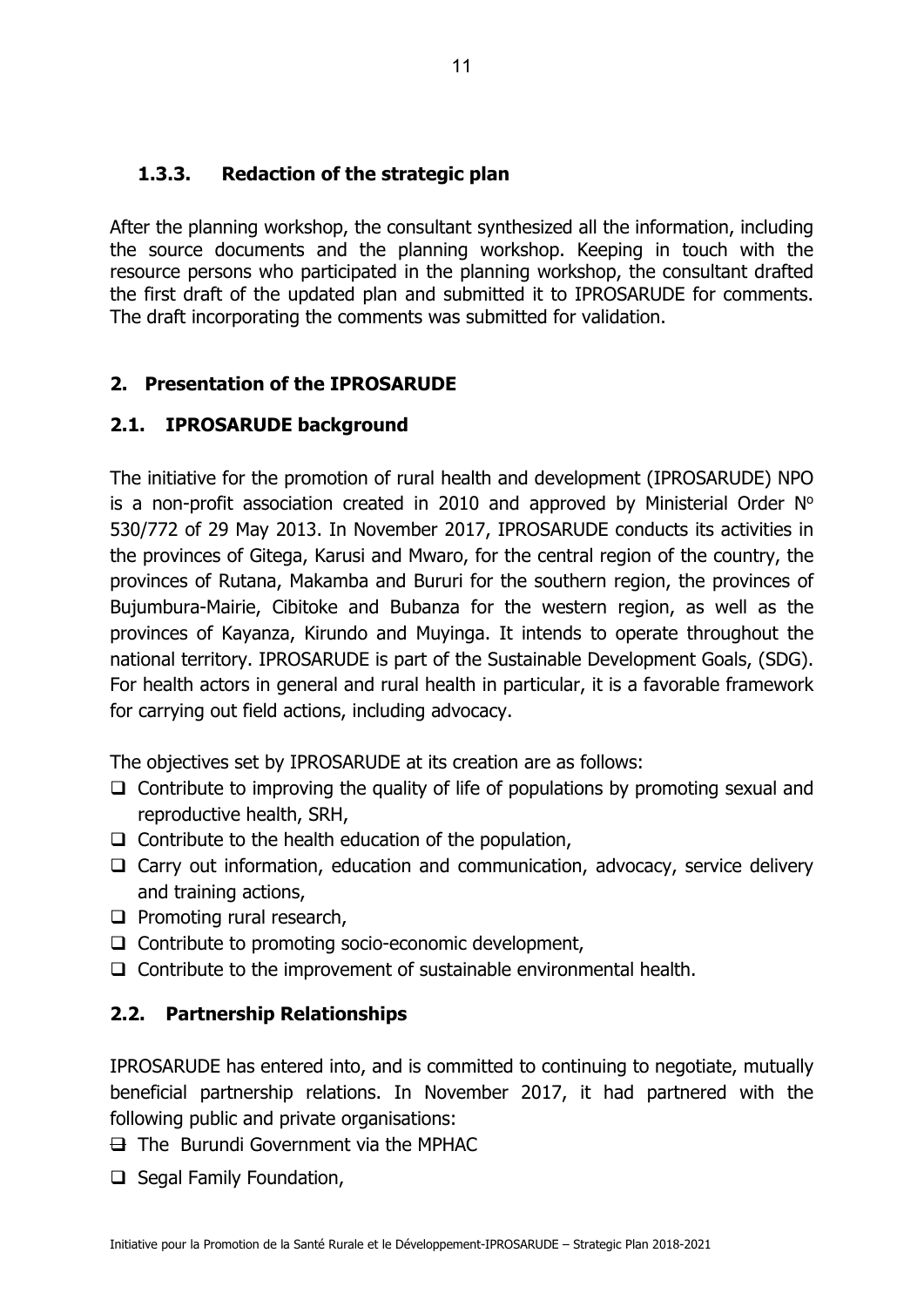#### **1.3.3. Redaction of the strategic plan**

After the planning workshop, the consultant synthesized all the information, including the source documents and the planning workshop. Keeping in touch with the resource persons who participated in the planning workshop, the consultant drafted the first draft of the updated plan and submitted it to IPROSARUDE for comments. The draft incorporating the comments was submitted for validation.

## **2. Presentation of the IPROSARUDE**

## **2.1. IPROSARUDE background**

The initiative for the promotion of rural health and development (IPROSARUDE) NPO is a non-profit association created in 2010 and approved by Ministerial Order  $N^{\circ}$ 530/772 of 29 May 2013. In November 2017, IPROSARUDE conducts its activities in the provinces of Gitega, Karusi and Mwaro, for the central region of the country, the provinces of Rutana, Makamba and Bururi for the southern region, the provinces of Bujumbura-Mairie, Cibitoke and Bubanza for the western region, as well as the provinces of Kayanza, Kirundo and Muyinga. It intends to operate throughout the national territory. IPROSARUDE is part of the Sustainable Development Goals, (SDG). For health actors in general and rural health in particular, it is a favorable framework for carrying out field actions, including advocacy.

The objectives set by IPROSARUDE at its creation are as follows:

- $\Box$  Contribute to improving the quality of life of populations by promoting sexual and reproductive health, SRH,
- $\Box$  Contribute to the health education of the population,
- $\Box$  Carry out information, education and communication, advocacy, service delivery and training actions,
- $\Box$  Promoting rural research,
- $\Box$  Contribute to promoting socio-economic development,
- $\Box$  Contribute to the improvement of sustainable environmental health.

## **2.2. Partnership Relationships**

IPROSARUDE has entered into, and is committed to continuing to negotiate, mutually beneficial partnership relations. In November 2017, it had partnered with the following public and private organisations:

 $\boxminus$  The Burundi Government via the MPHAC

 $\Box$  Segal Family Foundation,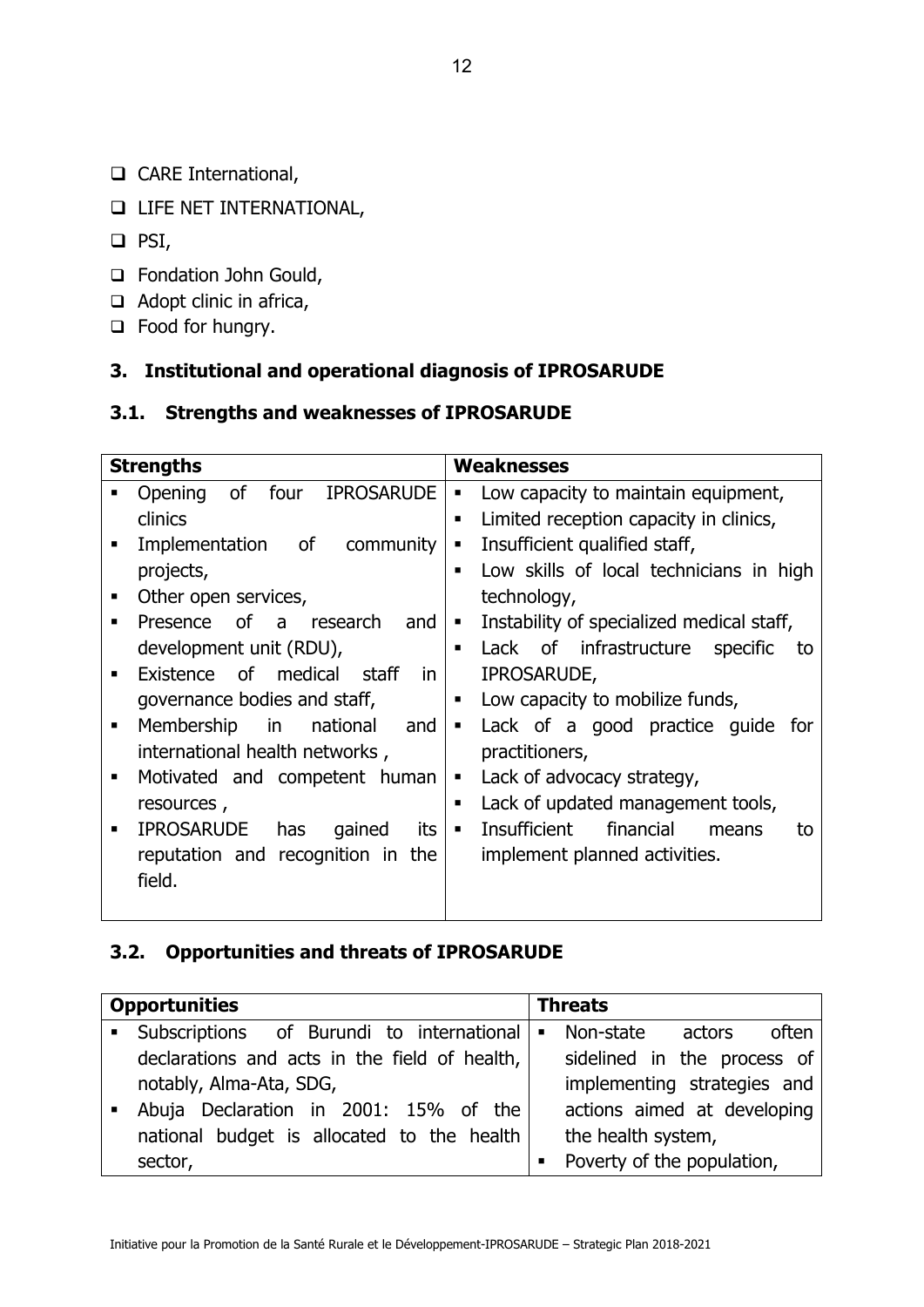- □ CARE International,
- **LIFE NET INTERNATIONAL,**
- $\Box$  PSI,
- □ Fondation John Gould,
- $\Box$  Adopt clinic in africa,
- □ Food for hungry.

## **3. Institutional and operational diagnosis of IPROSARUDE**

## **3.1. Strengths and weaknesses of IPROSARUDE**

|   | <b>Strengths</b>                                  | <b>Weaknesses</b>                                           |
|---|---------------------------------------------------|-------------------------------------------------------------|
|   | <b>of</b><br>four<br><b>IPROSARUDE</b><br>Opening | Low capacity to maintain equipment,<br>$\blacksquare$       |
|   | clinics                                           | Limited reception capacity in clinics,<br>$\blacksquare$    |
|   | οf<br>community<br>Implementation                 | Insufficient qualified staff,<br>$\blacksquare$             |
|   | projects,                                         | Low skills of local technicians in high                     |
| ٠ | Other open services,                              | technology,                                                 |
| ٠ | Presence of a research<br>and                     | Instability of specialized medical staff,<br>$\blacksquare$ |
|   | development unit (RDU),                           | Lack of infrastructure specific<br>to                       |
|   | Existence of medical<br>staff<br>in.              | IPROSARUDE,                                                 |
|   | governance bodies and staff,                      | Low capacity to mobilize funds,                             |
| ٠ | Membership<br>in in<br>national<br>and            | Lack of a good practice guide for<br>$\blacksquare$         |
|   | international health networks,                    | practitioners,                                              |
| ٠ | Motivated and competent human                     | Lack of advocacy strategy,<br>$\blacksquare$                |
|   | resources,                                        | Lack of updated management tools,<br>٠                      |
| ٠ | <b>IPROSARUDE</b><br>gained<br>its<br>has         | Insufficient<br>financial<br>$\blacksquare$<br>means<br>to  |
|   | reputation and recognition in the                 | implement planned activities.                               |
|   | field.                                            |                                                             |
|   |                                                   |                                                             |

#### **3.2. Opportunities and threats of IPROSARUDE**

|                  | <b>Opportunities</b>                          | <b>Threats</b> |                              |  |  |
|------------------|-----------------------------------------------|----------------|------------------------------|--|--|
| $\blacksquare$ . | Subscriptions of Burundi to international     | $\blacksquare$ | Non-state<br>often<br>actors |  |  |
|                  | declarations and acts in the field of health, |                | sidelined in the process of  |  |  |
|                  | notably, Alma-Ata, SDG,                       |                | implementing strategies and  |  |  |
|                  | Abuja Declaration in 2001: 15% of the         |                | actions aimed at developing  |  |  |
|                  | national budget is allocated to the health    |                | the health system,           |  |  |
|                  | sector,                                       | п              | Poverty of the population,   |  |  |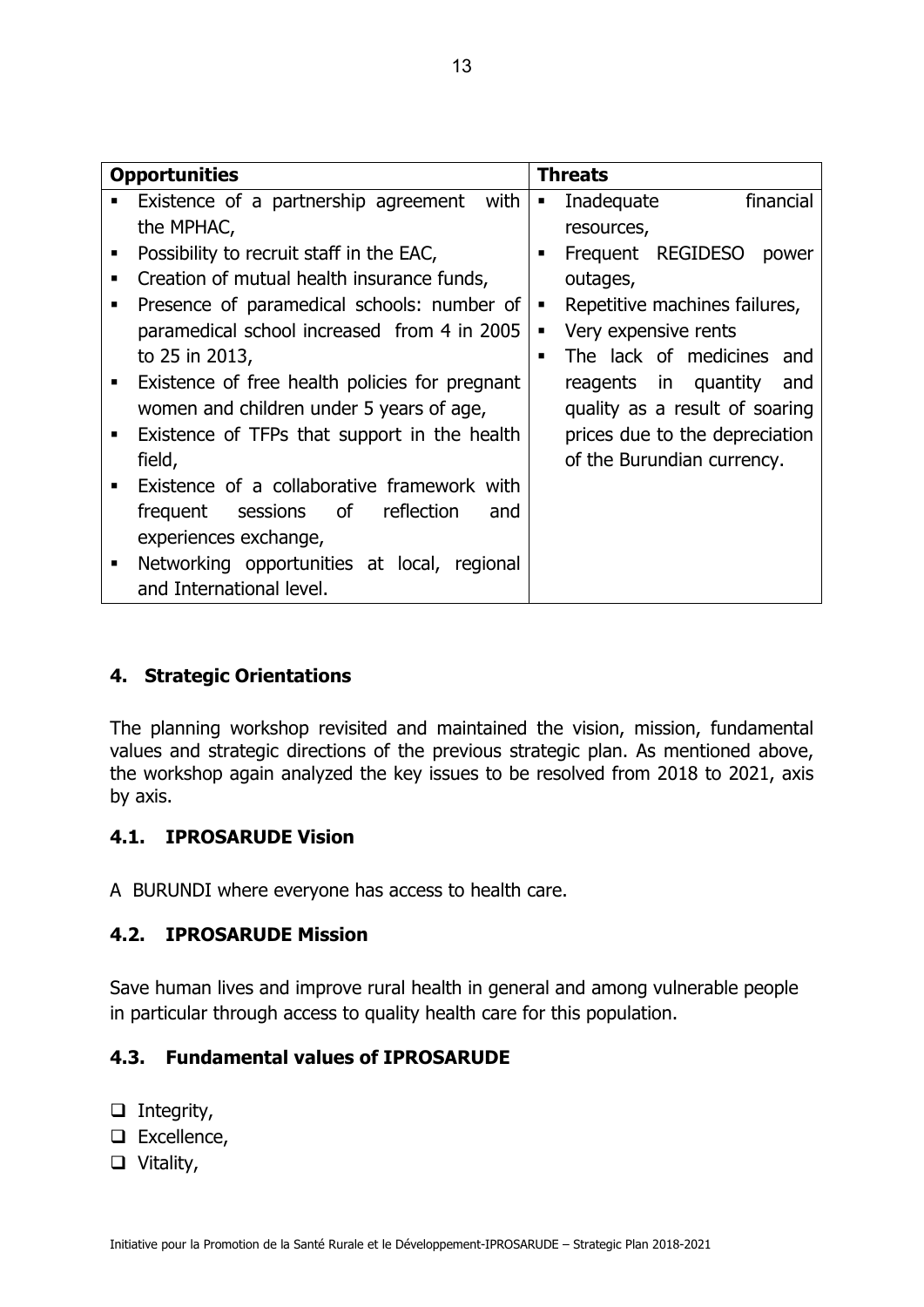|   | <b>Opportunities</b>                           |   | <b>Threats</b>                 |
|---|------------------------------------------------|---|--------------------------------|
|   | Existence of a partnership agreement<br>with   | ٠ | financial<br>Inadequate        |
|   | the MPHAC,                                     |   | resources,                     |
| п | Possibility to recruit staff in the EAC,       | ٠ | Frequent REGIDESO<br>power     |
| ٠ | Creation of mutual health insurance funds,     |   | outages,                       |
| п | Presence of paramedical schools: number of     | п | Repetitive machines failures,  |
|   | paramedical school increased from 4 in 2005    | ٠ | Very expensive rents           |
|   | to 25 in 2013,                                 | ٠ | The lack of medicines and      |
|   | Existence of free health policies for pregnant |   | reagents in quantity<br>and    |
|   | women and children under 5 years of age,       |   | quality as a result of soaring |
| п | Existence of TFPs that support in the health   |   | prices due to the depreciation |
|   | field,                                         |   | of the Burundian currency.     |
|   | Existence of a collaborative framework with    |   |                                |
|   | sessions of reflection<br>frequent<br>and      |   |                                |
|   | experiences exchange,                          |   |                                |
| ٠ | Networking opportunities at local, regional    |   |                                |
|   | and International level.                       |   |                                |

## **4. Strategic Orientations**

The planning workshop revisited and maintained the vision, mission, fundamental values and strategic directions of the previous strategic plan. As mentioned above, the workshop again analyzed the key issues to be resolved from 2018 to 2021, axis by axis.

#### **4.1. IPROSARUDE Vision**

A BURUNDI where everyone has access to health care.

#### **4.2. IPROSARUDE Mission**

Save human lives and improve rural health in general and among vulnerable people in particular through access to quality health care for this population.

## **4.3. Fundamental values of IPROSARUDE**

- $\Box$  Integrity,
- □ Excellence,
- □ Vitality,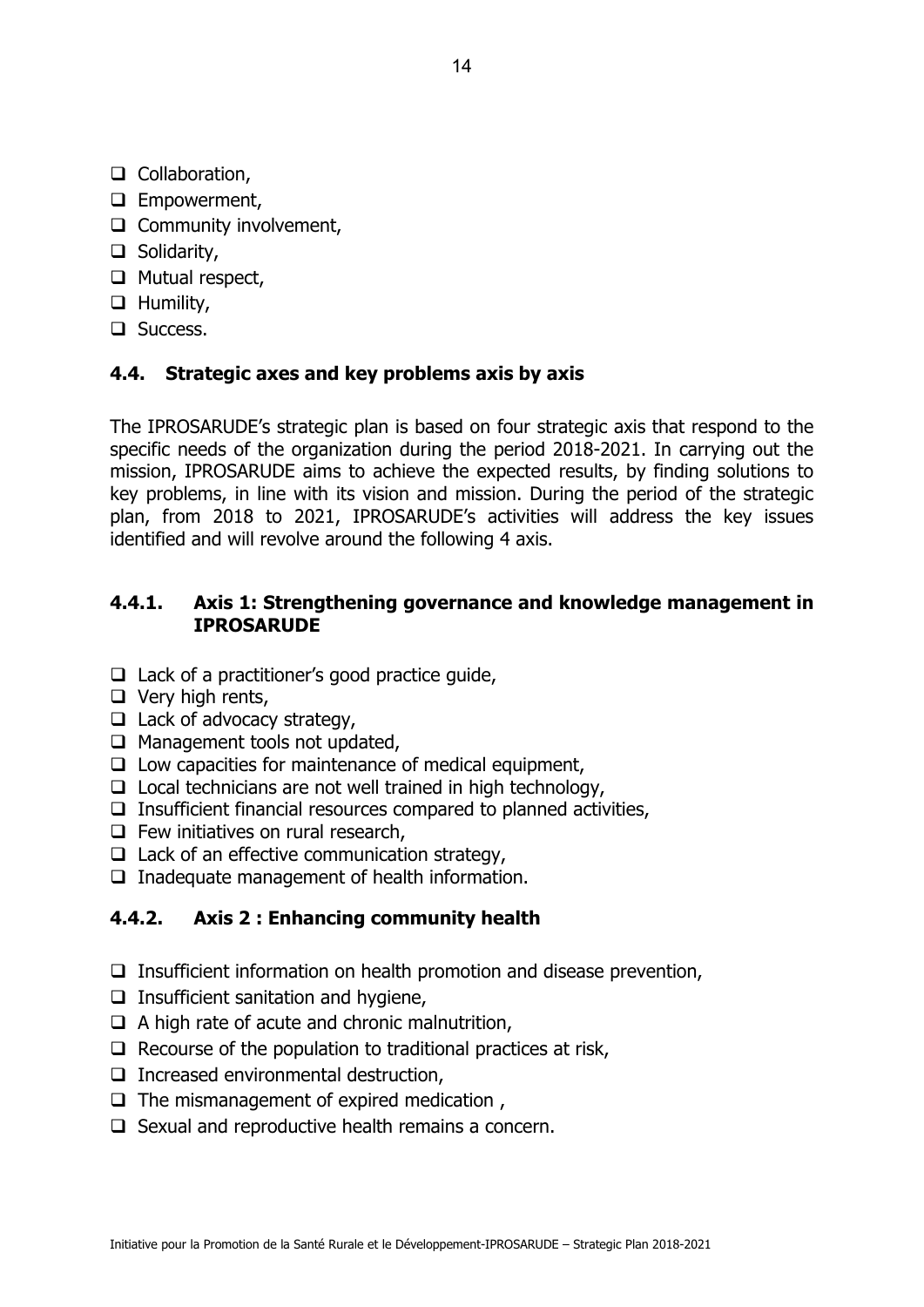- □ Collaboration,
- **Empowerment,**
- $\Box$  Community involvement,
- □ Solidarity,
- $\Box$  Mutual respect,
- **Q** Humility,
- □ Success.

#### **4.4. Strategic axes and key problems axis by axis**

The IPROSARUDE's strategic plan is based on four strategic axis that respond to the specific needs of the organization during the period 2018-2021. In carrying out the mission, IPROSARUDE aims to achieve the expected results, by finding solutions to key problems, in line with its vision and mission. During the period of the strategic plan, from 2018 to 2021, IPROSARUDE's activities will address the key issues identified and will revolve around the following 4 axis.

#### **4.4.1. Axis 1: Strengthening governance and knowledge management in IPROSARUDE**

- $\Box$  Lack of a practitioner's good practice quide,
- $\Box$  Very high rents,
- $\Box$  Lack of advocacy strategy,
- $\Box$  Management tools not updated,
- $\Box$  Low capacities for maintenance of medical equipment,
- $\Box$  Local technicians are not well trained in high technology,
- $\Box$  Insufficient financial resources compared to planned activities,
- $\Box$  Few initiatives on rural research,
- $\Box$  Lack of an effective communication strategy,
- $\Box$  Inadequate management of health information.

#### **4.4.2. Axis 2 : Enhancing community health**

- $\Box$  Insufficient information on health promotion and disease prevention,
- $\Box$  Insufficient sanitation and hygiene,
- $\Box$  A high rate of acute and chronic malnutrition,
- $\Box$  Recourse of the population to traditional practices at risk,
- $\Box$  Increased environmental destruction,
- $\Box$  The mismanagement of expired medication,
- $\Box$  Sexual and reproductive health remains a concern.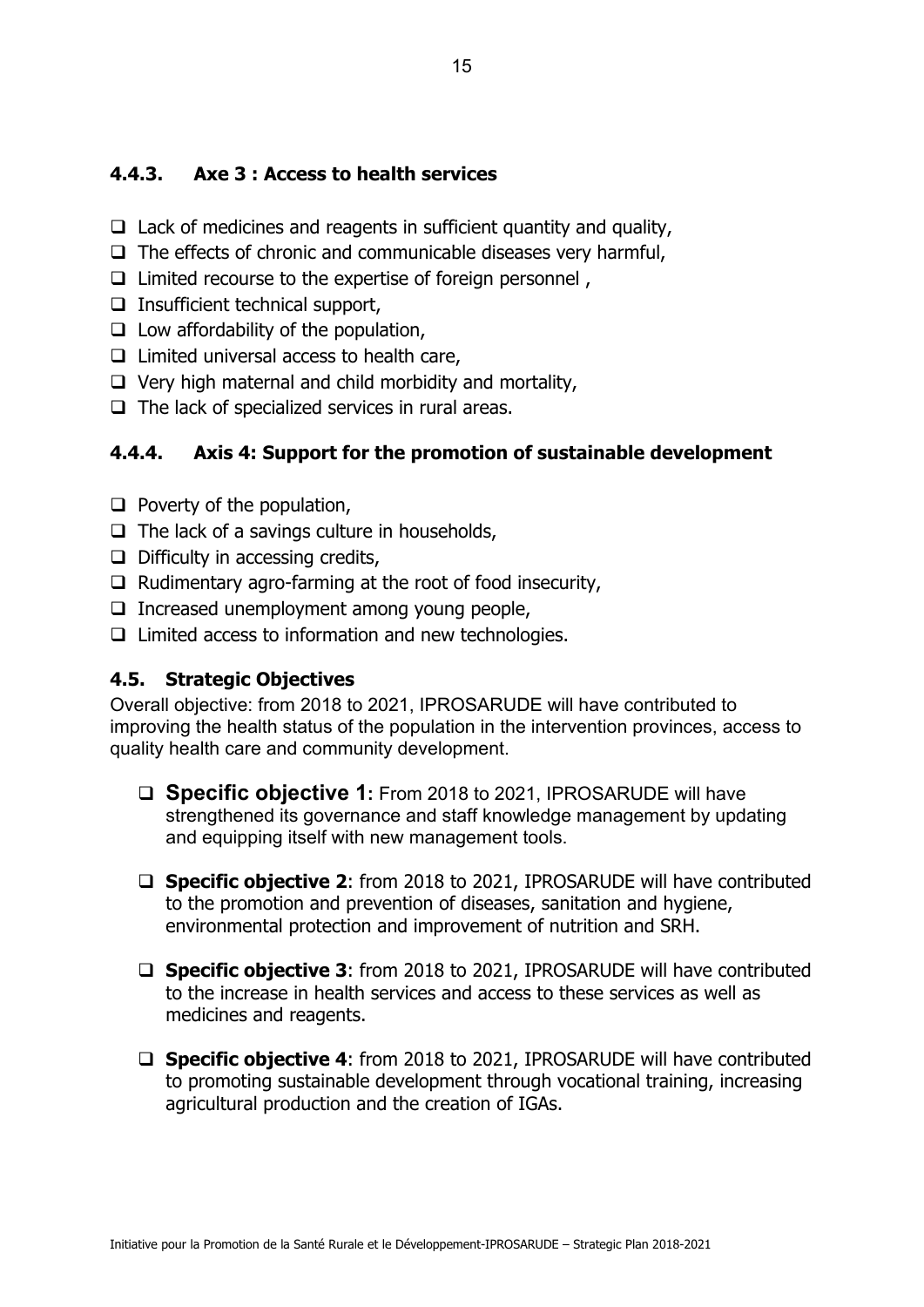## **4.4.3. Axe 3 : Access to health services**

- $\Box$  Lack of medicines and reagents in sufficient quantity and quality,
- $\Box$  The effects of chronic and communicable diseases very harmful,
- $\Box$  Limited recourse to the expertise of foreign personnel,
- $\Box$  Insufficient technical support,
- $\Box$  Low affordability of the population,
- $\Box$  Limited universal access to health care,
- $\Box$  Very high maternal and child morbidity and mortality,
- $\Box$  The lack of specialized services in rural areas.

## **4.4.4. Axis 4: Support for the promotion of sustainable development**

- $\Box$  Poverty of the population,
- $\Box$  The lack of a savings culture in households,
- $\Box$  Difficulty in accessing credits,
- $\Box$  Rudimentary agro-farming at the root of food insecurity,
- $\Box$  Increased unemployment among young people,
- $\Box$  Limited access to information and new technologies.

## **4.5. Strategic Objectives**

Overall objective: from 2018 to 2021, IPROSARUDE will have contributed to improving the health status of the population in the intervention provinces, access to quality health care and community development.

- □ **Specific objective 1:** From 2018 to 2021, IPROSARUDE will have strengthened its governance and staff knowledge management by updating and equipping itself with new management tools.
- **Specific objective 2**: from 2018 to 2021, IPROSARUDE will have contributed to the promotion and prevention of diseases, sanitation and hygiene, environmental protection and improvement of nutrition and SRH.
- **Specific objective 3**: from 2018 to 2021, IPROSARUDE will have contributed to the increase in health services and access to these services as well as medicines and reagents.
- **Specific objective 4**: from 2018 to 2021, IPROSARUDE will have contributed to promoting sustainable development through vocational training, increasing agricultural production and the creation of IGAs.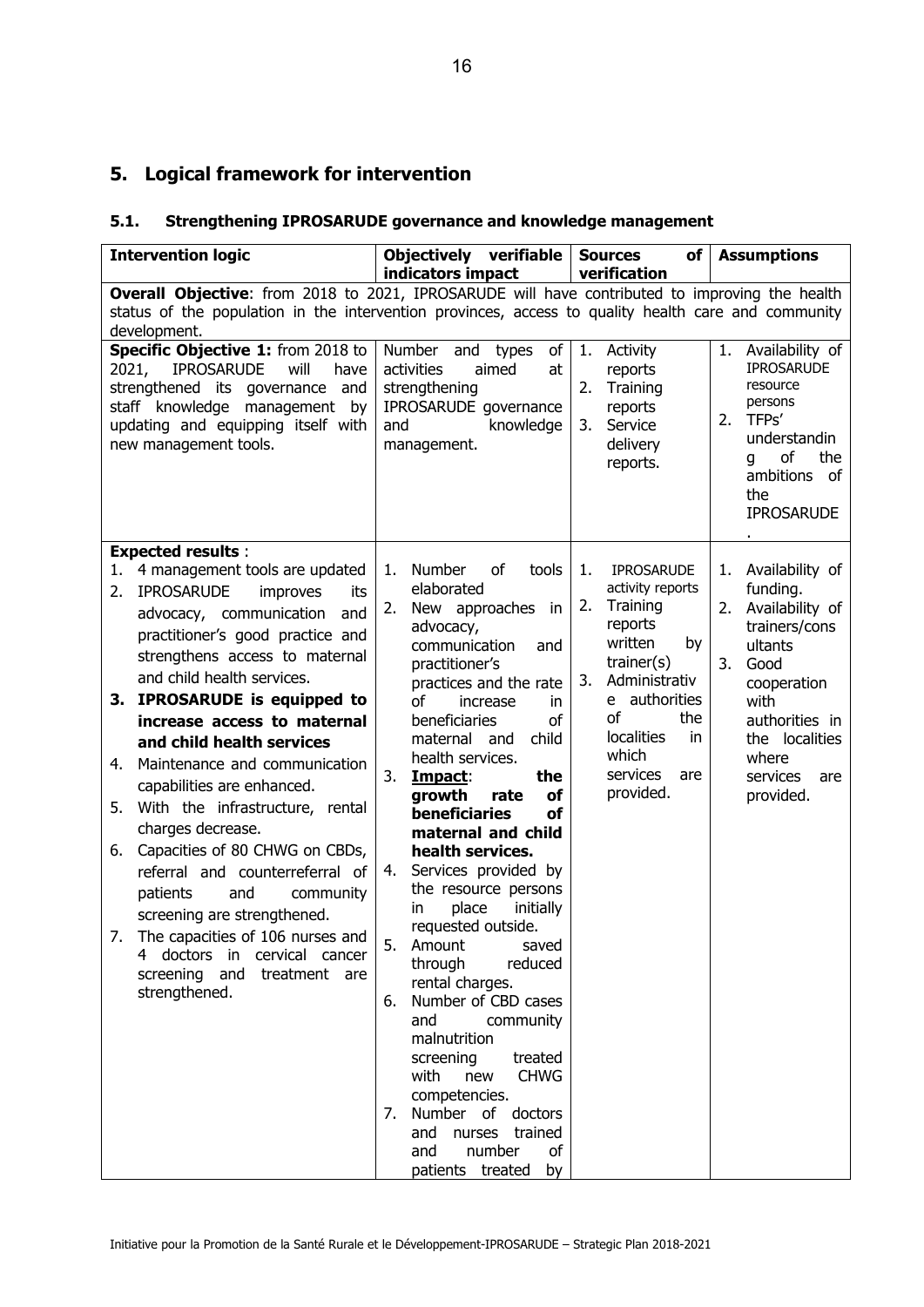## **5. Logical framework for intervention**

## **5.1. Strengthening IPROSARUDE governance and knowledge management**

| <b>Intervention logic</b>                                                                                                                                                                                                                                                                                                                                                                                                                                                                                                                                                                                                                                                                                                                         | Objectively verifiable<br>indicators impact                                                                                                                                                                                                                                                                                                                                                                                                                                                                                                                                                                                                                                                                                                                                                         | <b>Sources</b><br>$of \sqrt{}$<br>verification                                                                                                                                                                                      | <b>Assumptions</b>                                                                                                                                                                                       |  |  |  |
|---------------------------------------------------------------------------------------------------------------------------------------------------------------------------------------------------------------------------------------------------------------------------------------------------------------------------------------------------------------------------------------------------------------------------------------------------------------------------------------------------------------------------------------------------------------------------------------------------------------------------------------------------------------------------------------------------------------------------------------------------|-----------------------------------------------------------------------------------------------------------------------------------------------------------------------------------------------------------------------------------------------------------------------------------------------------------------------------------------------------------------------------------------------------------------------------------------------------------------------------------------------------------------------------------------------------------------------------------------------------------------------------------------------------------------------------------------------------------------------------------------------------------------------------------------------------|-------------------------------------------------------------------------------------------------------------------------------------------------------------------------------------------------------------------------------------|----------------------------------------------------------------------------------------------------------------------------------------------------------------------------------------------------------|--|--|--|
| Overall Objective: from 2018 to 2021, IPROSARUDE will have contributed to improving the health<br>status of the population in the intervention provinces, access to quality health care and community<br>development.                                                                                                                                                                                                                                                                                                                                                                                                                                                                                                                             |                                                                                                                                                                                                                                                                                                                                                                                                                                                                                                                                                                                                                                                                                                                                                                                                     |                                                                                                                                                                                                                                     |                                                                                                                                                                                                          |  |  |  |
| Specific Objective 1: from 2018 to<br><b>IPROSARUDE</b><br>2021,<br>will<br>have<br>strengthened its governance and<br>staff knowledge management by<br>updating and equipping itself with<br>new management tools.                                                                                                                                                                                                                                                                                                                                                                                                                                                                                                                               | Number and<br>of<br>types<br>activities<br>aimed<br>at<br>strengthening<br>IPROSARUDE governance<br>knowledge<br>and<br>management.                                                                                                                                                                                                                                                                                                                                                                                                                                                                                                                                                                                                                                                                 | 1.<br>Activity<br>reports<br>Training<br>2.<br>reports<br>Service<br>3.<br>delivery<br>reports.                                                                                                                                     | 1.<br>Availability of<br><b>IPROSARUDE</b><br>resource<br>persons<br>TFP <sub>S</sub> '<br>2.<br>understandin<br>of<br>the<br>q<br>ambitions of<br>the<br><b>IPROSARUDE</b>                              |  |  |  |
| <b>Expected results:</b><br>4 management tools are updated<br>1.<br><b>IPROSARUDE</b><br>2.<br>improves<br>its<br>advocacy, communication<br>and<br>practitioner's good practice and<br>strengthens access to maternal<br>and child health services.<br>3. IPROSARUDE is equipped to<br>increase access to maternal<br>and child health services<br>Maintenance and communication<br>4.<br>capabilities are enhanced.<br>With the infrastructure, rental<br>5.<br>charges decrease.<br>6. Capacities of 80 CHWG on CBDs,<br>referral and counterreferral of<br>and<br>patients<br>community<br>screening are strengthened.<br>7. The capacities of 106 nurses and<br>4 doctors in cervical cancer<br>screening and treatment are<br>strengthened. | <b>Number</b><br>of<br>tools<br>1.<br>elaborated<br>New approaches in<br>2.<br>advocacy,<br>communication<br>and<br>practitioner's<br>practices and the rate<br>οf<br>increase<br>in.<br>beneficiaries<br>οf<br>maternal and<br>child<br>health services.<br>3.<br>the<br>Impact:<br>growth<br>rate<br>οf<br><b>beneficiaries</b><br>of<br>maternal and child<br>health services.<br>Services provided by<br>4.<br>the resource persons<br>place<br>initially<br>in.<br>requested outside.<br>5.<br>Amount<br>saved<br>through<br>reduced<br>rental charges.<br>Number of CBD cases<br>6.<br>and<br>community<br>malnutrition<br>screening<br>treated<br><b>CHWG</b><br>with new<br>competencies.<br>Number of doctors<br>7.<br>and nurses trained<br>and<br>number<br>of<br>patients treated<br>by | 1.<br><b>IPROSARUDE</b><br>activity reports<br>2.<br>Training<br>reports<br>written<br>by<br>$\text{trainer}(s)$<br>Administrativ<br>3.<br>e authorities<br>of<br>the<br>localities<br>in.<br>which<br>services<br>are<br>provided. | Availability of<br>1.<br>funding.<br>Availability of<br>2.<br>trainers/cons<br>ultants<br>3.<br>Good<br>cooperation<br>with<br>authorities in<br>the localities<br>where<br>services<br>are<br>provided. |  |  |  |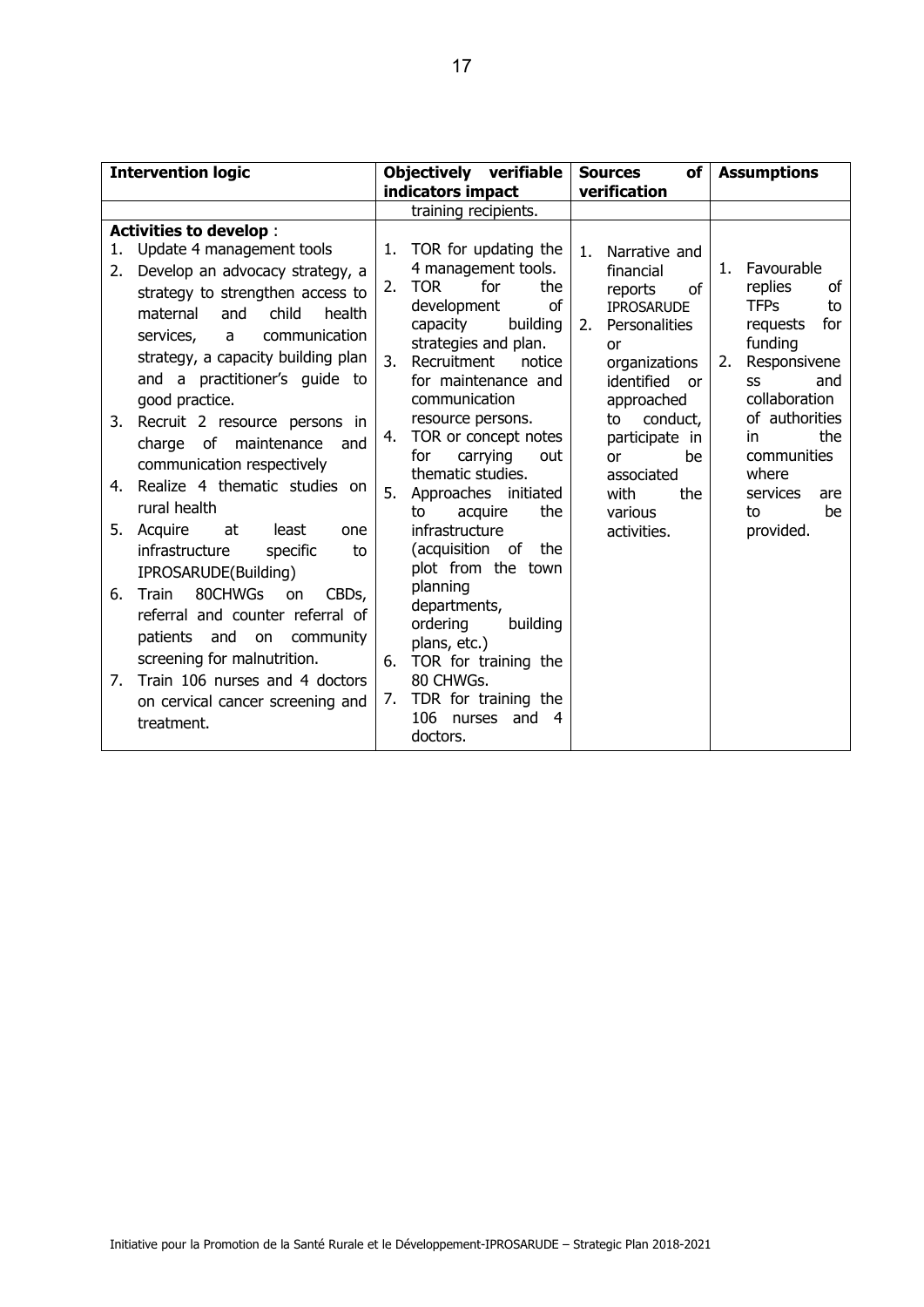| <b>Intervention logic</b>                                                                                                                                                                                                                                                                                                                                                                                                                                                                                                                                                                                                                                                                                                                                                                                                    | Objectively verifiable<br>indicators impact                                                                                                                                                                                                                                                                                                                                                                                                                                                                                                                                                                                               | <b>Sources</b><br>of<br>verification                                                                                                                                                                                                                                      | <b>Assumptions</b>                                                                                                                                                                                                                                   |  |
|------------------------------------------------------------------------------------------------------------------------------------------------------------------------------------------------------------------------------------------------------------------------------------------------------------------------------------------------------------------------------------------------------------------------------------------------------------------------------------------------------------------------------------------------------------------------------------------------------------------------------------------------------------------------------------------------------------------------------------------------------------------------------------------------------------------------------|-------------------------------------------------------------------------------------------------------------------------------------------------------------------------------------------------------------------------------------------------------------------------------------------------------------------------------------------------------------------------------------------------------------------------------------------------------------------------------------------------------------------------------------------------------------------------------------------------------------------------------------------|---------------------------------------------------------------------------------------------------------------------------------------------------------------------------------------------------------------------------------------------------------------------------|------------------------------------------------------------------------------------------------------------------------------------------------------------------------------------------------------------------------------------------------------|--|
|                                                                                                                                                                                                                                                                                                                                                                                                                                                                                                                                                                                                                                                                                                                                                                                                                              | training recipients.                                                                                                                                                                                                                                                                                                                                                                                                                                                                                                                                                                                                                      |                                                                                                                                                                                                                                                                           |                                                                                                                                                                                                                                                      |  |
| <b>Activities to develop:</b><br>1. Update 4 management tools<br>Develop an advocacy strategy, a<br>2.<br>strategy to strengthen access to<br>maternal<br>child<br>health<br>and<br>communication<br>services,<br>$\mathsf{a}$<br>strategy, a capacity building plan<br>and a practitioner's quide to<br>good practice.<br>3. Recruit 2 resource persons in<br>charge of maintenance<br>and<br>communication respectively<br>Realize 4 thematic studies on<br>4.<br>rural health<br>5. Acquire<br>at<br>least<br>one<br>infrastructure<br>specific<br>to<br>IPROSARUDE(Building)<br>80CHWGs<br>Train<br>6.<br>CBDs,<br>on<br>referral and counter referral of<br>patients<br>and<br>community<br>on<br>screening for malnutrition.<br>Train 106 nurses and 4 doctors<br>7.<br>on cervical cancer screening and<br>treatment. | TOR for updating the<br>1.<br>4 management tools.<br>for<br><b>TOR</b><br>the<br>2.<br>development<br>οf<br>building<br>capacity<br>strategies and plan.<br>Recruitment<br>3.<br>notice<br>for maintenance and<br>communication<br>resource persons.<br>TOR or concept notes<br>4.<br>carrying<br>for<br>out<br>thematic studies.<br>5.<br>Approaches initiated<br>the<br>acquire<br>to<br>infrastructure<br>(acquisition of<br>the<br>plot from the town<br>planning<br>departments,<br>building<br>ordering<br>plans, etc.)<br>TOR for training the<br>6.<br>80 CHWGs.<br>TDR for training the<br>7.<br>106 nurses and<br>4<br>doctors. | Narrative and<br>1 <sub>1</sub><br>financial<br>reports<br>of<br><b>IPROSARUDE</b><br>2.<br>Personalities<br>or<br>organizations<br>identified<br>or<br>approached<br>conduct,<br>to<br>participate in<br>be<br>or<br>associated<br>with<br>the<br>various<br>activities. | 1. Favourable<br>replies<br>οf<br><b>TFP<sub>S</sub></b><br>to<br>for<br>requests<br>funding<br>Responsivene<br>2.<br>and<br>SS<br>collaboration<br>of authorities<br>the<br>in.<br>communities<br>where<br>services<br>are<br>be<br>to<br>provided. |  |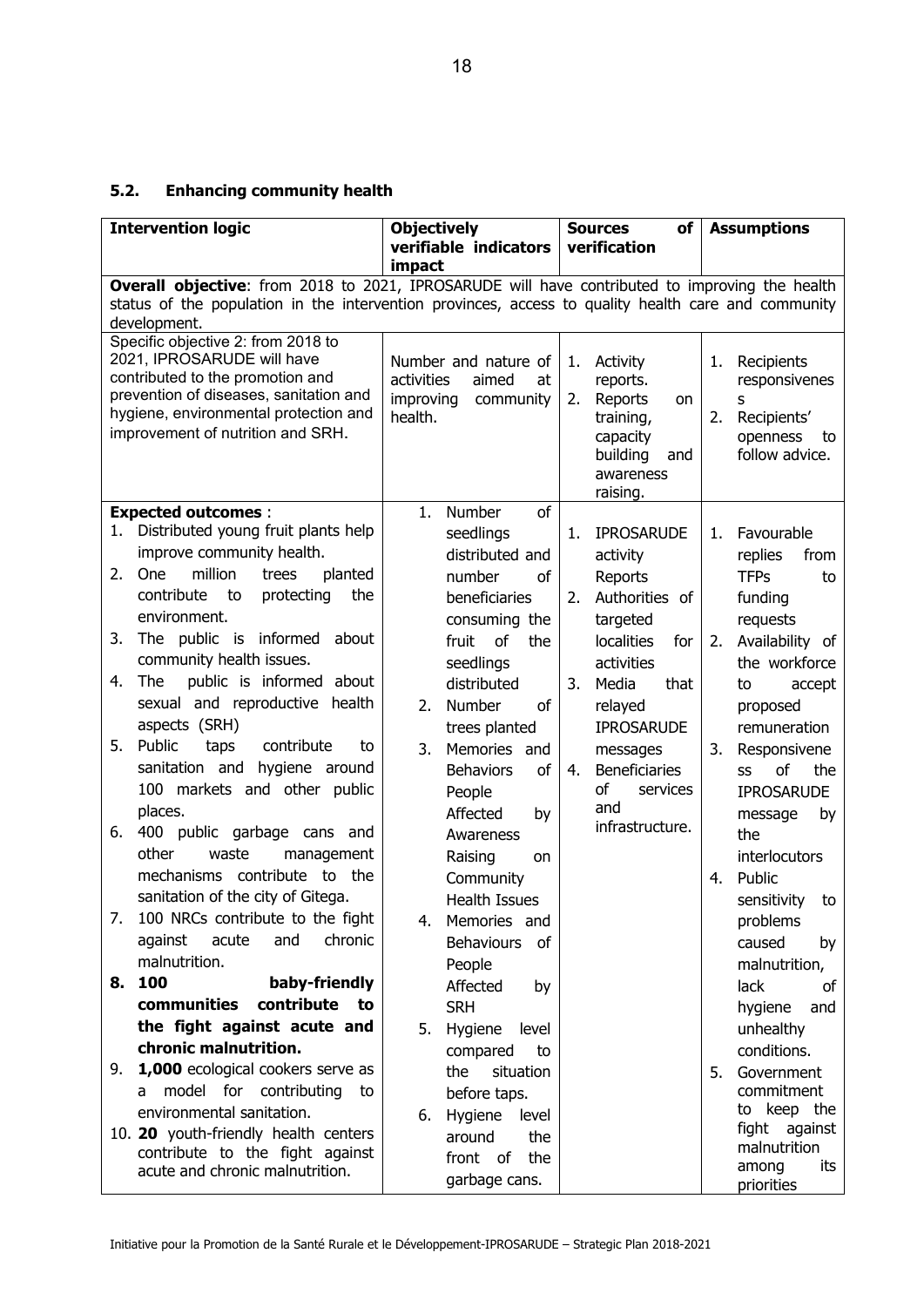## **5.2. Enhancing community health**

| <b>Intervention logic</b>                                                                                                                                                                             | <b>Objectively</b><br>verifiable indicators | of<br><b>Sources</b><br>verification | <b>Assumptions</b>                  |  |  |  |  |
|-------------------------------------------------------------------------------------------------------------------------------------------------------------------------------------------------------|---------------------------------------------|--------------------------------------|-------------------------------------|--|--|--|--|
|                                                                                                                                                                                                       | impact                                      |                                      |                                     |  |  |  |  |
| Overall objective: from 2018 to 2021, IPROSARUDE will have contributed to improving the health<br>status of the population in the intervention provinces, access to quality health care and community |                                             |                                      |                                     |  |  |  |  |
| development.                                                                                                                                                                                          |                                             |                                      |                                     |  |  |  |  |
| Specific objective 2: from 2018 to                                                                                                                                                                    |                                             |                                      |                                     |  |  |  |  |
| 2021, IPROSARUDE will have                                                                                                                                                                            | Number and nature of                        | Activity<br>1.                       | Recipients<br>1.                    |  |  |  |  |
| contributed to the promotion and<br>prevention of diseases, sanitation and                                                                                                                            | activities<br>aimed<br>at                   | reports.                             | responsivenes                       |  |  |  |  |
| hygiene, environmental protection and                                                                                                                                                                 | improving<br>community<br>health.           | Reports<br>2.<br>on                  | s                                   |  |  |  |  |
| improvement of nutrition and SRH.                                                                                                                                                                     |                                             | training,<br>capacity                | Recipients'<br>2.<br>openness<br>to |  |  |  |  |
|                                                                                                                                                                                                       |                                             | building<br>and                      | follow advice.                      |  |  |  |  |
|                                                                                                                                                                                                       |                                             | awareness                            |                                     |  |  |  |  |
|                                                                                                                                                                                                       |                                             | raising.                             |                                     |  |  |  |  |
| <b>Expected outcomes:</b>                                                                                                                                                                             | of<br>Number<br>1.                          |                                      |                                     |  |  |  |  |
| Distributed young fruit plants help<br>1.                                                                                                                                                             | seedlings                                   | <b>IPROSARUDE</b><br>1.              | Favourable<br>1.                    |  |  |  |  |
| improve community health.                                                                                                                                                                             | distributed and                             | activity                             | replies<br>from                     |  |  |  |  |
| million<br>2.<br>One<br>planted<br>trees                                                                                                                                                              | number<br>of                                | Reports                              | <b>TFPs</b><br>to                   |  |  |  |  |
| contribute<br>protecting<br>the<br>to                                                                                                                                                                 | beneficiaries                               | Authorities of<br>2.                 | funding                             |  |  |  |  |
| environment.<br>The public is informed<br>3.<br>about                                                                                                                                                 | consuming the                               | targeted                             | requests                            |  |  |  |  |
| community health issues.                                                                                                                                                                              | of<br>fruit<br>the                          | <b>localities</b><br>for             | Availability of<br>2.               |  |  |  |  |
| public is informed about<br>4.<br>The                                                                                                                                                                 | seedlings<br>distributed                    | activities<br>Media<br>3.<br>that    | the workforce                       |  |  |  |  |
| sexual and reproductive health                                                                                                                                                                        | of<br>2.<br>Number                          | relayed                              | to<br>accept<br>proposed            |  |  |  |  |
| aspects (SRH)                                                                                                                                                                                         | trees planted                               | <b>IPROSARUDE</b>                    | remuneration                        |  |  |  |  |
| Public<br>contribute<br>5.<br>taps<br>to                                                                                                                                                              | 3.<br>Memories and                          | messages                             | Responsivene<br>3.                  |  |  |  |  |
| hygiene around<br>sanitation and                                                                                                                                                                      | $\mathsf{of}$<br><b>Behaviors</b>           | Beneficiaries<br>4.                  | of<br>the<br>SS                     |  |  |  |  |
| 100 markets and other public                                                                                                                                                                          | People                                      | of<br>services                       | <b>IPROSARUDE</b>                   |  |  |  |  |
| places.                                                                                                                                                                                               | Affected<br>by                              | and                                  | message<br>by                       |  |  |  |  |
| 400 public garbage cans and<br>6.                                                                                                                                                                     | Awareness                                   | infrastructure.                      | the                                 |  |  |  |  |
| other<br>waste<br>management                                                                                                                                                                          | Raising<br>on                               |                                      | interlocutors                       |  |  |  |  |
| mechanisms contribute to the                                                                                                                                                                          | Community                                   |                                      | Public<br>4.                        |  |  |  |  |
| sanitation of the city of Gitega.                                                                                                                                                                     | <b>Health Issues</b>                        |                                      | sensitivity<br>to                   |  |  |  |  |
| 100 NRCs contribute to the fight<br>7.                                                                                                                                                                | Memories and<br>4.                          |                                      | problems                            |  |  |  |  |
| chronic<br>against<br>acute<br>and                                                                                                                                                                    | <b>Behaviours</b><br>of                     |                                      | caused<br>by                        |  |  |  |  |
| malnutrition.                                                                                                                                                                                         | People                                      |                                      | malnutrition,                       |  |  |  |  |
| 100<br>baby-friendly<br>8.                                                                                                                                                                            | Affected<br>by                              |                                      | lack<br>οf                          |  |  |  |  |
| contribute<br>communities<br>to                                                                                                                                                                       | <b>SRH</b>                                  |                                      | hygiene<br>and                      |  |  |  |  |
| the fight against acute and                                                                                                                                                                           | 5.<br>Hygiene<br>level                      |                                      | unhealthy                           |  |  |  |  |
| chronic malnutrition.                                                                                                                                                                                 | compared<br>to                              |                                      | conditions.                         |  |  |  |  |
| 1,000 ecological cookers serve as<br>9.<br>model for contributing<br>to                                                                                                                               | the<br>situation                            |                                      | Government<br>5.<br>commitment      |  |  |  |  |
| a<br>environmental sanitation.                                                                                                                                                                        | before taps.                                |                                      | to keep the                         |  |  |  |  |
| 10. 20 youth-friendly health centers                                                                                                                                                                  | Hygiene<br>level<br>6.                      |                                      | fight against                       |  |  |  |  |
| contribute to the fight against                                                                                                                                                                       | around<br>the<br>front of<br>the            |                                      | malnutrition                        |  |  |  |  |
| acute and chronic malnutrition.                                                                                                                                                                       | garbage cans.                               |                                      | among<br>its                        |  |  |  |  |
|                                                                                                                                                                                                       |                                             |                                      | priorities                          |  |  |  |  |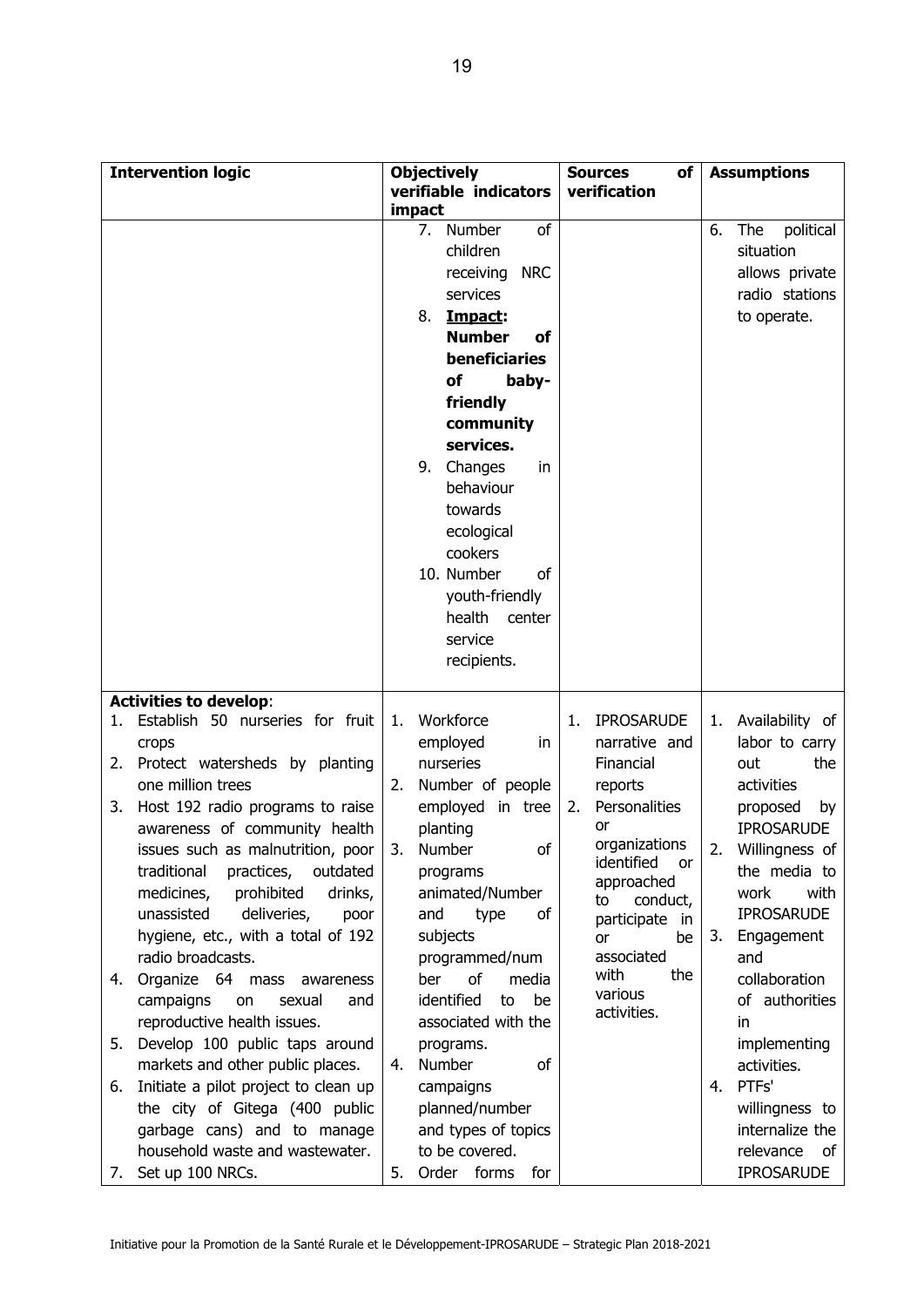| <b>Intervention logic</b>                                               | <b>Objectively</b><br>verifiable indicators | <b>Sources</b><br>of<br>verification | <b>Assumptions</b>                  |  |
|-------------------------------------------------------------------------|---------------------------------------------|--------------------------------------|-------------------------------------|--|
|                                                                         | impact                                      |                                      |                                     |  |
|                                                                         | of<br>7.<br>Number                          |                                      | political<br>6.<br>The              |  |
|                                                                         | children                                    |                                      | situation                           |  |
|                                                                         | receiving NRC                               |                                      | allows private                      |  |
|                                                                         | services                                    |                                      | radio stations                      |  |
|                                                                         | 8.<br>Impact:                               |                                      | to operate.                         |  |
|                                                                         | <b>Number</b><br>οf                         |                                      |                                     |  |
|                                                                         | beneficiaries                               |                                      |                                     |  |
|                                                                         | of<br>baby-                                 |                                      |                                     |  |
|                                                                         | friendly                                    |                                      |                                     |  |
|                                                                         | community                                   |                                      |                                     |  |
|                                                                         | services.                                   |                                      |                                     |  |
|                                                                         | 9.<br>Changes<br>in                         |                                      |                                     |  |
|                                                                         | behaviour                                   |                                      |                                     |  |
|                                                                         | towards                                     |                                      |                                     |  |
|                                                                         | ecological                                  |                                      |                                     |  |
|                                                                         | cookers                                     |                                      |                                     |  |
|                                                                         | 10. Number<br>of                            |                                      |                                     |  |
|                                                                         | youth-friendly                              |                                      |                                     |  |
|                                                                         | health<br>center                            |                                      |                                     |  |
|                                                                         | service                                     |                                      |                                     |  |
|                                                                         | recipients.                                 |                                      |                                     |  |
|                                                                         |                                             |                                      |                                     |  |
| <b>Activities to develop:</b>                                           |                                             |                                      |                                     |  |
| Establish 50 nurseries for fruit<br>1.                                  | Workforce<br>1.                             | <b>IPROSARUDE</b><br>1.              | Availability of<br>1.               |  |
| crops                                                                   | employed<br>in                              | narrative and                        | labor to carry                      |  |
| 2. Protect watersheds by planting                                       | nurseries                                   | Financial                            | the<br>out                          |  |
| one million trees                                                       | Number of people<br>2.                      | reports<br>Personalities             | activities                          |  |
| Host 192 radio programs to raise<br>3.<br>awareness of community health | employed in tree                            | 2.<br>or                             | proposed<br>by<br><b>IPROSARUDE</b> |  |
|                                                                         | planting<br>3.<br><b>Number</b><br>of       | organizations                        | 2.                                  |  |
| issues such as malnutrition, poor<br>traditional practices, outdated    |                                             | identified<br>or                     | Willingness of<br>the media to      |  |
| medicines,<br>prohibited<br>drinks,                                     | programs<br>animated/Number                 | approached                           | work<br>with                        |  |
| unassisted<br>deliveries,<br>poor                                       | and<br>type<br>оf                           | conduct,<br>to                       | <b>IPROSARUDE</b>                   |  |
| hygiene, etc., with a total of 192                                      | subjects                                    | participate in<br>be<br><b>or</b>    | Engagement<br>3.                    |  |
| radio broadcasts.                                                       | programmed/num                              | associated                           | and                                 |  |
| Organize 64 mass awareness<br>4.                                        | ber<br>of<br>media                          | with<br>the                          | collaboration                       |  |
| campaigns<br>sexual<br>and<br>on                                        | identified<br>be<br>to                      | various                              | of authorities                      |  |
| reproductive health issues.                                             | associated with the                         | activities.                          | in.                                 |  |
| Develop 100 public taps around<br>5.                                    | programs.                                   |                                      | implementing                        |  |
| markets and other public places.                                        | Number<br>of<br>4.                          |                                      | activities.                         |  |
| Initiate a pilot project to clean up<br>6.                              | campaigns                                   |                                      | PTFs'<br>4.                         |  |
| the city of Gitega (400 public                                          | planned/number                              |                                      | willingness to                      |  |
| garbage cans) and to manage                                             | and types of topics                         |                                      | internalize the                     |  |
| household waste and wastewater.                                         | to be covered.                              |                                      | relevance of                        |  |
| Set up 100 NRCs.<br>7.                                                  | Order forms<br>for<br>5.                    |                                      | <b>IPROSARUDE</b>                   |  |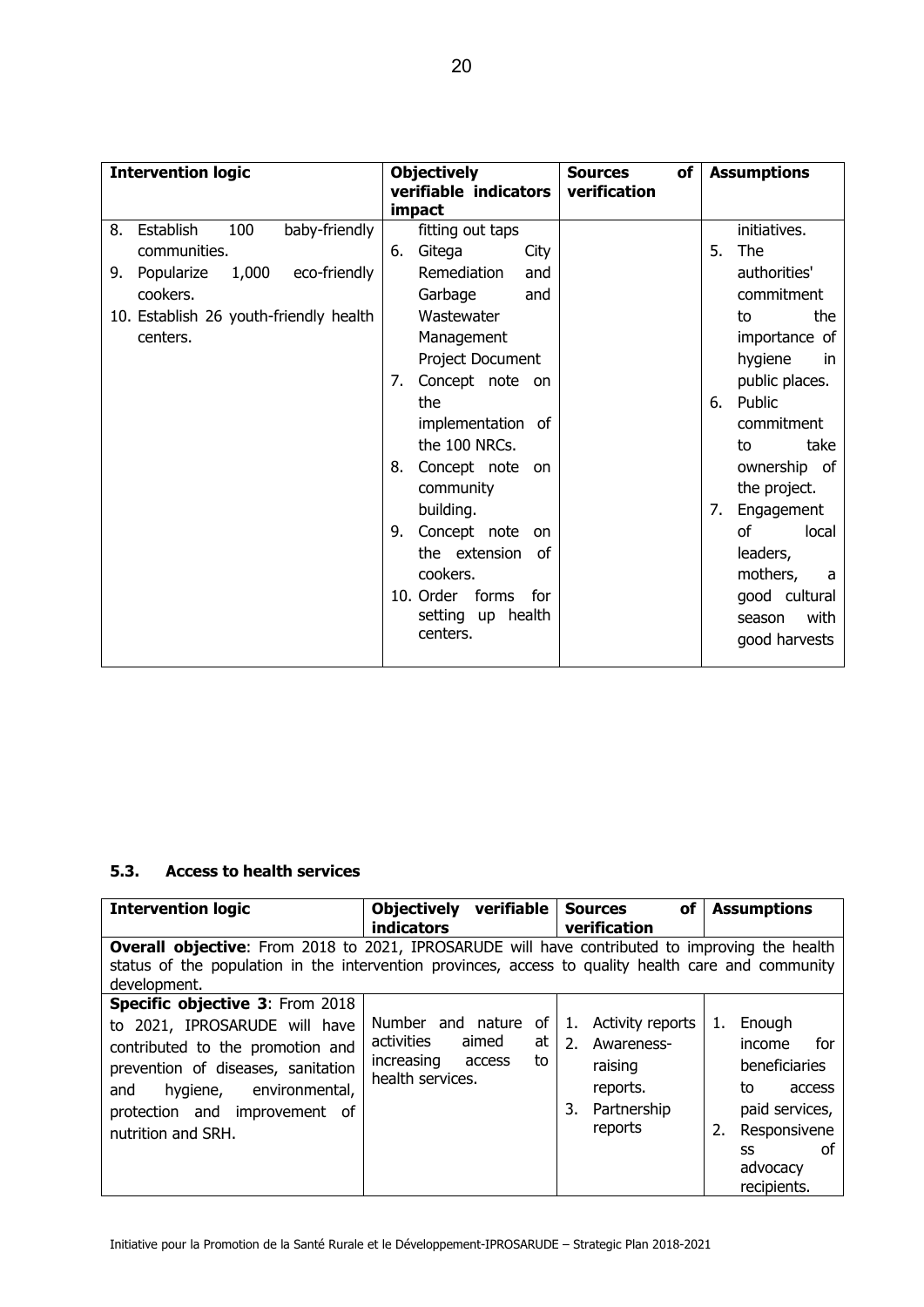| <b>Intervention logic</b>                                                                                                                                              | <b>Objectively</b><br>verifiable indicators<br>impact                                                                                                                                                                                                                                                                    | of<br><b>Sources</b><br>verification | <b>Assumptions</b>                                                                                                                                                                                                                                                    |
|------------------------------------------------------------------------------------------------------------------------------------------------------------------------|--------------------------------------------------------------------------------------------------------------------------------------------------------------------------------------------------------------------------------------------------------------------------------------------------------------------------|--------------------------------------|-----------------------------------------------------------------------------------------------------------------------------------------------------------------------------------------------------------------------------------------------------------------------|
| Establish<br>100<br>baby-friendly<br>8.<br>communities.<br>1,000<br>eco-friendly<br>9.<br>Popularize<br>cookers.<br>10. Establish 26 youth-friendly health<br>centers. | fitting out taps<br>Gitega<br>6.<br>City<br>Remediation<br>and<br>Garbage<br>and<br>Wastewater<br>Management<br>Project Document<br>Concept note on<br>7.<br>the<br>implementation of<br>the 100 NRCs.<br>Concept note on<br>8.<br>community<br>building.<br>Concept note<br>9.<br>on<br>the extension<br>of<br>cookers. |                                      | initiatives.<br>The<br>5.<br>authorities'<br>commitment<br>the<br>to<br>importance of<br>hygiene<br>in.<br>public places.<br>Public<br>6.<br>commitment<br>take<br>to<br>ownership of<br>the project.<br>Engagement<br>7.<br>οf<br>local<br>leaders,<br>mothers,<br>a |
|                                                                                                                                                                        | 10. Order forms<br>for<br>setting up health<br>centers.                                                                                                                                                                                                                                                                  |                                      | good cultural<br>with<br>season<br>good harvests                                                                                                                                                                                                                      |

#### **5.3. Access to health services**

| <b>Intervention logic</b>                                                                           | Objectively verifiable |        |    |    | of<br><b>Sources</b> |    | <b>Assumptions</b> |
|-----------------------------------------------------------------------------------------------------|------------------------|--------|----|----|----------------------|----|--------------------|
|                                                                                                     | <b>indicators</b>      |        |    |    | verification         |    |                    |
| Overall objective: From 2018 to 2021, IPROSARUDE will have contributed to improving the health      |                        |        |    |    |                      |    |                    |
| status of the population in the intervention provinces, access to quality health care and community |                        |        |    |    |                      |    |                    |
| development.                                                                                        |                        |        |    |    |                      |    |                    |
| <b>Specific objective 3: From 2018</b>                                                              |                        |        |    |    |                      |    |                    |
| to 2021, IPROSARUDE will have                                                                       | Number and nature      |        | 0f | 1. | Activity reports     | 1. | Enough             |
| contributed to the promotion and                                                                    | activities             | aimed  | at | 2. | Awareness-           |    | for<br>income      |
| prevention of diseases, sanitation                                                                  | increasing             | access | to |    | raising              |    | beneficiaries      |
| environmental,<br>hygiene,<br>and                                                                   | health services.       |        |    |    | reports.             |    | to<br>access       |
| protection and improvement of                                                                       |                        |        |    | 3. | Partnership          |    | paid services,     |
| nutrition and SRH.                                                                                  |                        |        |    |    | reports              |    | Responsivene       |
|                                                                                                     |                        |        |    |    |                      |    | οf<br>SS           |
|                                                                                                     |                        |        |    |    |                      |    | advocacy           |
|                                                                                                     |                        |        |    |    |                      |    | recipients.        |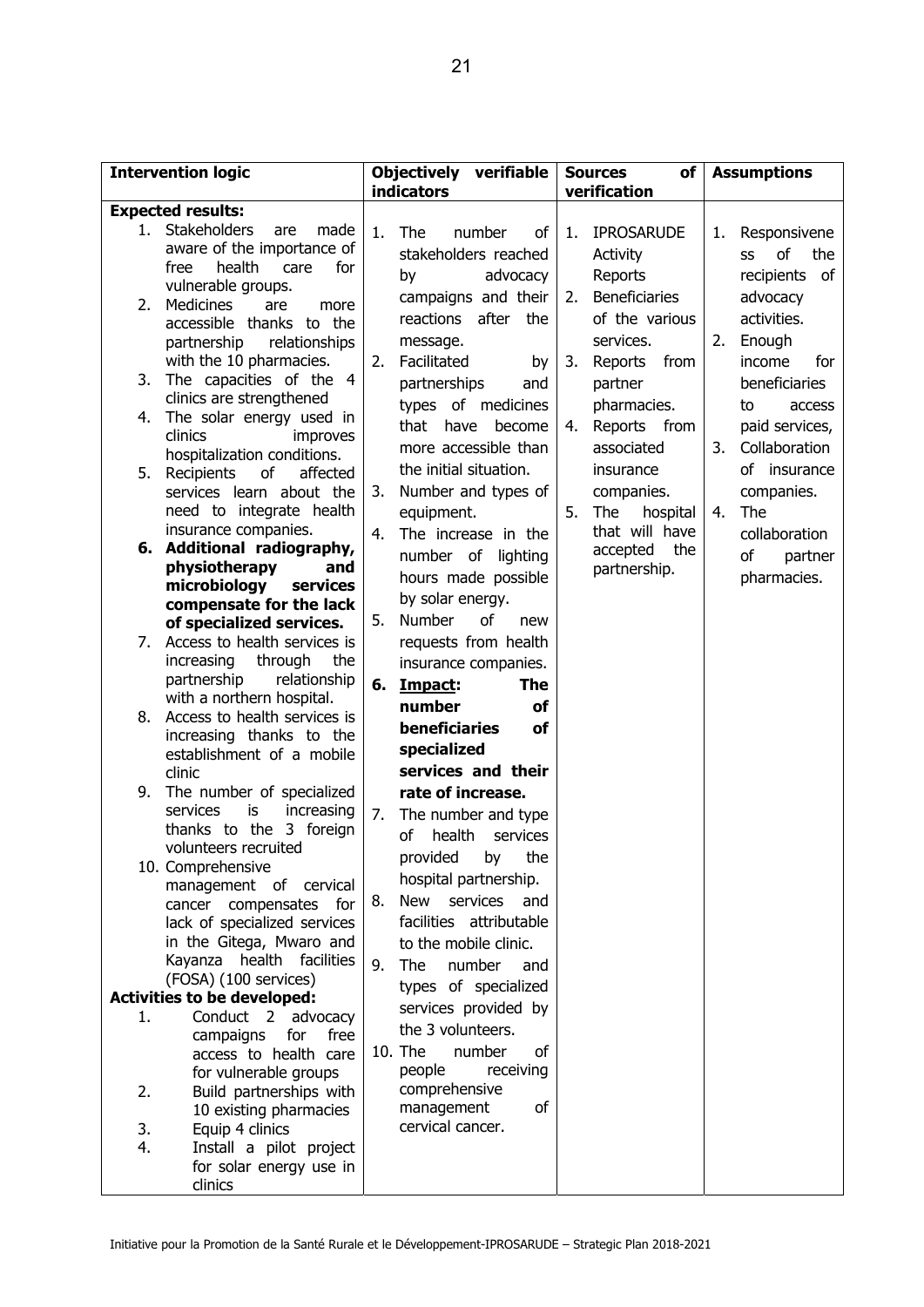|          | <b>Intervention logic</b>                                                                                                                                                               | Objectively verifiable<br><b>indicators</b> |                                                                                                                                                                                  |          | of<br><b>Sources</b><br>verification                                        | <b>Assumptions</b> |                                                                                |  |  |
|----------|-----------------------------------------------------------------------------------------------------------------------------------------------------------------------------------------|---------------------------------------------|----------------------------------------------------------------------------------------------------------------------------------------------------------------------------------|----------|-----------------------------------------------------------------------------|--------------------|--------------------------------------------------------------------------------|--|--|
|          | <b>Expected results:</b>                                                                                                                                                                |                                             |                                                                                                                                                                                  |          |                                                                             |                    |                                                                                |  |  |
| 2.       | 1. Stakeholders<br>are<br>made<br>aware of the importance of<br>health<br>for<br>free<br>care<br>vulnerable groups.<br><b>Medicines</b><br>are<br>more<br>accessible thanks to the      | 1.                                          | The<br>number<br>оf<br>stakeholders reached<br>by<br>advocacy<br>campaigns and their<br>reactions after<br>the                                                                   | 1.<br>2. | <b>IPROSARUDE</b><br>Activity<br>Reports<br>Beneficiaries<br>of the various | 1.                 | Responsivene<br>of<br>the<br>SS<br>of<br>recipients<br>advocacy<br>activities. |  |  |
| 3.       | partnership<br>relationships<br>with the 10 pharmacies.<br>The capacities of the 4<br>clinics are strengthened                                                                          | 2.                                          | message.<br>Facilitated<br>by<br>partnerships<br>and<br>types of medicines                                                                                                       | 3.       | services.<br>Reports<br>from<br>partner<br>pharmacies.                      | 2.                 | Enough<br>income<br>for<br>beneficiaries<br>to<br>access                       |  |  |
| 4.       | The solar energy used in<br>clinics<br>improves<br>hospitalization conditions.                                                                                                          |                                             | have<br>become<br>that<br>more accessible than                                                                                                                                   | 4.       | Reports from<br>associated                                                  | 3.                 | paid services,<br>Collaboration                                                |  |  |
| 5.       | of<br>affected<br>Recipients<br>services learn about the<br>need to integrate health                                                                                                    | 3.                                          | the initial situation.<br>Number and types of<br>equipment.                                                                                                                      | 5.       | insurance<br>companies.<br>The<br>hospital                                  | 4.                 | of insurance<br>companies.<br>The                                              |  |  |
|          | insurance companies.<br>6. Additional radiography,<br>physiotherapy<br>and<br>microbiology<br>services                                                                                  | 4.                                          | The increase in the<br>number of lighting<br>hours made possible                                                                                                                 |          | that will have<br>accepted<br>the<br>partnership.                           |                    | collaboration<br>of<br>partner<br>pharmacies.                                  |  |  |
| 7.       | compensate for the lack<br>of specialized services.<br>Access to health services is<br>increasing<br>through<br>the<br>partnership<br>relationship                                      | 5.<br>6.                                    | by solar energy.<br>of<br><b>Number</b><br>new<br>requests from health<br>insurance companies.<br>The<br>Impact:                                                                 |          |                                                                             |                    |                                                                                |  |  |
| 8.       | with a northern hospital.<br>Access to health services is<br>increasing thanks to the<br>establishment of a mobile<br>clinic                                                            |                                             | number<br>οf<br>beneficiaries<br>of<br>specialized<br>services and their                                                                                                         |          |                                                                             |                    |                                                                                |  |  |
| 9.       | The number of specialized<br>services<br>increasing<br>is<br>thanks to the 3 foreign<br>volunteers recruited                                                                            | 7.                                          | rate of increase.<br>The number and type<br>of<br>health<br>services                                                                                                             |          |                                                                             |                    |                                                                                |  |  |
|          | 10. Comprehensive<br>management of cervical<br>cancer compensates for<br>lack of specialized services<br>in the Gitega, Mwaro and<br>Kayanza health facilities<br>(FOSA) (100 services) | 8.<br>9.                                    | provided by<br>the<br>hospital partnership.<br><b>New</b><br>services<br>and<br>facilities attributable<br>to the mobile clinic.<br>The<br>number<br>and<br>types of specialized |          |                                                                             |                    |                                                                                |  |  |
|          | <b>Activities to be developed:</b>                                                                                                                                                      |                                             | services provided by                                                                                                                                                             |          |                                                                             |                    |                                                                                |  |  |
| 1.<br>2. | Conduct 2 advocacy<br>campaigns<br>for<br>free<br>access to health care<br>for vulnerable groups<br>Build partnerships with                                                             | 10. The                                     | the 3 volunteers.<br>number<br>οf<br>people<br>receiving<br>comprehensive                                                                                                        |          |                                                                             |                    |                                                                                |  |  |
| 3.<br>4. | 10 existing pharmacies<br>Equip 4 clinics<br>Install a pilot project<br>for solar energy use in                                                                                         |                                             | of<br>management<br>cervical cancer.                                                                                                                                             |          |                                                                             |                    |                                                                                |  |  |
|          | clinics                                                                                                                                                                                 |                                             |                                                                                                                                                                                  |          |                                                                             |                    |                                                                                |  |  |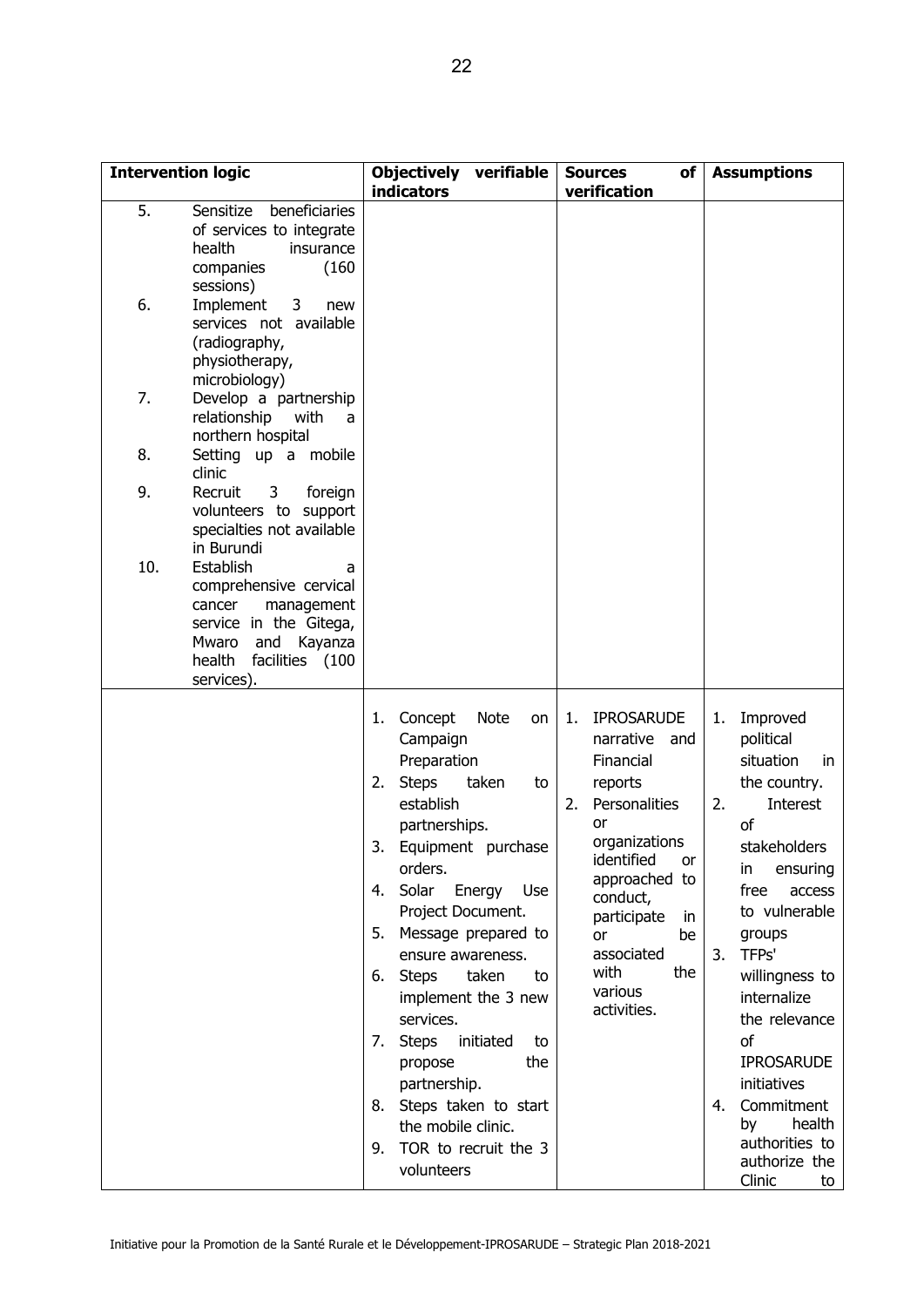| <b>Intervention logic</b>                                                                                                                          | <b>indicators</b>                                                                                                                                                                                                                                                   | <b>Objectively</b><br>verifiable<br><b>Sources</b>                                                                                                                                                                             |                                                                                                                                                                                                                                                            | <b>Assumptions</b>                                                                                                                                                                                                                                                                                                                      |  |  |  |
|----------------------------------------------------------------------------------------------------------------------------------------------------|---------------------------------------------------------------------------------------------------------------------------------------------------------------------------------------------------------------------------------------------------------------------|--------------------------------------------------------------------------------------------------------------------------------------------------------------------------------------------------------------------------------|------------------------------------------------------------------------------------------------------------------------------------------------------------------------------------------------------------------------------------------------------------|-----------------------------------------------------------------------------------------------------------------------------------------------------------------------------------------------------------------------------------------------------------------------------------------------------------------------------------------|--|--|--|
| 5.<br>Sensitize<br>beneficiaries<br>of services to integrate<br>health<br>insurance<br>companies<br>sessions)                                      | (160)                                                                                                                                                                                                                                                               |                                                                                                                                                                                                                                | verification                                                                                                                                                                                                                                               |                                                                                                                                                                                                                                                                                                                                         |  |  |  |
| 6.<br>Implement<br>3<br>services not available<br>(radiography,<br>physiotherapy,<br>microbiology)                                                 | new                                                                                                                                                                                                                                                                 |                                                                                                                                                                                                                                |                                                                                                                                                                                                                                                            |                                                                                                                                                                                                                                                                                                                                         |  |  |  |
| 7.<br>Develop a partnership<br>relationship<br>with<br>northern hospital                                                                           | a                                                                                                                                                                                                                                                                   |                                                                                                                                                                                                                                |                                                                                                                                                                                                                                                            |                                                                                                                                                                                                                                                                                                                                         |  |  |  |
| 8.<br>Setting up a mobile<br>clinic                                                                                                                |                                                                                                                                                                                                                                                                     |                                                                                                                                                                                                                                |                                                                                                                                                                                                                                                            |                                                                                                                                                                                                                                                                                                                                         |  |  |  |
| 9.<br>3<br>Recruit<br>volunteers to support<br>specialties not available<br>in Burundi                                                             | foreign                                                                                                                                                                                                                                                             |                                                                                                                                                                                                                                |                                                                                                                                                                                                                                                            |                                                                                                                                                                                                                                                                                                                                         |  |  |  |
| 10.<br>Establish<br>comprehensive cervical<br>cancer<br>management<br>service in the Gitega,<br>and<br>Mwaro<br>health<br>facilities<br>services). | a<br>Kayanza<br>(100                                                                                                                                                                                                                                                |                                                                                                                                                                                                                                |                                                                                                                                                                                                                                                            |                                                                                                                                                                                                                                                                                                                                         |  |  |  |
|                                                                                                                                                    | Concept<br>1.<br>Campaign<br>Preparation<br><b>Steps</b><br>2.<br>establish<br>partnerships.<br>3.<br>orders.<br>4. Solar<br>5. Message prepared to<br><b>Steps</b><br>6.<br>services.<br><b>Steps</b><br>7.<br>propose<br>partnership.<br>8.<br>the mobile clinic. | <b>Note</b><br>on<br>taken<br>to<br>Equipment purchase<br>Energy Use<br>Project Document.<br>ensure awareness.<br>taken<br>to<br>implement the 3 new<br>initiated<br>to<br>the<br>Steps taken to start<br>TOR to recruit the 3 | <b>IPROSARUDE</b><br>1.<br>narrative<br>and<br>Financial<br>reports<br>Personalities<br>2.<br>or<br>organizations<br>identified<br>or<br>approached to<br>conduct,<br>participate<br>in<br>or<br>be<br>associated<br>with<br>the<br>various<br>activities. | Improved<br>1.<br>political<br>situation<br>in.<br>the country.<br>2.<br>Interest<br>of<br>stakeholders<br>ensuring<br>in<br>free<br>access<br>to vulnerable<br>groups<br>TFPs'<br>3.<br>willingness to<br>internalize<br>the relevance<br>of<br><b>IPROSARUDE</b><br>initiatives<br>Commitment<br>4.<br>health<br>by<br>authorities to |  |  |  |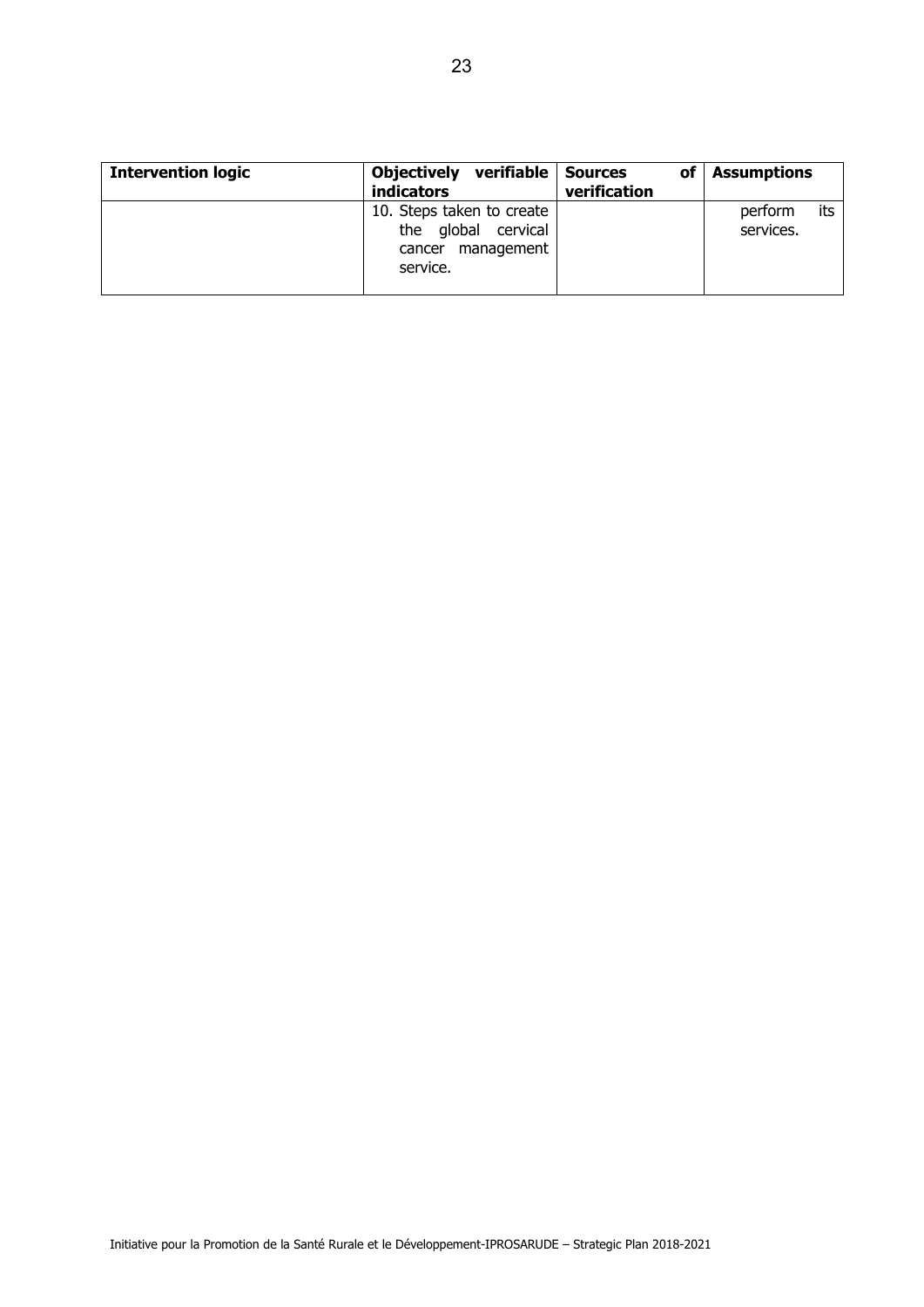| <b>Intervention logic</b> | Objectively verifiable Sources<br><b>indicators</b>                                  | оf<br>verification | <b>Assumptions</b>          |
|---------------------------|--------------------------------------------------------------------------------------|--------------------|-----------------------------|
|                           | 10. Steps taken to create<br>the global cervical<br>management<br>cancer<br>service. |                    | its<br>perform<br>services. |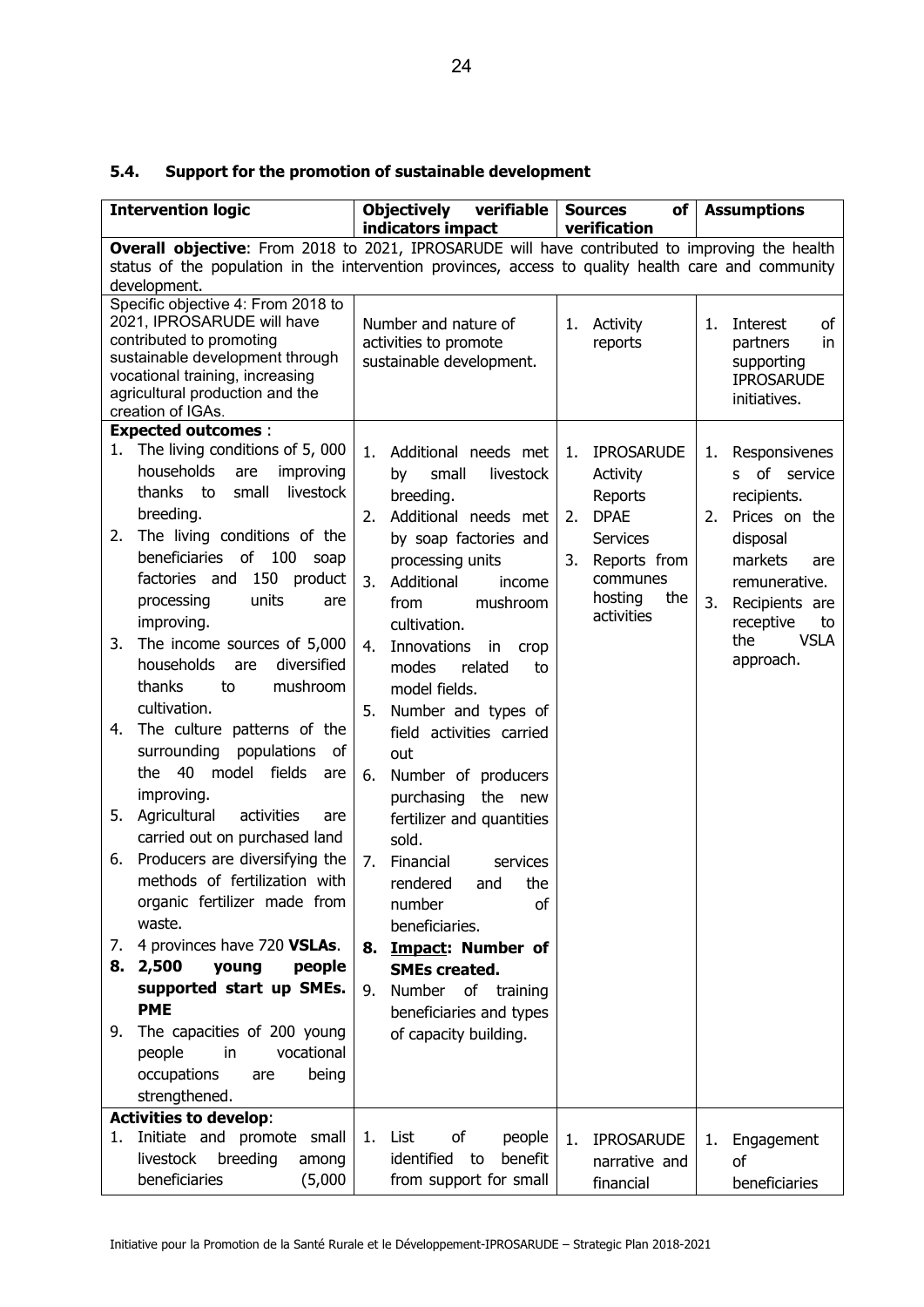| 5.4. | Support for the promotion of sustainable development |  |  |  |
|------|------------------------------------------------------|--|--|--|
|------|------------------------------------------------------|--|--|--|

|    | <b>Intervention logic</b>                                                                           |    | <b>Objectively</b><br>verifiable              |    | $of \sqrt{}$<br><b>Sources</b> |    | <b>Assumptions</b>                |
|----|-----------------------------------------------------------------------------------------------------|----|-----------------------------------------------|----|--------------------------------|----|-----------------------------------|
|    | Overall objective: From 2018 to 2021, IPROSARUDE will have contributed to improving the health      |    | indicators impact                             |    | verification                   |    |                                   |
|    | status of the population in the intervention provinces, access to quality health care and community |    |                                               |    |                                |    |                                   |
|    | development.                                                                                        |    |                                               |    |                                |    |                                   |
|    | Specific objective 4: From 2018 to<br>2021, IPROSARUDE will have                                    |    |                                               |    |                                |    |                                   |
|    | contributed to promoting                                                                            |    | Number and nature of<br>activities to promote | 1. | Activity<br>reports            | 1. | Interest<br>оf<br>partners<br>in. |
|    | sustainable development through                                                                     |    | sustainable development.                      |    |                                |    | supporting                        |
|    | vocational training, increasing                                                                     |    |                                               |    |                                |    | <b>IPROSARUDE</b>                 |
|    | agricultural production and the<br>creation of IGAs.                                                |    |                                               |    |                                |    | initiatives.                      |
|    | <b>Expected outcomes:</b>                                                                           |    |                                               |    |                                |    |                                   |
|    | 1. The living conditions of 5,000                                                                   | 1. | Additional needs met                          | 1. | <b>IPROSARUDE</b>              | 1. | Responsivenes                     |
|    | households<br>improving<br>are                                                                      |    | small<br>livestock<br>by                      |    | Activity                       |    | of service<br>S.                  |
|    | thanks to<br>small<br>livestock                                                                     |    | breeding.                                     |    | Reports                        |    | recipients.                       |
|    | breeding.                                                                                           | 2. | Additional needs met                          | 2. | <b>DPAE</b>                    | 2. | Prices on the                     |
| 2. | The living conditions of the                                                                        |    | by soap factories and                         |    | <b>Services</b>                |    | disposal                          |
|    | beneficiaries of 100 soap                                                                           |    | processing units                              | 3. | Reports from                   |    | markets<br>are                    |
|    | factories and 150 product                                                                           | 3. | Additional<br>income                          |    | communes                       |    | remunerative.                     |
|    | units<br>processing<br>are                                                                          |    | mushroom<br>from                              |    | hosting<br>the                 | 3. | Recipients are                    |
|    | improving.                                                                                          |    | cultivation.                                  |    | activities                     |    | receptive<br>to                   |
| 3. | The income sources of 5,000                                                                         | 4. | Innovations<br>in<br>crop                     |    |                                |    | the<br><b>VSLA</b>                |
|    | diversified<br>households<br>are                                                                    |    | modes<br>related<br>to                        |    |                                |    | approach.                         |
|    | thanks<br>mushroom<br>to                                                                            |    | model fields.                                 |    |                                |    |                                   |
|    | cultivation.                                                                                        | 5. | Number and types of                           |    |                                |    |                                   |
| 4. | The culture patterns of the                                                                         |    | field activities carried                      |    |                                |    |                                   |
|    | surrounding<br>populations<br>of                                                                    |    | out                                           |    |                                |    |                                   |
|    | 40<br>model fields<br>the<br>are                                                                    | 6. | Number of producers                           |    |                                |    |                                   |
|    | improving.                                                                                          |    | purchasing the new                            |    |                                |    |                                   |
| 5. | Agricultural<br>activities<br>are                                                                   |    | fertilizer and quantities                     |    |                                |    |                                   |
|    | carried out on purchased land                                                                       |    | sold.                                         |    |                                |    |                                   |
| 6. | Producers are diversifying the                                                                      | 7. | Financial<br>services                         |    |                                |    |                                   |
|    | methods of fertilization with                                                                       |    | the<br>rendered<br>and                        |    |                                |    |                                   |
|    | organic fertilizer made from                                                                        |    | number<br>οf                                  |    |                                |    |                                   |
|    | waste.                                                                                              |    | beneficiaries.                                |    |                                |    |                                   |
| 7. | 4 provinces have 720 VSLAs.                                                                         |    | 8. Impact: Number of                          |    |                                |    |                                   |
|    | 8. 2,500<br>young<br>people                                                                         |    | <b>SMEs created.</b>                          |    |                                |    |                                   |
|    | supported start up SMEs.<br><b>PME</b>                                                              | 9. | Number of training                            |    |                                |    |                                   |
|    |                                                                                                     |    | beneficiaries and types                       |    |                                |    |                                   |
| 9. | The capacities of 200 young<br>people<br>in<br>vocational                                           |    | of capacity building.                         |    |                                |    |                                   |
|    | occupations<br>being<br>are                                                                         |    |                                               |    |                                |    |                                   |
|    | strengthened.                                                                                       |    |                                               |    |                                |    |                                   |
|    | <b>Activities to develop:</b>                                                                       |    |                                               |    |                                |    |                                   |
| 1. | Initiate and promote small                                                                          | 1. | List<br>оf<br>people                          | 1. | <b>IPROSARUDE</b>              | 1. | Engagement                        |
|    | breeding<br>livestock<br>among                                                                      |    | benefit<br>identified to                      |    | narrative and                  |    | of                                |
|    | beneficiaries<br>(5,000)                                                                            |    | from support for small                        |    | financial                      |    | beneficiaries                     |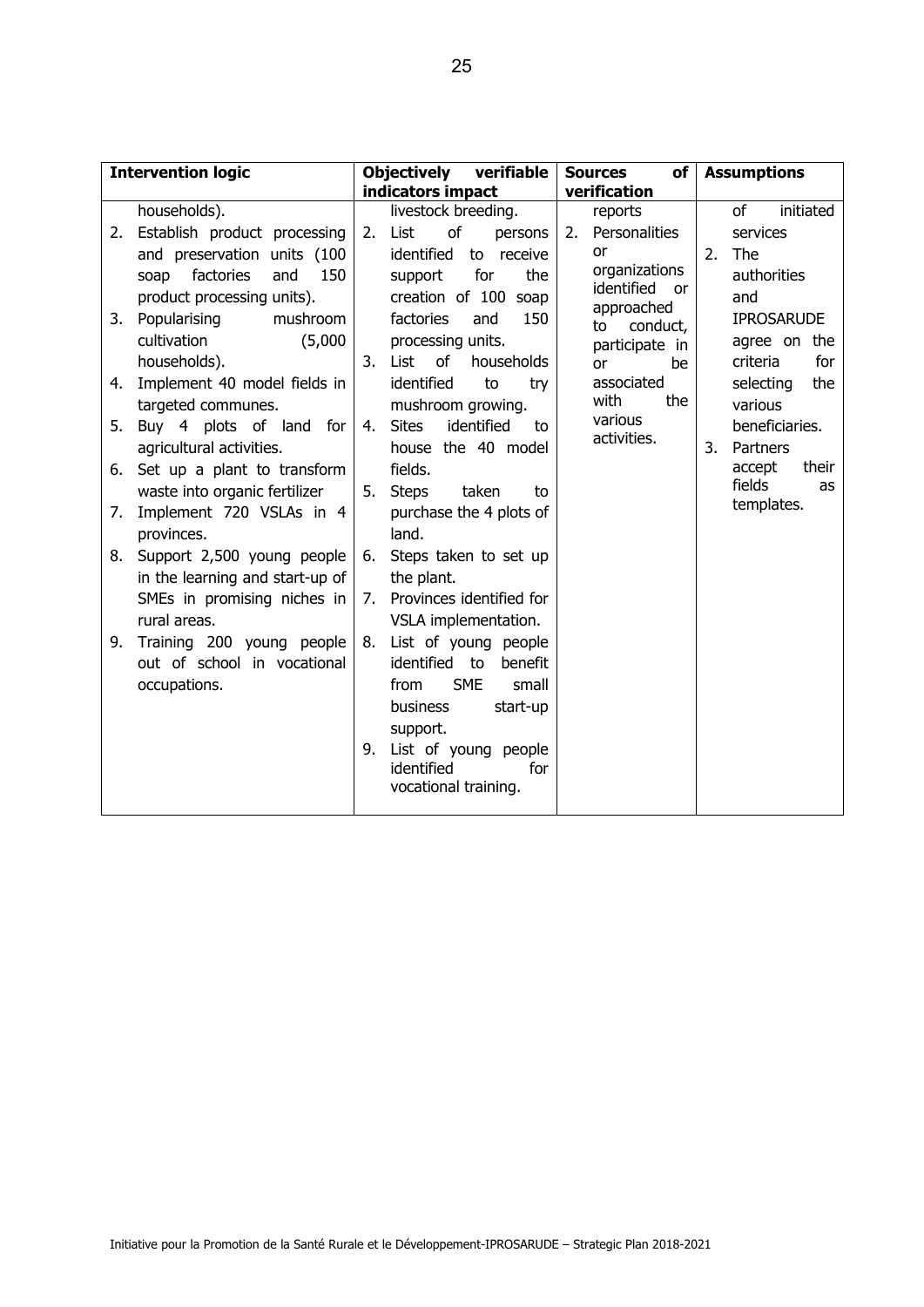| <b>Intervention logic</b>                                                                                                                                                                                                                                                                                                                                                                                                                                                     | <b>Objectively</b><br>verifiable                                                                                                                                                                                                                                                                                                                                                                                                 | <b>Sources</b><br>of <sub>l</sub>                                                                                                                                                                                     | <b>Assumptions</b>                                                                                                                                                                                                                         |  |  |
|-------------------------------------------------------------------------------------------------------------------------------------------------------------------------------------------------------------------------------------------------------------------------------------------------------------------------------------------------------------------------------------------------------------------------------------------------------------------------------|----------------------------------------------------------------------------------------------------------------------------------------------------------------------------------------------------------------------------------------------------------------------------------------------------------------------------------------------------------------------------------------------------------------------------------|-----------------------------------------------------------------------------------------------------------------------------------------------------------------------------------------------------------------------|--------------------------------------------------------------------------------------------------------------------------------------------------------------------------------------------------------------------------------------------|--|--|
| households).<br>Establish product processing<br>2.<br>and preservation units (100<br>factories<br>150<br>and<br>soap<br>product processing units).<br>Popularising<br>mushroom<br>3.<br>cultivation<br>(5,000)<br>households).<br>Implement 40 model fields in<br>4.<br>targeted communes.<br>Buy 4 plots of land for<br>5.<br>agricultural activities.<br>Set up a plant to transform<br>6.<br>waste into organic fertilizer<br>Implement 720 VSLAs in 4<br>7.<br>provinces. | indicators impact<br>livestock breeding.<br>of<br>List<br>2.<br>persons<br>identified<br>to receive<br>for<br>the<br>support<br>creation of 100 soap<br>150<br>factories<br>and<br>processing units.<br>of<br>List<br>households<br>3.<br>identified<br>to<br>try<br>mushroom growing.<br>4. Sites<br>identified<br>to<br>house the 40 model<br>fields.<br>5.<br><b>Steps</b><br>taken<br>to<br>purchase the 4 plots of<br>land. | verification<br>reports<br>Personalities<br>2.<br>or<br>organizations<br>identified<br><b>or</b><br>approached<br>conduct,<br>to<br>participate in<br>be<br>0r<br>associated<br>the<br>with<br>various<br>activities. | initiated<br>of<br>services<br>The<br>2.<br>authorities<br>and<br><b>IPROSARUDE</b><br>agree on the<br>for<br>criteria<br>selecting<br>the<br>various<br>beneficiaries.<br>3.<br>Partners<br>their<br>accept<br>fields<br>as<br>templates. |  |  |
| Support 2,500 young people<br>8.<br>in the learning and start-up of<br>SMEs in promising niches in<br>rural areas.<br>Training 200 young people<br>9.<br>out of school in vocational<br>occupations.                                                                                                                                                                                                                                                                          | Steps taken to set up<br>6.<br>the plant.<br>Provinces identified for<br>7.<br>VSLA implementation.<br>List of young people<br>8.<br>identified to<br>benefit<br><b>SME</b><br>small<br>from<br>business<br>start-up<br>support.<br>List of young people<br>9.<br>identified<br>for<br>vocational training.                                                                                                                      |                                                                                                                                                                                                                       |                                                                                                                                                                                                                                            |  |  |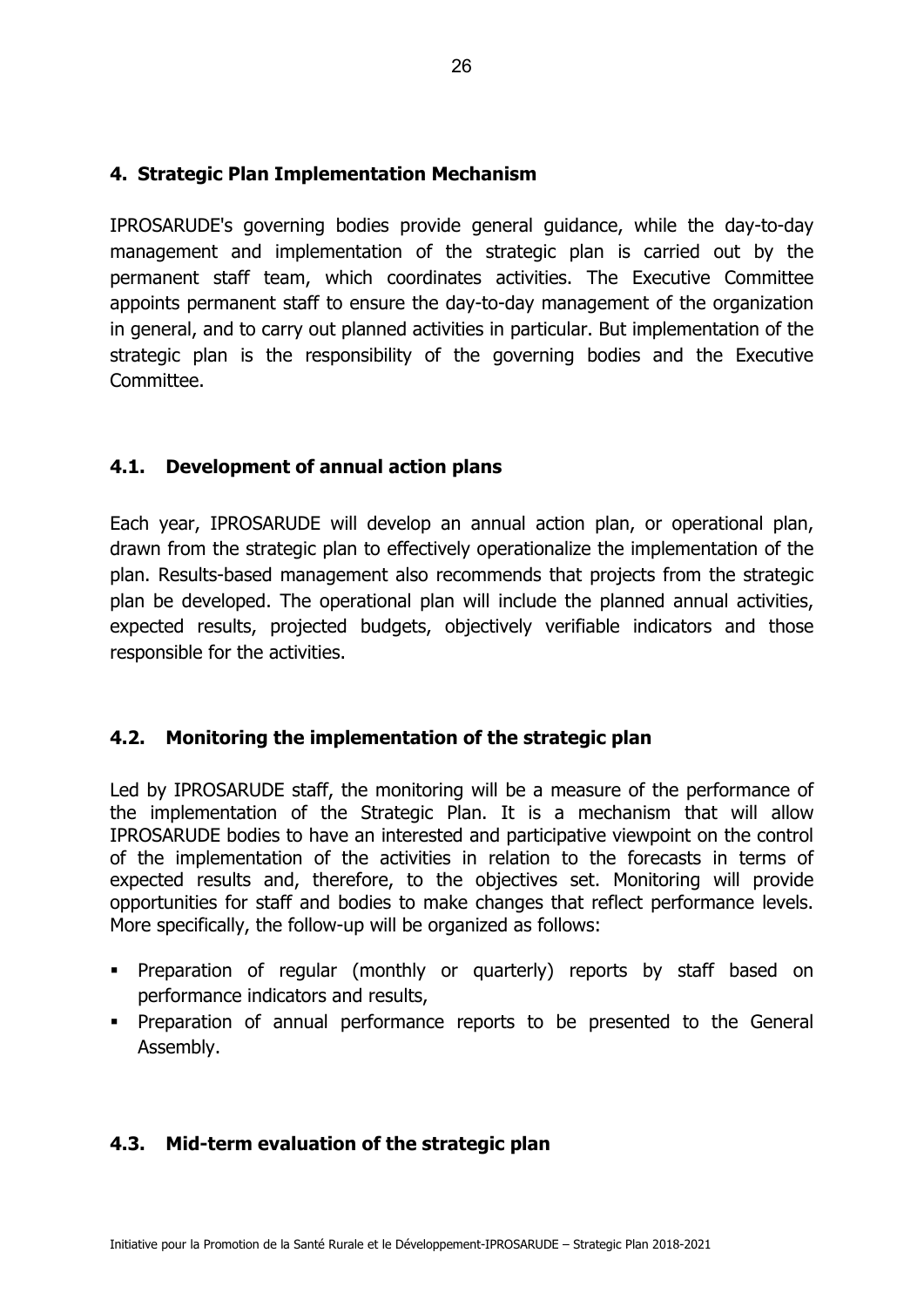#### **4. Strategic Plan Implementation Mechanism**

IPROSARUDE's governing bodies provide general guidance, while the day-to-day management and implementation of the strategic plan is carried out by the permanent staff team, which coordinates activities. The Executive Committee appoints permanent staff to ensure the day-to-day management of the organization in general, and to carry out planned activities in particular. But implementation of the strategic plan is the responsibility of the governing bodies and the Executive Committee.

#### **4.1. Development of annual action plans**

Each year, IPROSARUDE will develop an annual action plan, or operational plan, drawn from the strategic plan to effectively operationalize the implementation of the plan. Results-based management also recommends that projects from the strategic plan be developed. The operational plan will include the planned annual activities, expected results, projected budgets, objectively verifiable indicators and those responsible for the activities.

#### **4.2. Monitoring the implementation of the strategic plan**

Led by IPROSARUDE staff, the monitoring will be a measure of the performance of the implementation of the Strategic Plan. It is a mechanism that will allow IPROSARUDE bodies to have an interested and participative viewpoint on the control of the implementation of the activities in relation to the forecasts in terms of expected results and, therefore, to the objectives set. Monitoring will provide opportunities for staff and bodies to make changes that reflect performance levels. More specifically, the follow-up will be organized as follows:

- Preparation of regular (monthly or quarterly) reports by staff based on performance indicators and results,
- Preparation of annual performance reports to be presented to the General Assembly.

#### **4.3. Mid-term evaluation of the strategic plan**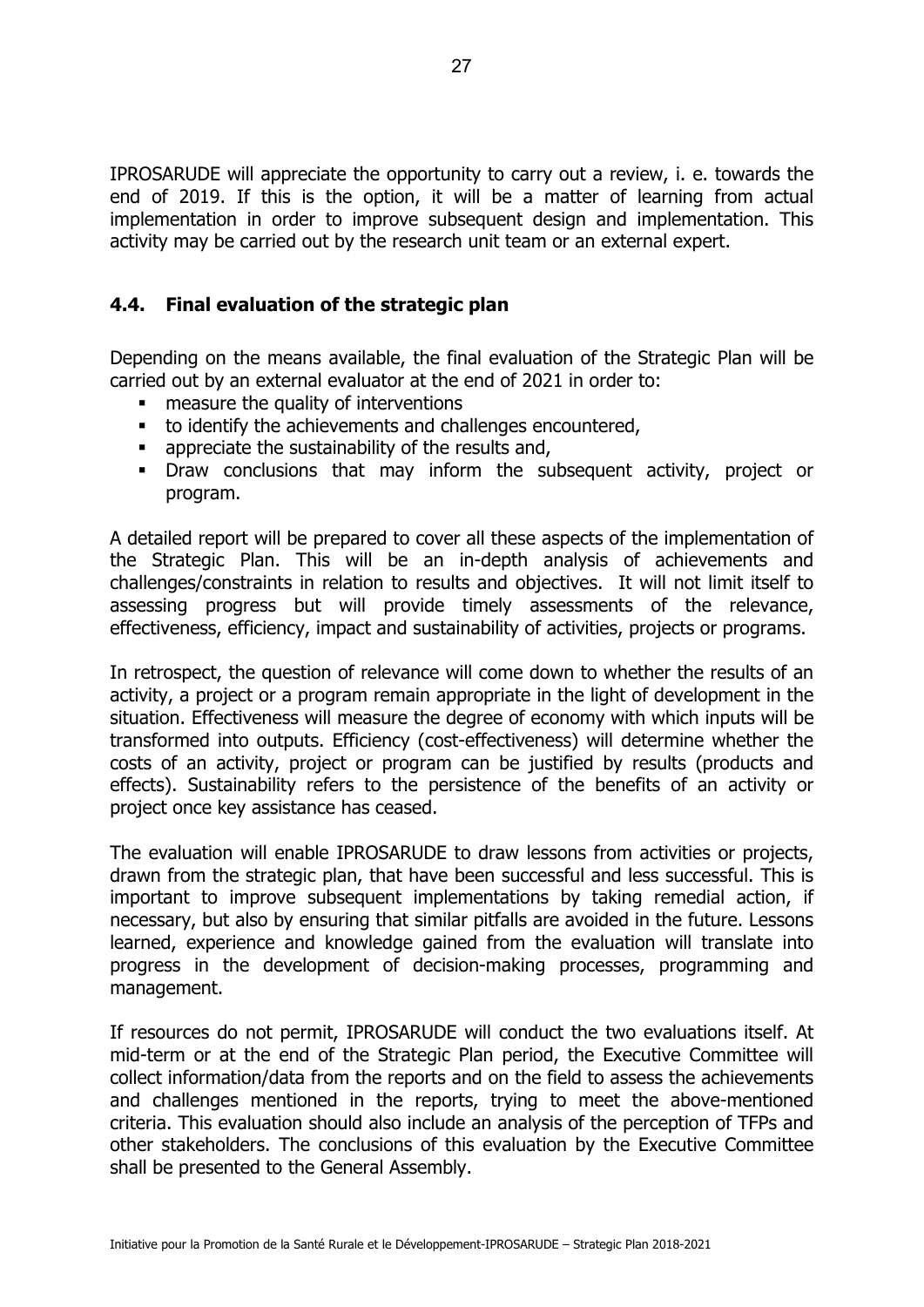IPROSARUDE will appreciate the opportunity to carry out a review, i. e. towards the end of 2019. If this is the option, it will be a matter of learning from actual implementation in order to improve subsequent design and implementation. This activity may be carried out by the research unit team or an external expert.

#### **4.4. Final evaluation of the strategic plan**

Depending on the means available, the final evaluation of the Strategic Plan will be carried out by an external evaluator at the end of 2021 in order to:

- measure the quality of interventions
- to identify the achievements and challenges encountered,
- appreciate the sustainability of the results and,
- Draw conclusions that may inform the subsequent activity, project or program.

A detailed report will be prepared to cover all these aspects of the implementation of the Strategic Plan. This will be an in-depth analysis of achievements and challenges/constraints in relation to results and objectives. It will not limit itself to assessing progress but will provide timely assessments of the relevance, effectiveness, efficiency, impact and sustainability of activities, projects or programs.

In retrospect, the question of relevance will come down to whether the results of an activity, a project or a program remain appropriate in the light of development in the situation. Effectiveness will measure the degree of economy with which inputs will be transformed into outputs. Efficiency (cost-effectiveness) will determine whether the costs of an activity, project or program can be justified by results (products and effects). Sustainability refers to the persistence of the benefits of an activity or project once key assistance has ceased.

The evaluation will enable IPROSARUDE to draw lessons from activities or projects, drawn from the strategic plan, that have been successful and less successful. This is important to improve subsequent implementations by taking remedial action, if necessary, but also by ensuring that similar pitfalls are avoided in the future. Lessons learned, experience and knowledge gained from the evaluation will translate into progress in the development of decision-making processes, programming and management.

If resources do not permit, IPROSARUDE will conduct the two evaluations itself. At mid-term or at the end of the Strategic Plan period, the Executive Committee will collect information/data from the reports and on the field to assess the achievements and challenges mentioned in the reports, trying to meet the above-mentioned criteria. This evaluation should also include an analysis of the perception of TFPs and other stakeholders. The conclusions of this evaluation by the Executive Committee shall be presented to the General Assembly.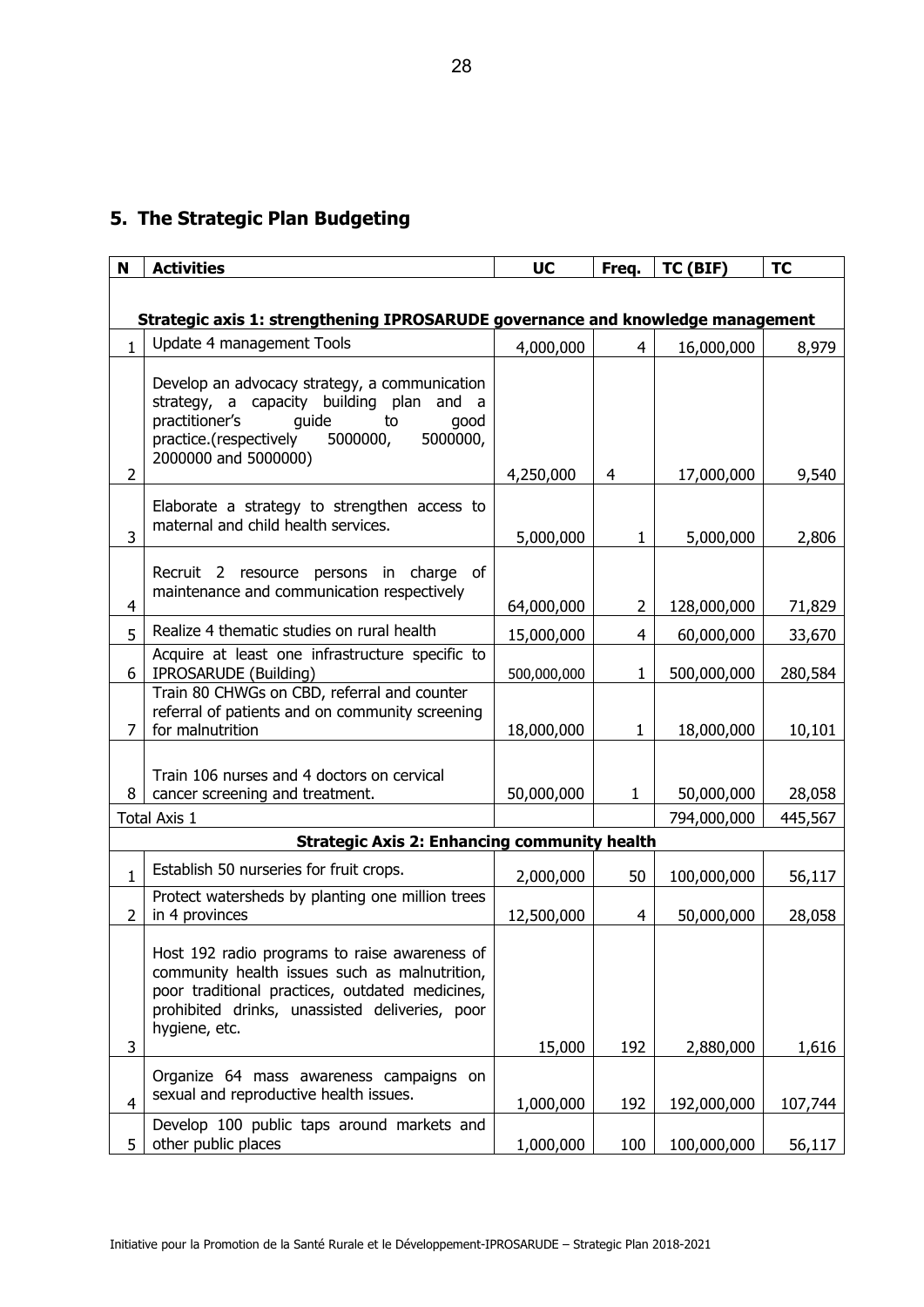## **5. The Strategic Plan Budgeting**

| N                                                                              | <b>Activities</b>                                                                                                                                                                                                    | <b>UC</b>   | Freq.          | TC (BIF)    | <b>TC</b> |  |  |  |  |
|--------------------------------------------------------------------------------|----------------------------------------------------------------------------------------------------------------------------------------------------------------------------------------------------------------------|-------------|----------------|-------------|-----------|--|--|--|--|
|                                                                                |                                                                                                                                                                                                                      |             |                |             |           |  |  |  |  |
| Strategic axis 1: strengthening IPROSARUDE governance and knowledge management |                                                                                                                                                                                                                      |             |                |             |           |  |  |  |  |
| $\mathbf{1}$                                                                   | Update 4 management Tools                                                                                                                                                                                            | 4,000,000   | $\overline{4}$ | 16,000,000  | 8,979     |  |  |  |  |
| $\overline{2}$                                                                 | Develop an advocacy strategy, a communication<br>strategy, a capacity building plan and a<br>practitioner's<br>quide<br>to<br>good<br>5000000,<br>practice.(respectively<br>5000000,<br>2000000 and 5000000)         | 4,250,000   | $\overline{4}$ | 17,000,000  | 9,540     |  |  |  |  |
| 3                                                                              | Elaborate a strategy to strengthen access to<br>maternal and child health services.                                                                                                                                  | 5,000,000   | $\mathbf{1}$   | 5,000,000   | 2,806     |  |  |  |  |
| 4                                                                              | of<br>Recruit 2 resource persons in charge<br>maintenance and communication respectively                                                                                                                             | 64,000,000  | $\overline{2}$ | 128,000,000 | 71,829    |  |  |  |  |
| 5                                                                              | Realize 4 thematic studies on rural health                                                                                                                                                                           | 15,000,000  | 4              | 60,000,000  | 33,670    |  |  |  |  |
| 6                                                                              | Acquire at least one infrastructure specific to<br>IPROSARUDE (Building)                                                                                                                                             | 500,000,000 | $\mathbf{1}$   | 500,000,000 | 280,584   |  |  |  |  |
| $\overline{7}$                                                                 | Train 80 CHWGs on CBD, referral and counter<br>referral of patients and on community screening<br>for malnutrition                                                                                                   | 18,000,000  | $\mathbf{1}$   | 18,000,000  | 10,101    |  |  |  |  |
| 8                                                                              | Train 106 nurses and 4 doctors on cervical<br>cancer screening and treatment.                                                                                                                                        | 50,000,000  | $\mathbf{1}$   | 50,000,000  | 28,058    |  |  |  |  |
|                                                                                | Total Axis 1                                                                                                                                                                                                         |             |                | 794,000,000 | 445,567   |  |  |  |  |
|                                                                                | <b>Strategic Axis 2: Enhancing community health</b>                                                                                                                                                                  |             |                |             |           |  |  |  |  |
| $\mathbf{1}$                                                                   | Establish 50 nurseries for fruit crops.                                                                                                                                                                              | 2,000,000   | 50             | 100,000,000 | 56,117    |  |  |  |  |
| 2                                                                              | Protect watersheds by planting one million trees<br>in 4 provinces                                                                                                                                                   | 12,500,000  | 4              | 50,000,000  | 28,058    |  |  |  |  |
| 3                                                                              | Host 192 radio programs to raise awareness of<br>community health issues such as malnutrition,<br>poor traditional practices, outdated medicines,<br>prohibited drinks, unassisted deliveries, poor<br>hygiene, etc. | 15,000      | 192            | 2,880,000   | 1,616     |  |  |  |  |
| $\overline{4}$                                                                 | Organize 64 mass awareness campaigns on<br>sexual and reproductive health issues.                                                                                                                                    | 1,000,000   | 192            | 192,000,000 | 107,744   |  |  |  |  |
| 5                                                                              | Develop 100 public taps around markets and<br>other public places                                                                                                                                                    | 1,000,000   | 100            | 100,000,000 | 56,117    |  |  |  |  |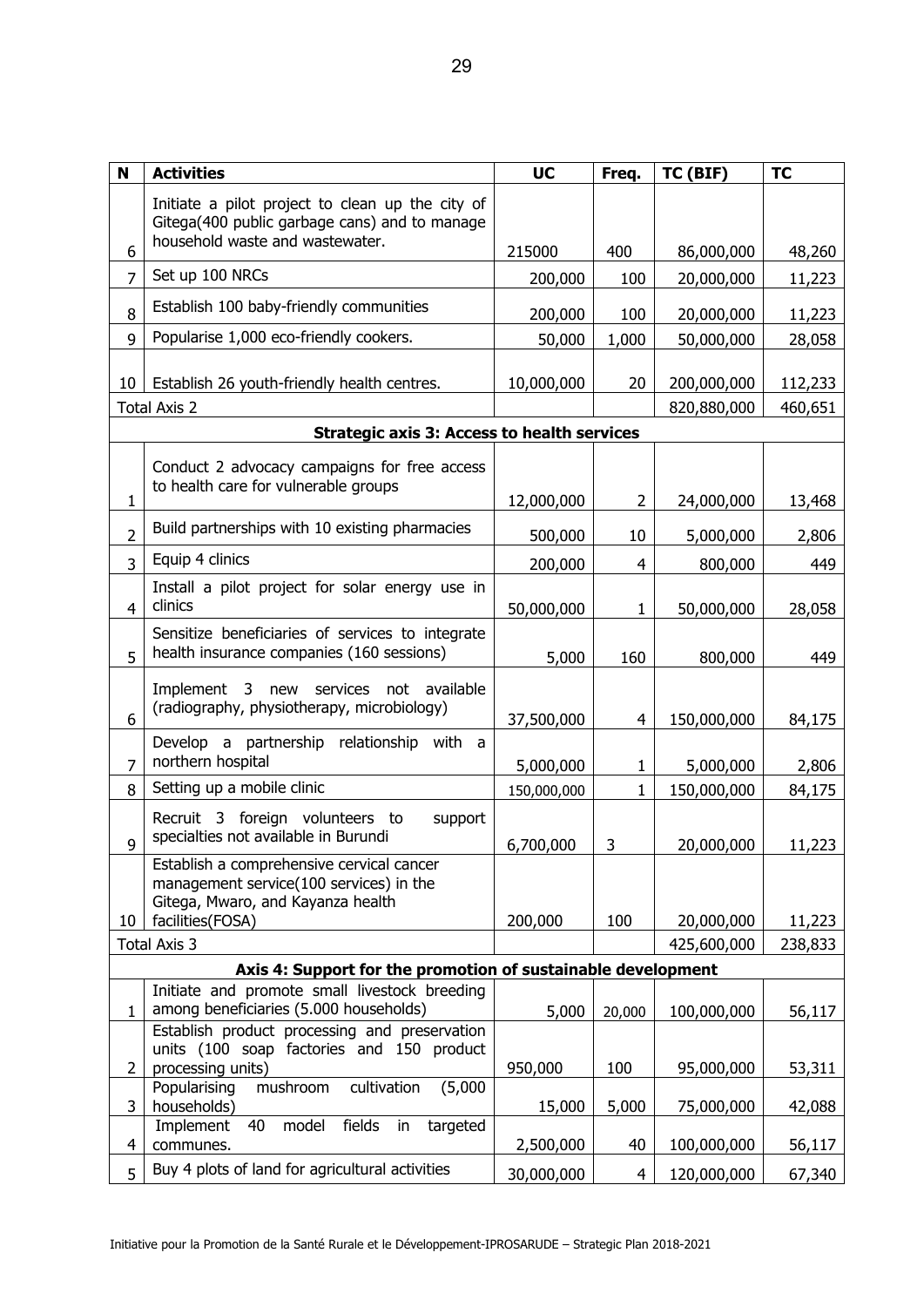| N               | <b>Activities</b>                                                                                                                    | <b>UC</b>   | Freq.          | TC (BIF)    | <b>TC</b> |
|-----------------|--------------------------------------------------------------------------------------------------------------------------------------|-------------|----------------|-------------|-----------|
|                 | Initiate a pilot project to clean up the city of<br>Gitega(400 public garbage cans) and to manage<br>household waste and wastewater. |             |                |             |           |
| 6               |                                                                                                                                      | 215000      | 400            | 86,000,000  | 48,260    |
| $\overline{7}$  | Set up 100 NRCs                                                                                                                      | 200,000     | 100            | 20,000,000  | 11,223    |
| 8               | Establish 100 baby-friendly communities                                                                                              | 200,000     | 100            | 20,000,000  | 11,223    |
| 9               | Popularise 1,000 eco-friendly cookers.                                                                                               | 50,000      | 1,000          | 50,000,000  | 28,058    |
| 10 <sup>°</sup> | Establish 26 youth-friendly health centres.                                                                                          | 10,000,000  | 20             | 200,000,000 | 112,233   |
|                 | <b>Total Axis 2</b>                                                                                                                  |             |                | 820,880,000 | 460,651   |
|                 | <b>Strategic axis 3: Access to health services</b>                                                                                   |             |                |             |           |
|                 | Conduct 2 advocacy campaigns for free access<br>to health care for vulnerable groups                                                 |             |                |             |           |
| 1               |                                                                                                                                      | 12,000,000  | $\overline{2}$ | 24,000,000  | 13,468    |
| $\overline{2}$  | Build partnerships with 10 existing pharmacies                                                                                       | 500,000     | 10             | 5,000,000   | 2,806     |
| 3               | Equip 4 clinics                                                                                                                      | 200,000     | 4              | 800,000     | 449       |
| 4               | Install a pilot project for solar energy use in<br>clinics                                                                           | 50,000,000  | 1              | 50,000,000  | 28,058    |
| 5               | Sensitize beneficiaries of services to integrate<br>health insurance companies (160 sessions)                                        | 5,000       | 160            | 800,000     | 449       |
| 6               | Implement 3 new services not available<br>(radiography, physiotherapy, microbiology)                                                 | 37,500,000  | $\overline{4}$ | 150,000,000 | 84,175    |
| $\overline{7}$  | Develop a partnership relationship with a<br>northern hospital                                                                       | 5,000,000   | 1              | 5,000,000   | 2,806     |
| 8               | Setting up a mobile clinic                                                                                                           | 150,000,000 | $\mathbf{1}$   | 150,000,000 | 84,175    |
| 9               | Recruit 3 foreign volunteers to<br>support<br>specialties not available in Burundi                                                   | 6,700,000   | 3              | 20,000,000  | 11,223    |
|                 | Establish a comprehensive cervical cancer<br>management service(100 services) in the<br>Gitega, Mwaro, and Kayanza health            |             |                |             |           |
| 10              | facilities (FOSA)                                                                                                                    | 200,000     | 100            | 20,000,000  | 11,223    |
|                 | <b>Total Axis 3</b>                                                                                                                  |             |                | 425,600,000 | 238,833   |
|                 | Axis 4: Support for the promotion of sustainable development                                                                         |             |                |             |           |
| 1               | Initiate and promote small livestock breeding<br>among beneficiaries (5.000 households)                                              | 5,000       | 20,000         | 100,000,000 | 56,117    |
| $\overline{2}$  | Establish product processing and preservation<br>units (100 soap factories and 150 product<br>processing units)                      | 950,000     | 100            | 95,000,000  | 53,311    |
| 3               | mushroom<br>cultivation<br>(5,000)<br>Popularising<br>households)                                                                    | 15,000      | 5,000          | 75,000,000  | 42,088    |
| $\overline{4}$  | fields<br>model<br>Implement<br>40<br>in<br>targeted<br>communes.                                                                    | 2,500,000   | 40             | 100,000,000 | 56,117    |
| 5               | Buy 4 plots of land for agricultural activities                                                                                      | 30,000,000  | 4              | 120,000,000 | 67,340    |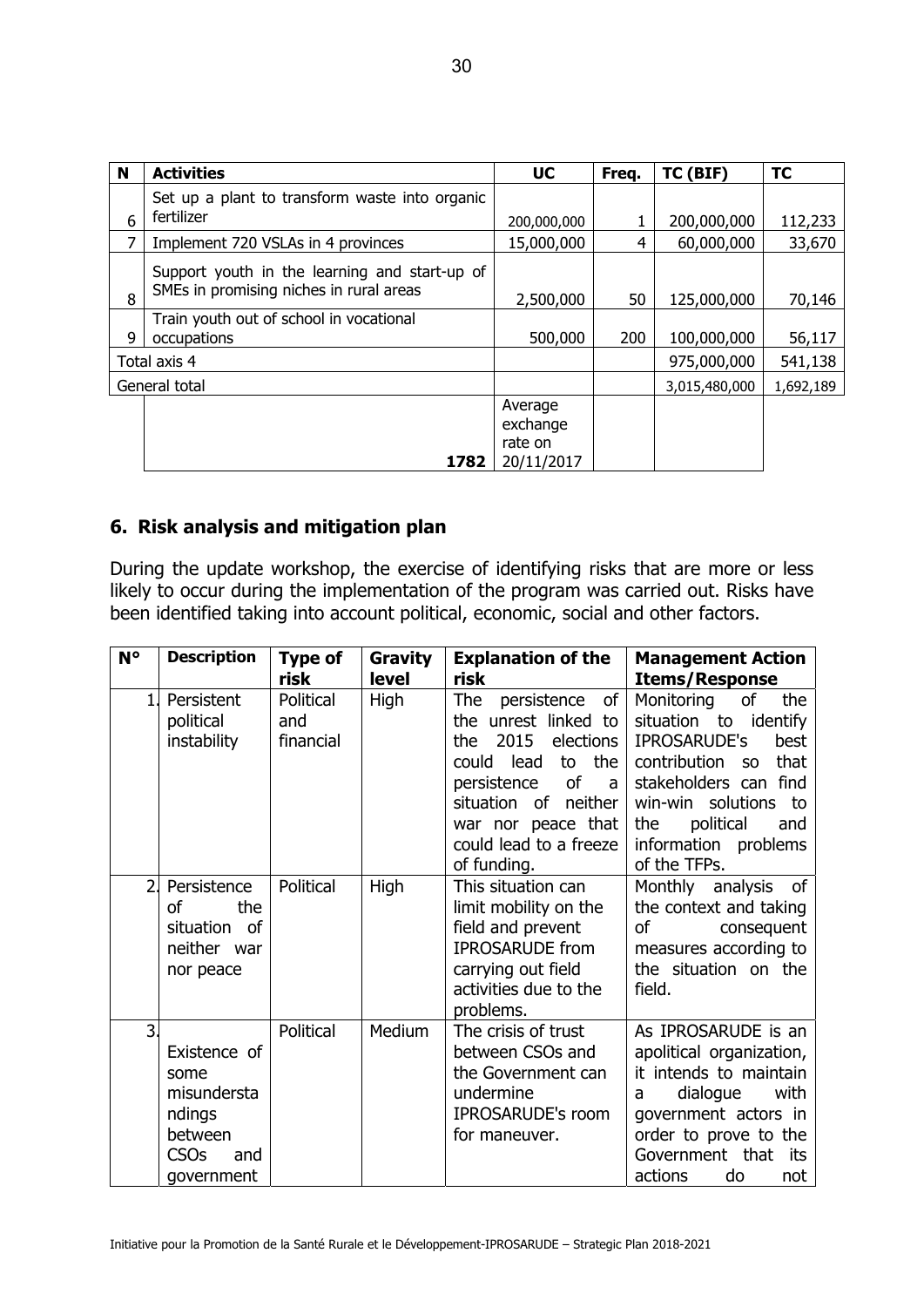| N | <b>Activities</b>                                                                        | <b>UC</b>                                    | Freq. | TC (BIF)      | <b>TC</b> |
|---|------------------------------------------------------------------------------------------|----------------------------------------------|-------|---------------|-----------|
| 6 | Set up a plant to transform waste into organic<br>fertilizer                             | 200,000,000                                  |       | 200,000,000   | 112,233   |
| 7 | Implement 720 VSLAs in 4 provinces                                                       | 15,000,000                                   | 4     | 60,000,000    | 33,670    |
| 8 | Support youth in the learning and start-up of<br>SMEs in promising niches in rural areas | 2,500,000                                    | 50    | 125,000,000   | 70,146    |
| 9 | Train youth out of school in vocational<br>occupations                                   | 500,000                                      | 200   | 100,000,000   | 56,117    |
|   | Total axis 4                                                                             |                                              |       | 975,000,000   | 541,138   |
|   | General total                                                                            |                                              |       | 3,015,480,000 | 1,692,189 |
|   | 1782                                                                                     | Average<br>exchange<br>rate on<br>20/11/2017 |       |               |           |

#### **6. Risk analysis and mitigation plan**

During the update workshop, the exercise of identifying risks that are more or less likely to occur during the implementation of the program was carried out. Risks have been identified taking into account political, economic, social and other factors.

| <b>N°</b>      | <b>Description</b>                                                                           | <b>Type of</b><br>risk        | Gravity<br>level | <b>Explanation of the</b><br>risk                                                                                                                                                                                                  | <b>Management Action</b><br><b>Items/Response</b>                                                                                                                                                                                                 |
|----------------|----------------------------------------------------------------------------------------------|-------------------------------|------------------|------------------------------------------------------------------------------------------------------------------------------------------------------------------------------------------------------------------------------------|---------------------------------------------------------------------------------------------------------------------------------------------------------------------------------------------------------------------------------------------------|
| $\mathbf{1}$   | Persistent<br>political<br>instability                                                       | Political<br>and<br>financial | <b>High</b>      | The<br>оf<br>persistence<br>the unrest linked<br>to<br>2015<br>elections<br>the.<br>the<br>could<br>lead<br>to<br>of<br>persistence<br>a<br>situation of<br>neither<br>war nor peace that<br>could lead to a freeze<br>of funding. | Monitoring<br>the<br>οf<br>situation to<br>identify<br><b>IPROSARUDE's</b><br>best<br>that<br>contribution<br>SO <sub>0</sub><br>stakeholders can find<br>win-win solutions to<br>political<br>the<br>and<br>information problems<br>of the TFPs. |
| 2 <sub>l</sub> | Persistence<br><sub>of</sub><br>the<br>situation of<br>neither war<br>nor peace              | Political                     | High             | This situation can<br>limit mobility on the<br>field and prevent<br><b>IPROSARUDE</b> from<br>carrying out field<br>activities due to the<br>problems.                                                                             | Monthly analysis of<br>the context and taking<br><sub>of</sub><br>consequent<br>measures according to<br>the situation on the<br>field.                                                                                                           |
| 3.             | Existence of<br>some<br>misundersta<br>ndings<br>between<br><b>CSOs</b><br>and<br>government | Political                     | Medium           | The crisis of trust<br>between CSOs and<br>the Government can<br>undermine<br><b>IPROSARUDE's room</b><br>for maneuver.                                                                                                            | As IPROSARUDE is an<br>apolitical organization,<br>it intends to maintain<br>dialogue<br>with<br>a<br>government actors in<br>order to prove to the<br>Government that<br>its<br>actions<br>do<br>not                                             |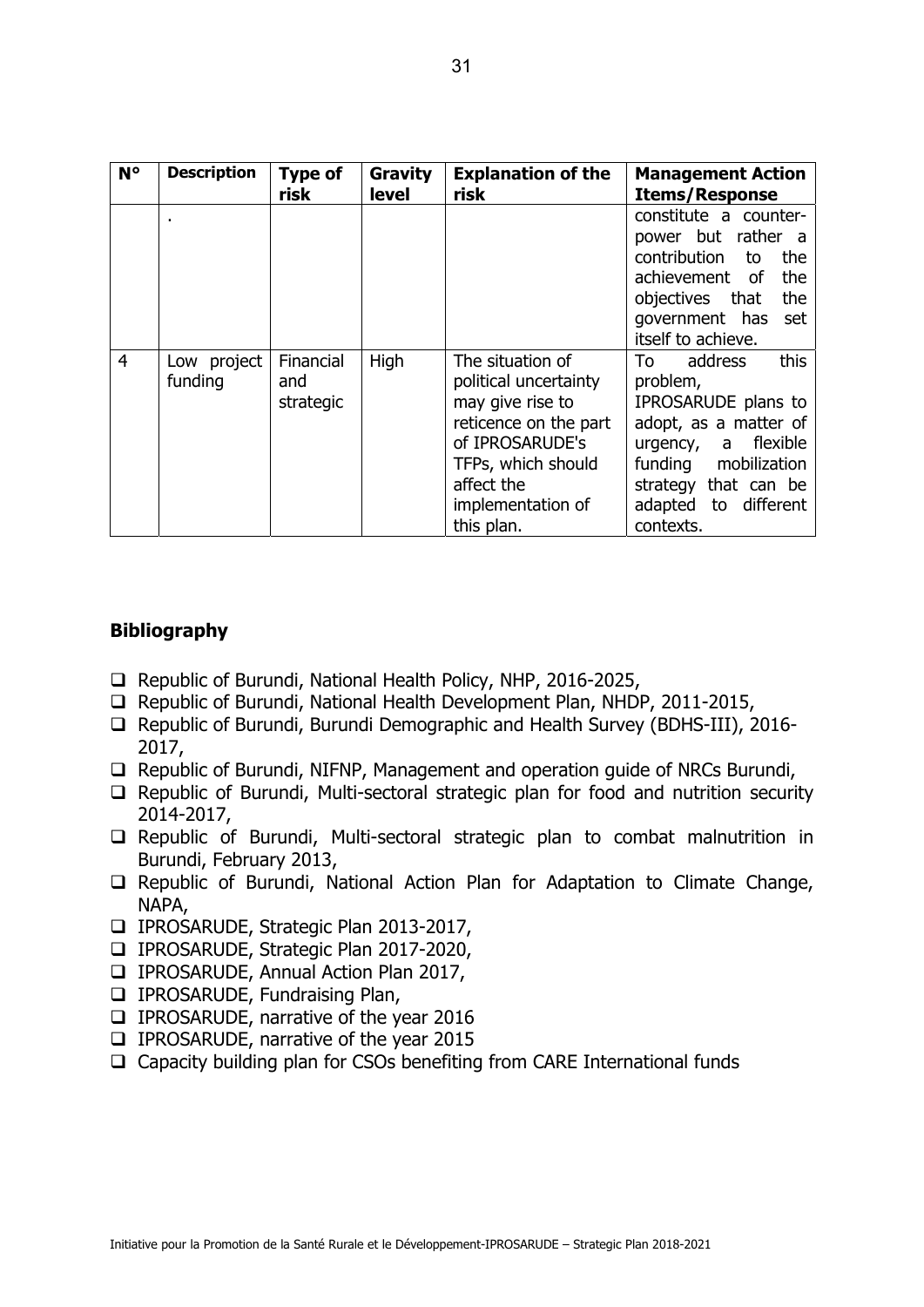| $N^{\circ}$    | <b>Description</b>     | <b>Type of</b>                | Gravity | <b>Explanation of the</b>                                                                                                                                                        | <b>Management Action</b>                                                                                                                                                                         |
|----------------|------------------------|-------------------------------|---------|----------------------------------------------------------------------------------------------------------------------------------------------------------------------------------|--------------------------------------------------------------------------------------------------------------------------------------------------------------------------------------------------|
|                |                        | risk                          | level   | risk                                                                                                                                                                             | <b>Items/Response</b>                                                                                                                                                                            |
|                |                        |                               |         |                                                                                                                                                                                  | constitute a counter-<br>power but rather a<br>contribution<br>the<br>to<br>the<br>achievement of<br>objectives that<br>the<br>government has<br>set<br>itself to achieve.                       |
| $\overline{4}$ | Low project<br>funding | Financial<br>and<br>strategic | High    | The situation of<br>political uncertainty<br>may give rise to<br>reticence on the part<br>of IPROSARUDE's<br>TFPs, which should<br>affect the<br>implementation of<br>this plan. | To<br>address<br>this<br>problem,<br>IPROSARUDE plans to<br>adopt, as a matter of<br>urgency, a flexible<br>funding<br>mobilization<br>strategy that can be<br>adapted to different<br>contexts. |

#### **Bibliography**

- □ Republic of Burundi, National Health Policy, NHP, 2016-2025,
- □ Republic of Burundi, National Health Development Plan, NHDP, 2011-2015,
- □ Republic of Burundi, Burundi Demographic and Health Survey (BDHS-III), 2016-2017,
- $\Box$  Republic of Burundi, NIFNP, Management and operation guide of NRCs Burundi,
- $\Box$  Republic of Burundi, Multi-sectoral strategic plan for food and nutrition security 2014-2017,
- $\Box$  Republic of Burundi, Multi-sectoral strategic plan to combat malnutrition in Burundi, February 2013,
- Republic of Burundi, National Action Plan for Adaptation to Climate Change, NAPA,
- IPROSARUDE, Strategic Plan 2013-2017,
- IPROSARUDE, Strategic Plan 2017-2020,
- IPROSARUDE, Annual Action Plan 2017,
- **IPROSARUDE, Fundraising Plan,**
- IPROSARUDE, narrative of the year 2016
- IPROSARUDE, narrative of the year 2015
- $\Box$  Capacity building plan for CSOs benefiting from CARE International funds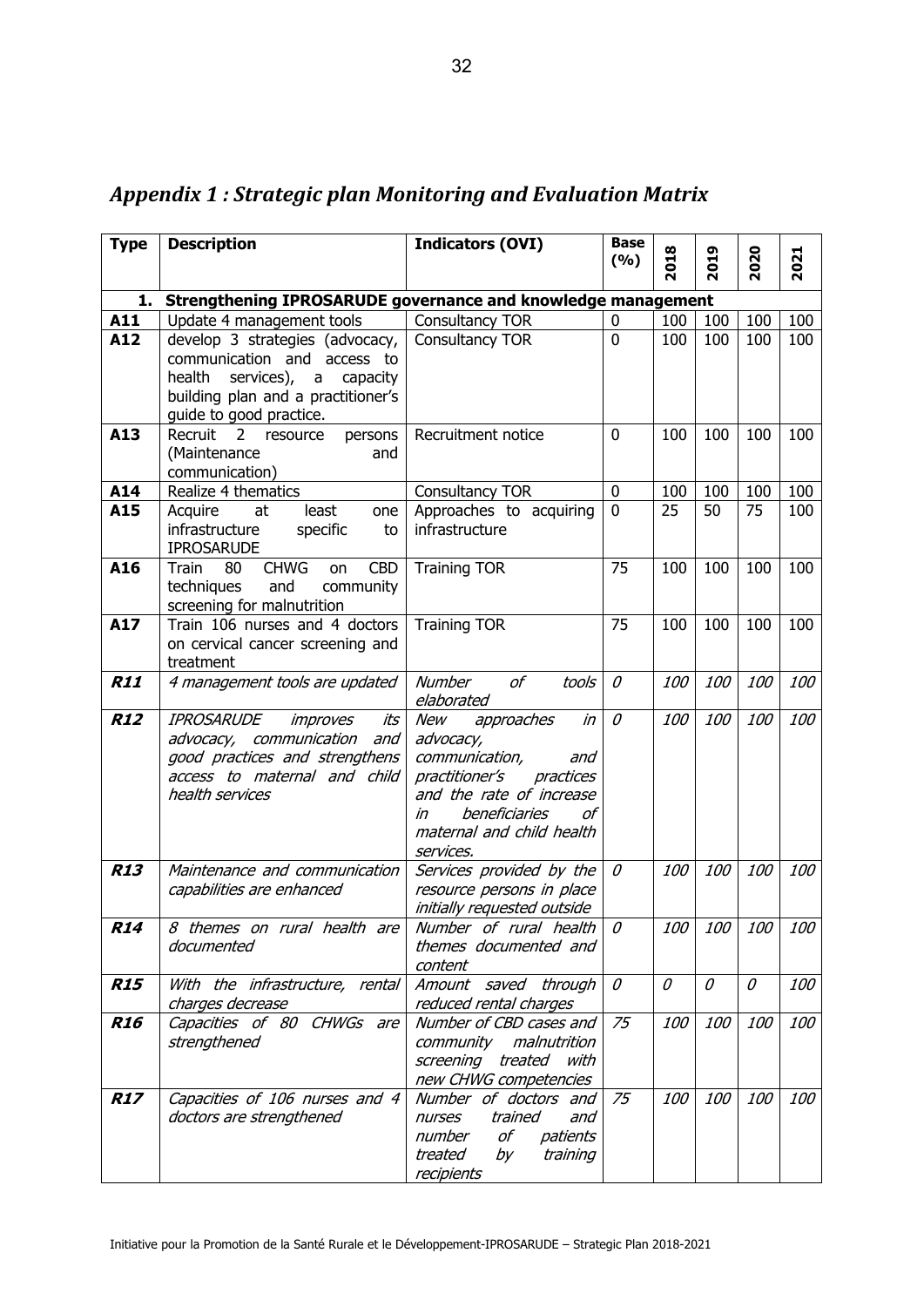| <b>Type</b> | <b>Description</b>                                                          | <b>Indicators (OVI)</b>                                       | <b>Base</b><br>(%) | 2018       | 2019       | 2020       | 2021       |
|-------------|-----------------------------------------------------------------------------|---------------------------------------------------------------|--------------------|------------|------------|------------|------------|
|             |                                                                             |                                                               |                    |            |            |            |            |
| 1.          | Strengthening IPROSARUDE governance and knowledge management                |                                                               |                    |            |            |            |            |
| A11         | Update 4 management tools                                                   | Consultancy TOR                                               | 0                  | 100        | 100        | 100        | 100        |
| A12         | develop 3 strategies (advocacy,                                             | Consultancy TOR                                               | 0                  | 100        | 100        | 100        | 100        |
|             | communication and access to                                                 |                                                               |                    |            |            |            |            |
|             | health<br>services),<br>capacity<br>a<br>building plan and a practitioner's |                                                               |                    |            |            |            |            |
|             | guide to good practice.                                                     |                                                               |                    |            |            |            |            |
| A13         | Recruit<br>2<br>persons<br>resource                                         | Recruitment notice                                            | 0                  | 100        | 100        | 100        | 100        |
|             | (Maintenance<br>and                                                         |                                                               |                    |            |            |            |            |
|             | communication)                                                              |                                                               |                    |            |            |            |            |
| A14         | Realize 4 thematics                                                         | Consultancy TOR                                               | 0                  | 100        | 100        | 100        | 100        |
| A15         | least<br>Acquire<br>at<br>one                                               | Approaches to acquiring                                       | $\mathbf{0}$       | 25         | 50         | 75         | 100        |
|             | infrastructure<br>specific<br>to                                            | infrastructure                                                |                    |            |            |            |            |
|             | <b>IPROSARUDE</b>                                                           |                                                               |                    |            |            |            |            |
| A16         | <b>CHWG</b><br><b>CBD</b><br>Train<br>80<br>on                              | <b>Training TOR</b>                                           | 75                 | 100        | 100        | 100        | 100        |
|             | and<br>techniques<br>community                                              |                                                               |                    |            |            |            |            |
| A17         | screening for malnutrition<br>Train 106 nurses and 4 doctors                |                                                               | 75                 | 100        | 100        | 100        | 100        |
|             | on cervical cancer screening and                                            | <b>Training TOR</b>                                           |                    |            |            |            |            |
|             | treatment                                                                   |                                                               |                    |            |            |            |            |
| <b>R11</b>  | 4 management tools are updated                                              | <b>Number</b><br>of<br>tools                                  | $\mathcal O$       | <i>100</i> | 100        | 100        | 100        |
|             |                                                                             | elaborated                                                    |                    |            |            |            |            |
| <b>R12</b>  | <b>IPROSARUDE</b><br>improves<br>its                                        | in<br>New<br>approaches                                       | $\mathcal O$       | 100        | 100        | 100        | <i>100</i> |
|             | advocacy, communication<br>and                                              | advocacy,                                                     |                    |            |            |            |            |
|             | good practices and strengthens                                              | communication,<br>and                                         |                    |            |            |            |            |
|             | access to maternal and child                                                | practitioner's<br>practices                                   |                    |            |            |            |            |
|             | health services                                                             | and the rate of increase<br>beneficiaries<br>$\sigma$ f<br>in |                    |            |            |            |            |
|             |                                                                             | maternal and child health                                     |                    |            |            |            |            |
|             |                                                                             | services.                                                     |                    |            |            |            |            |
| <b>R13</b>  | Maintenance and communication                                               | Services provided by the                                      | 0                  | <i>100</i> | 100        | 100        | <i>100</i> |
|             | capabilities are enhanced                                                   | resource persons in place                                     |                    |            |            |            |            |
|             |                                                                             | initially requested outside                                   |                    |            |            |            |            |
| <b>R14</b>  | 8 themes on rural health are                                                | Number of rural health                                        | 0                  | 100        | 100        | 100        | <i>100</i> |
|             | documented                                                                  | themes documented and                                         |                    |            |            |            |            |
|             |                                                                             | content                                                       |                    |            |            |            |            |
| <b>R15</b>  | With the infrastructure, rental                                             | Amount saved through                                          | 0                  | 0          | 0          | 0          | <i>100</i> |
|             | charges decrease                                                            | reduced rental charges                                        |                    |            |            |            | 100        |
| <b>R16</b>  | Capacities of 80 CHWGs are<br>strengthened                                  | Number of CBD cases and<br>community malnutrition             | 75                 | 100        | <i>100</i> | <i>100</i> |            |
|             |                                                                             | screening treated with                                        |                    |            |            |            |            |
|             |                                                                             | new CHWG competencies                                         |                    |            |            |            |            |
| <b>R17</b>  | Capacities of 106 nurses and 4                                              | Number of doctors and                                         | 75                 | 100        | 100        | 100        | <i>100</i> |
|             | doctors are strengthened                                                    | trained<br>nurses<br>and                                      |                    |            |            |            |            |
|             |                                                                             | оf<br>number<br>patients                                      |                    |            |            |            |            |
|             |                                                                             | treated<br>by<br>training                                     |                    |            |            |            |            |
|             |                                                                             | recipients                                                    |                    |            |            |            |            |

*Appendix 1 : Strategic plan Monitoring and Evaluation Matrix*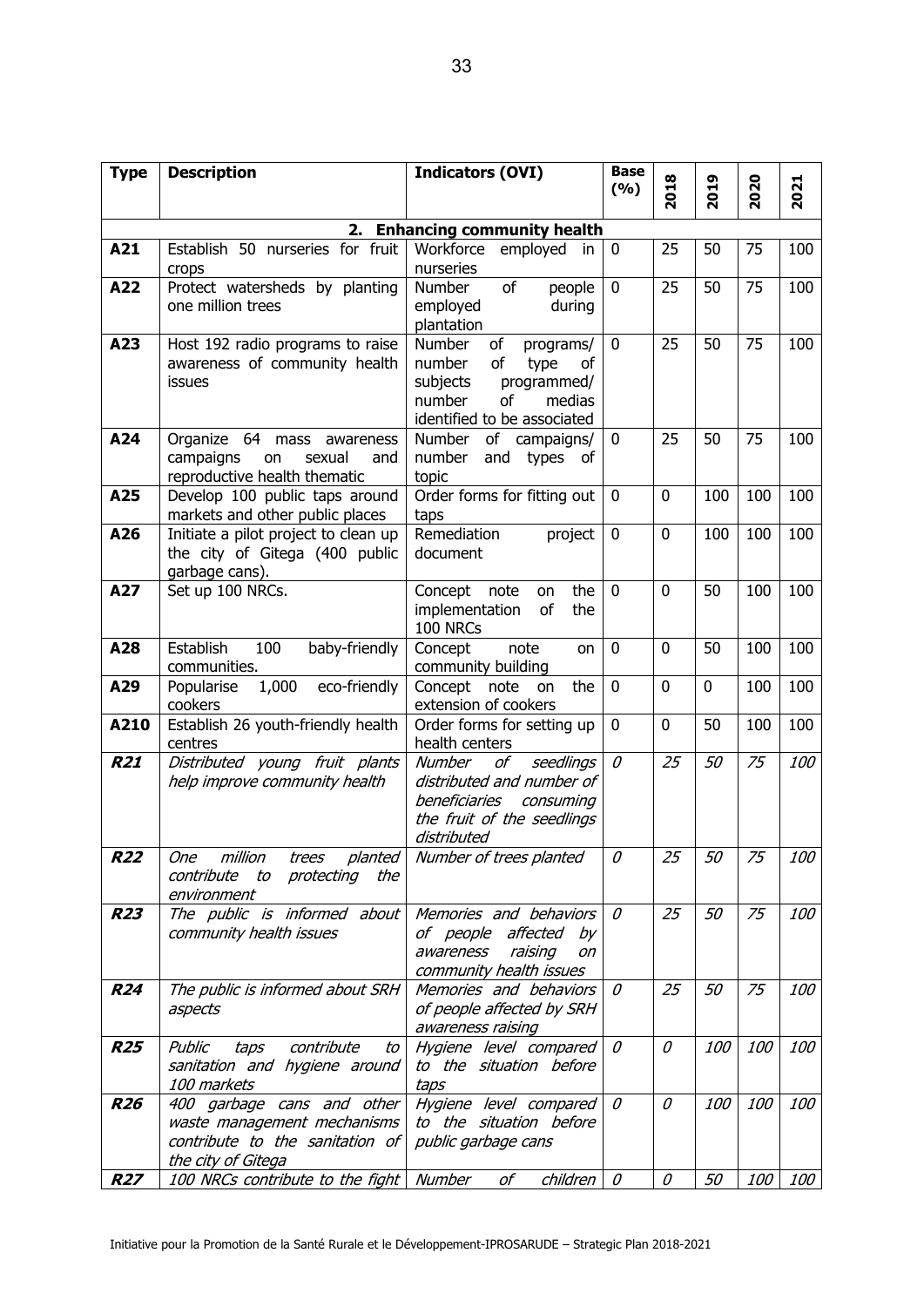| <b>Type</b> | <b>Description</b>                                                                                                 | <b>Indicators (OVI)</b>                                                                                                                     | <b>Base</b><br>(9/6) | 2018            | 2019       | 2020       | 2021       |
|-------------|--------------------------------------------------------------------------------------------------------------------|---------------------------------------------------------------------------------------------------------------------------------------------|----------------------|-----------------|------------|------------|------------|
|             |                                                                                                                    |                                                                                                                                             |                      |                 |            |            |            |
|             | 2.<br><b>Enhancing community health</b>                                                                            |                                                                                                                                             |                      |                 |            |            |            |
| A21         | Establish 50 nurseries for fruit<br>crops                                                                          | Workforce<br>employed<br>in<br>nurseries                                                                                                    | $\mathbf 0$          | 25              | 50         | 75         | 100        |
| A22         | Protect watersheds by planting<br>one million trees                                                                | of<br><b>Number</b><br>people<br>employed<br>during<br>plantation                                                                           | 0                    | 25              | 50         | 75         | 100        |
| A23         | Host 192 radio programs to raise<br>awareness of community health<br>issues                                        | Number<br>οf<br>programs/<br>number<br>of<br>type<br>οf<br>subjects<br>programmed/<br>number<br>of<br>medias<br>identified to be associated | $\mathbf 0$          | 25              | 50         | 75         | 100        |
| A24         | Organize 64 mass awareness<br>campaigns<br>on<br>sexual<br>and<br>reproductive health thematic                     | Number<br>of<br>campaigns/<br>number<br>and<br>types<br>of<br>topic                                                                         | $\mathbf 0$          | 25              | 50         | 75         | 100        |
| A25         | Develop 100 public taps around<br>markets and other public places                                                  | Order forms for fitting out<br>taps                                                                                                         | $\mathbf 0$          | 0               | 100        | 100        | 100        |
| A26         | Initiate a pilot project to clean up<br>the city of Gitega (400 public<br>garbage cans).                           | Remediation<br>project<br>document                                                                                                          | 0                    | 0               | 100        | 100        | 100        |
| A27         | Set up 100 NRCs.                                                                                                   | the<br>Concept note<br>on<br>implementation<br>of<br>the<br>100 NRCs                                                                        | $\Omega$             | 0               | 50         | 100        | 100        |
| A28         | Establish<br>100<br>baby-friendly<br>communities.                                                                  | note<br>Concept<br>on<br>community building                                                                                                 | $\mathbf 0$          | 0               | 50         | 100        | 100        |
| A29         | eco-friendly<br>1,000<br>Popularise<br>cookers                                                                     | the<br>Concept<br>note<br>on<br>extension of cookers                                                                                        | 0                    | 0               | 0          | 100        | 100        |
| A210        | Establish 26 youth-friendly health<br>centres                                                                      | Order forms for setting up<br>health centers                                                                                                | $\mathbf{0}$         | $\mathbf{0}$    | 50         | 100        | 100        |
| <b>R21</b>  | Distributed young fruit plants<br>help improve community health                                                    | Number<br>οf<br>seedlings<br>distributed and number of<br>beneficiaries<br>consuming<br>the fruit of the seedlings<br>distributed           | $\mathcal O$         | 25              | 50         | 75         | 100        |
| <i>R22</i>  | million<br><b>One</b><br>trees planted<br>protecting<br>contribute<br>to<br>the<br>environment                     | Number of trees planted                                                                                                                     | $\mathcal O$         | $\overline{25}$ | 50         | 75         | <i>100</i> |
| <b>R23</b>  | The public is informed about<br>community health issues                                                            | Memories and behaviors<br>of people affected<br>by<br>raising<br>awareness<br>on<br>community health issues                                 | 0                    | 25              | 50         | 75         | <i>100</i> |
| <b>R24</b>  | The public is informed about SRH<br>aspects                                                                        | Memories and behaviors<br>of people affected by SRH<br>awareness raising                                                                    | 0                    | 25              | 50         | 75         | <i>100</i> |
| <b>R25</b>  | Public<br>contribute<br>taps<br>to<br>sanitation and hygiene around<br>100 markets                                 | Hygiene level compared<br>to the situation before<br>taps                                                                                   | 0                    | 0               | <i>100</i> | 100        | <i>100</i> |
| <b>R26</b>  | 400 garbage cans and other<br>waste management mechanisms<br>contribute to the sanitation of<br>the city of Gitega | Hygiene level compared<br>to the situation before<br>public garbage cans                                                                    | $\mathcal O$         | 0               | <i>100</i> | 100        | <i>100</i> |
| <b>R27</b>  | 100 NRCs contribute to the fight   Number                                                                          | оf<br>children                                                                                                                              | $\mathcal O$         | 0               | 50         | <i>100</i> | <i>100</i> |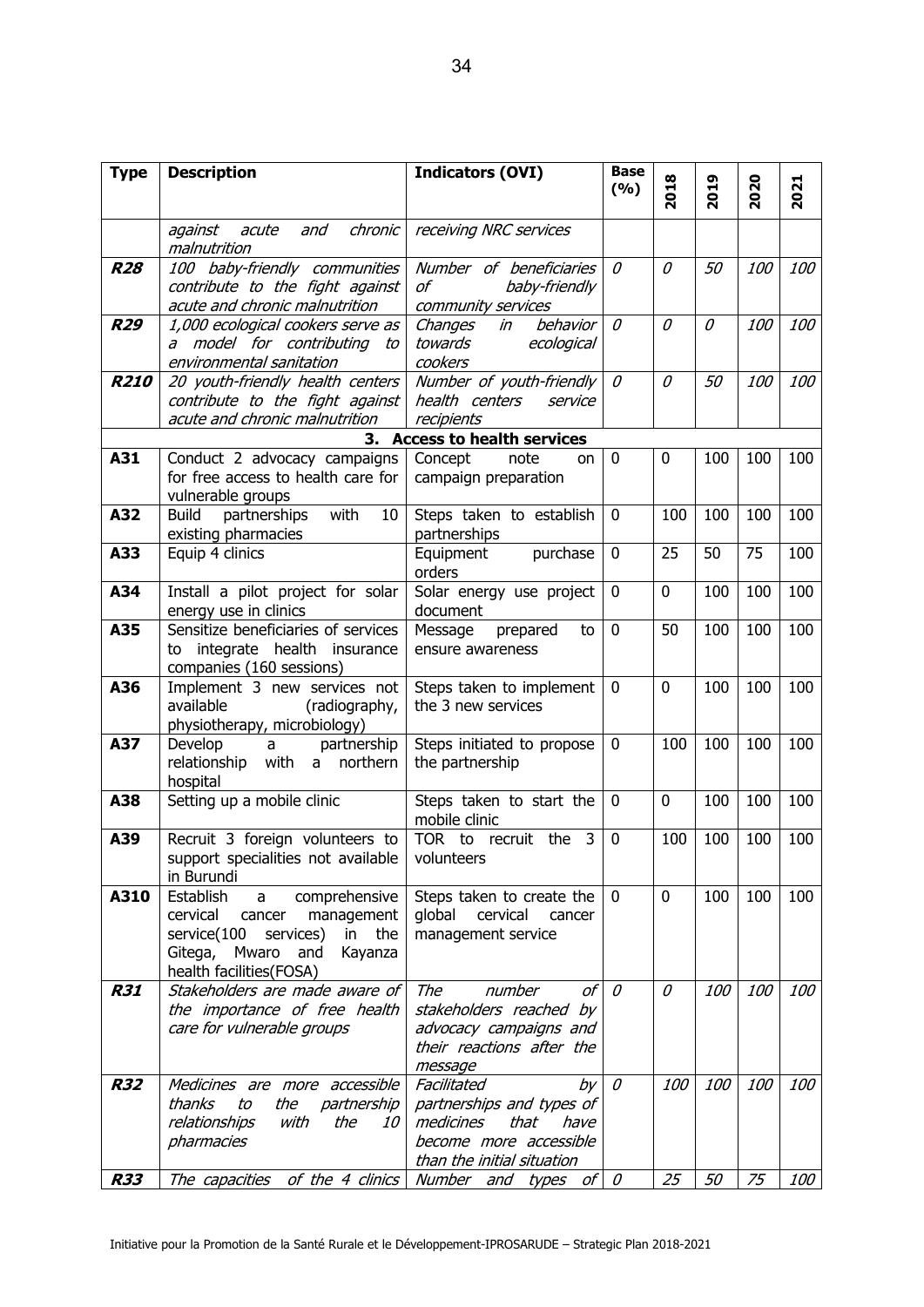| <b>Type</b> | <b>Description</b>                                           | <b>Indicators (OVI)</b>                                   | <b>Base</b>  |             |      |            |            |
|-------------|--------------------------------------------------------------|-----------------------------------------------------------|--------------|-------------|------|------------|------------|
|             |                                                              |                                                           | (%)          | 2018        | 2019 | 2020       | 2021       |
|             | chronic<br>against<br>acute<br>and                           | receiving NRC services                                    |              |             |      |            |            |
|             | malnutrition                                                 |                                                           |              |             |      |            |            |
| <b>R28</b>  | 100 baby-friendly communities                                | Number of beneficiaries                                   | 0            | 0           | 50   | <i>100</i> | 100        |
|             | contribute to the fight against                              | baby-friendly<br>of                                       |              |             |      |            |            |
|             | acute and chronic malnutrition                               | community services                                        |              |             |      |            |            |
| <b>R29</b>  | 1,000 ecological cookers serve as                            | behavior<br>Changes<br>in                                 | 0            | 0           | 0    | 100        | 100        |
|             | a model for contributing to<br>environmental sanitation      | towards<br>ecological<br>cookers                          |              |             |      |            |            |
| <b>R210</b> | 20 youth-friendly health centers                             | Number of youth-friendly                                  | 0            | 0           | 50   | <i>100</i> | <i>100</i> |
|             | contribute to the fight against                              | health centers<br>service                                 |              |             |      |            |            |
|             | acute and chronic malnutrition                               | recipients                                                |              |             |      |            |            |
|             | 3.                                                           | <b>Access to health services</b>                          |              |             |      |            |            |
| A31         | Conduct 2 advocacy campaigns                                 | Concept<br>note<br>on                                     | $\mathbf 0$  | 0           | 100  | 100        | 100        |
|             | for free access to health care for                           | campaign preparation                                      |              |             |      |            |            |
|             | vulnerable groups                                            |                                                           |              |             |      |            |            |
| A32         | with<br><b>Build</b><br>partnerships<br>10                   | Steps taken to establish                                  | $\mathbf 0$  | 100         | 100  | 100        | 100        |
| A33         | existing pharmacies<br>Equip 4 clinics                       | partnerships<br>Equipment<br>purchase                     | $\mathbf 0$  | 25          | 50   | 75         | 100        |
|             |                                                              | orders                                                    |              |             |      |            |            |
| A34         | Install a pilot project for solar                            | Solar energy use project                                  | 0            | $\mathbf 0$ | 100  | 100        | 100        |
|             | energy use in clinics                                        | document                                                  |              |             |      |            |            |
| A35         | Sensitize beneficiaries of services                          | Message<br>prepared<br>to                                 | $\mathbf 0$  | 50          | 100  | 100        | 100        |
|             | integrate health insurance<br>to                             | ensure awareness                                          |              |             |      |            |            |
|             | companies (160 sessions)                                     |                                                           |              |             |      |            |            |
| A36         | Implement 3 new services not                                 | Steps taken to implement                                  | $\mathbf 0$  | $\mathbf 0$ | 100  | 100        | 100        |
|             | available<br>(radiography,                                   | the 3 new services                                        |              |             |      |            |            |
| A37         | physiotherapy, microbiology)<br>partnership<br>Develop<br>a  | Steps initiated to propose                                | $\mathbf 0$  | 100         | 100  | 100        | 100        |
|             | relationship with a<br>northern                              | the partnership                                           |              |             |      |            |            |
|             | hospital                                                     |                                                           |              |             |      |            |            |
| A38         | Setting up a mobile clinic                                   | Steps taken to start the                                  | $\mathbf 0$  | 0           | 100  | 100        | 100        |
|             |                                                              | mobile clinic                                             |              |             |      |            |            |
| A39         | Recruit 3 foreign volunteers to                              | TOR to recruit the 3                                      | $\mathbf 0$  | 100         | 100  | 100        | 100        |
|             | support specialities not available                           | volunteers                                                |              |             |      |            |            |
| A310        | in Burundi<br>Establish                                      |                                                           | $\mathbf 0$  | $\mathbf 0$ | 100  | 100        | 100        |
|             | comprehensive<br>a<br>cervical<br>management<br>cancer       | Steps taken to create the<br>cervical<br>global<br>cancer |              |             |      |            |            |
|             | service(100<br>services)<br>in the                           | management service                                        |              |             |      |            |            |
|             | Gitega, Mwaro and<br>Kayanza                                 |                                                           |              |             |      |            |            |
|             | health facilities(FOSA)                                      |                                                           |              |             |      |            |            |
| <b>R31</b>  | Stakeholders are made aware of                               | оf<br>The<br>number                                       | $\theta$     | 0           | 100  | 100        | 100        |
|             | the importance of free health                                | stakeholders reached by                                   |              |             |      |            |            |
|             | care for vulnerable groups                                   | advocacy campaigns and                                    |              |             |      |            |            |
|             |                                                              | their reactions after the                                 |              |             |      |            |            |
| <b>R32</b>  | Medicines are more accessible                                | message<br>Facilitated<br>by                              | $\mathcal O$ | 100         | 100  | <i>100</i> | 100        |
|             | the<br>thanks<br>to<br>partnership                           | partnerships and types of                                 |              |             |      |            |            |
|             | relationships<br>with<br>the<br>10                           | that<br>medicines<br>have                                 |              |             |      |            |            |
|             | pharmacies                                                   | become more accessible                                    |              |             |      |            |            |
|             |                                                              | than the initial situation                                |              |             |      |            |            |
| <b>R33</b>  | The capacities of the 4 clinics Number and types of $\theta$ |                                                           |              | 25          | 50   | 75         | <i>100</i> |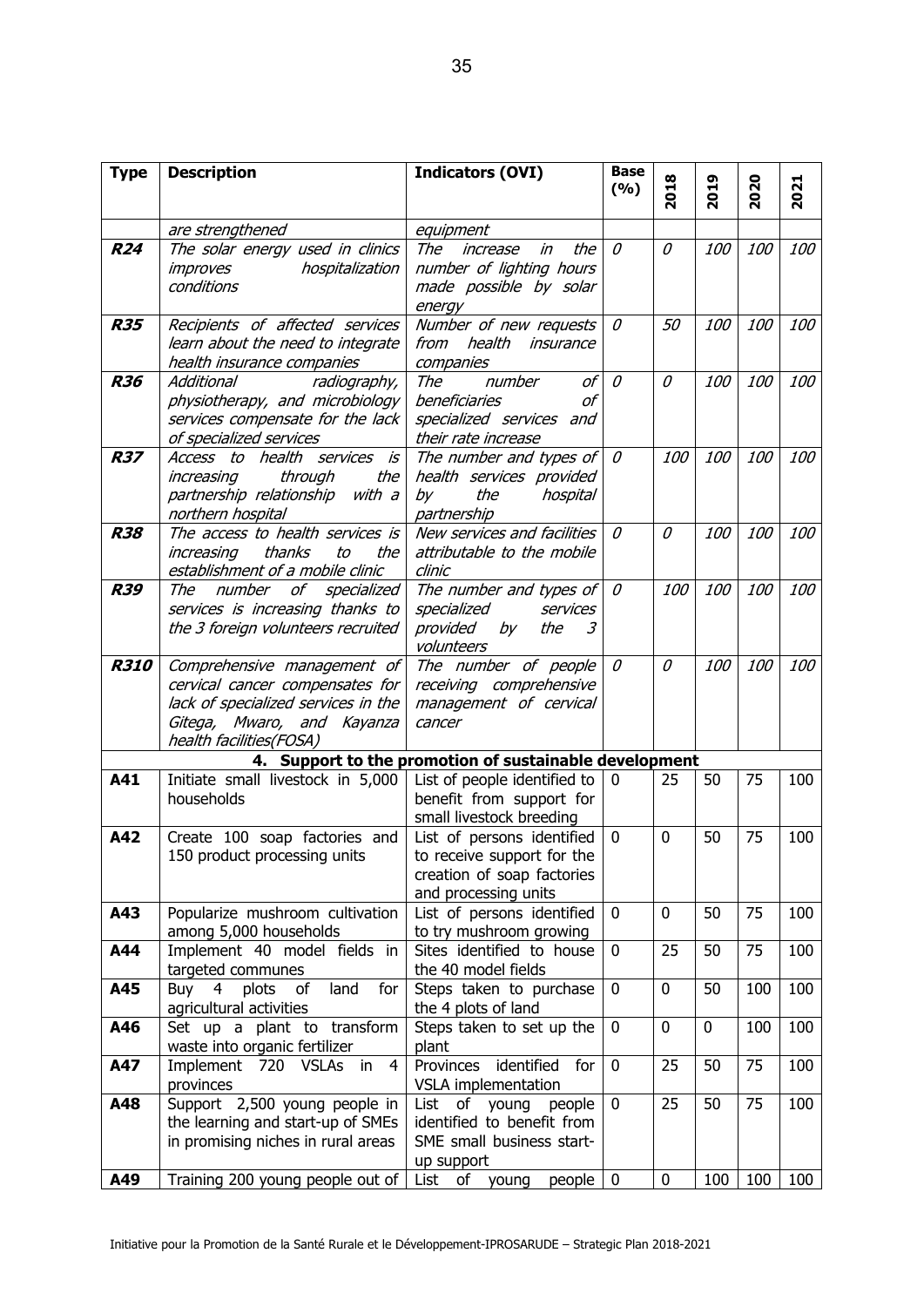| <b>Type</b> | <b>Description</b>                                                                                                                                             | <b>Indicators (OVI)</b>                                                                                                  | <b>Base</b>  |             |            |            |            |
|-------------|----------------------------------------------------------------------------------------------------------------------------------------------------------------|--------------------------------------------------------------------------------------------------------------------------|--------------|-------------|------------|------------|------------|
|             |                                                                                                                                                                |                                                                                                                          | (%)          | 2018        | 2019       | 2020       | 2021       |
|             | are strengthened                                                                                                                                               | equipment                                                                                                                |              |             |            |            |            |
| <b>R24</b>  | The solar energy used in clinics<br>hospitalization<br>improves<br>conditions                                                                                  | the<br>The<br>increase<br>in<br>number of lighting hours<br>made possible by solar<br>energy                             | $\mathcal O$ | 0           | 100        | 100        | 100        |
| <b>R35</b>  | Recipients of affected services<br>learn about the need to integrate<br>health insurance companies                                                             | Number of new requests<br>from<br>health<br>insurance<br>companies                                                       | 0            | 50          | 100        | 100        | 100        |
| <b>R36</b>  | Additional<br>radiography,<br>physiotherapy, and microbiology<br>services compensate for the lack<br>of specialized services                                   | number<br>The<br>оf<br>beneficiaries<br>оf<br>specialized services and<br>their rate increase                            | 0            | 0           | <i>100</i> | <i>100</i> | <i>100</i> |
| <b>R37</b>  | Access to health services is<br>through<br>the<br>increasing<br>partnership relationship<br>with a<br>northern hospital                                        | The number and types of<br>health services provided<br>by<br>the<br>hospital<br>partnership                              | 0            | 100         | 100        | 100        | 100        |
| <b>R38</b>  | The access to health services is<br>thanks<br>increasing<br>the<br>to<br>establishment of a mobile clinic                                                      | New services and facilities<br>attributable to the mobile<br>clinic                                                      | $\theta$     | 0           | 100        | 100        | 100        |
| <b>R39</b>  | The<br>of<br>specialized<br>number<br>services is increasing thanks to<br>the 3 foreign volunteers recruited                                                   | The number and types of<br>services<br>specialized<br>provided<br>by<br>the<br>$\mathcal{Z}_{\mathcal{Z}}$<br>volunteers | $\theta$     | 100         | 100        | 100        | 100        |
| <b>R310</b> | Comprehensive management of<br>cervical cancer compensates for<br>lack of specialized services in the<br>Gitega, Mwaro, and Kayanza<br>health facilities(FOSA) | The number of people<br>receiving comprehensive<br>management of cervical<br>cancer                                      | 0            | 0           | 100        | 100        | 100        |
|             |                                                                                                                                                                | 4. Support to the promotion of sustainable development                                                                   |              |             |            |            |            |
| A41         | Initiate small livestock in 5,000<br>households                                                                                                                | List of people identified to<br>benefit from support for<br>small livestock breeding                                     | $\mathbf{0}$ | 25          | 50         | 75         | 100        |
| A42         | Create 100 soap factories and<br>150 product processing units                                                                                                  | List of persons identified<br>to receive support for the<br>creation of soap factories<br>and processing units           | $\mathbf 0$  | 0           | 50         | 75         | 100        |
| A43         | Popularize mushroom cultivation<br>among 5,000 households                                                                                                      | List of persons identified<br>to try mushroom growing                                                                    | $\mathbf 0$  | 0           | 50         | 75         | 100        |
| A44         | Implement 40 model fields in<br>targeted communes                                                                                                              | Sites identified to house<br>the 40 model fields                                                                         | $\mathbf 0$  | 25          | 50         | 75         | 100        |
| A45         | Buy<br>$\overline{4}$<br>plots of<br>land<br>for<br>agricultural activities                                                                                    | Steps taken to purchase<br>the 4 plots of land                                                                           | 0            | 0           | 50         | 100        | 100        |
| A46         | Set up a plant to transform<br>waste into organic fertilizer                                                                                                   | Steps taken to set up the<br>plant                                                                                       | $\mathbf 0$  | $\mathbf 0$ | 0          | 100        | 100        |
| A47         | Implement 720<br>VSLAs in<br>$\overline{4}$<br>provinces                                                                                                       | Provinces<br>identified<br>for<br>VSLA implementation                                                                    | $\mathbf 0$  | 25          | 50         | 75         | 100        |
| A48         | Support 2,500 young people in<br>the learning and start-up of SMEs<br>in promising niches in rural areas                                                       | List of young people<br>identified to benefit from<br>SME small business start-<br>up support                            | $\mathbf 0$  | 25          | 50         | 75         | 100        |
| A49         | Training 200 young people out of                                                                                                                               | List of young people $\vert 0 \vert$                                                                                     |              | $\mathbf 0$ | 100        | 100        | 100        |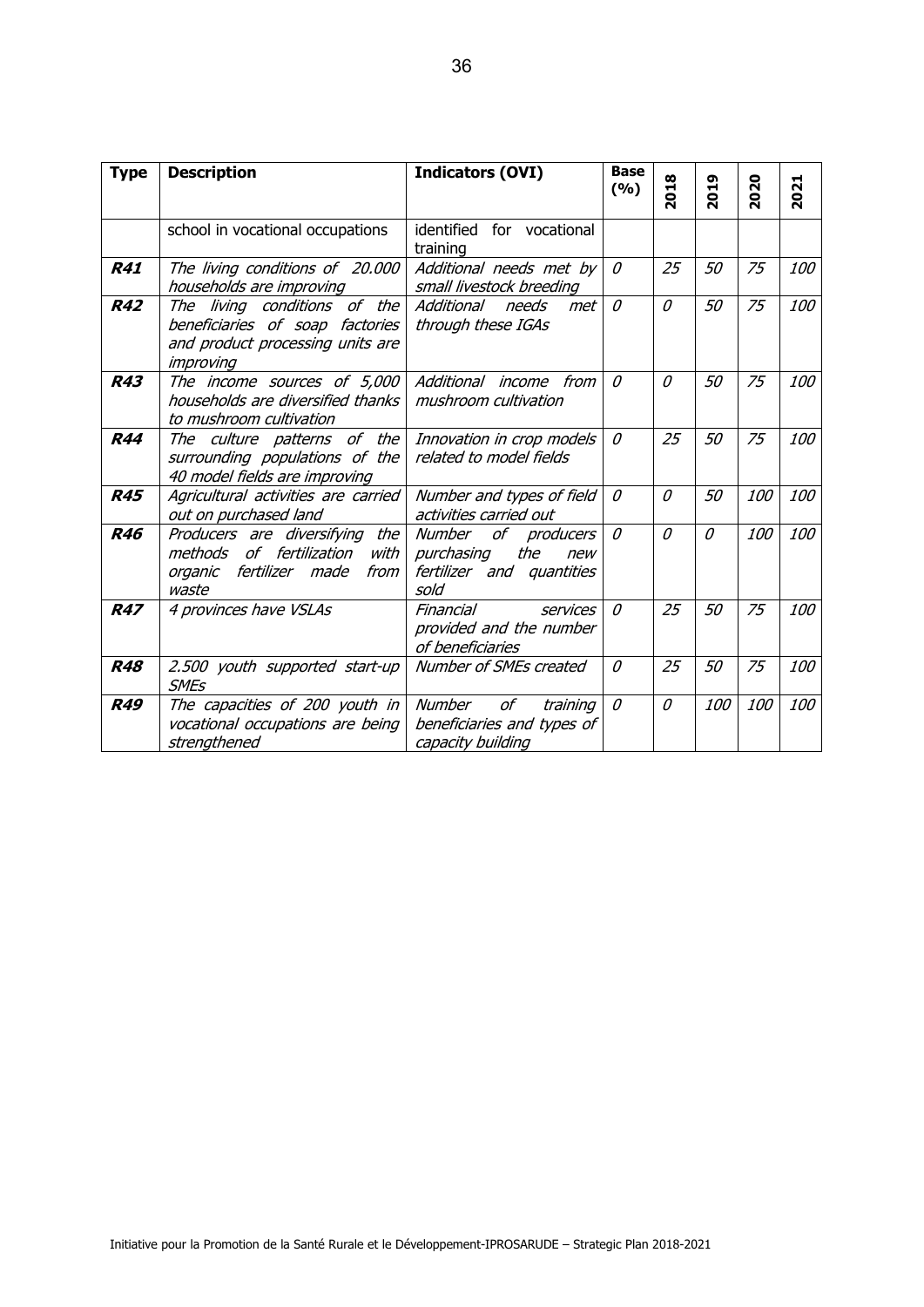| <b>Type</b> | <b>Description</b>                                                                                               | <b>Indicators (OVI)</b>                                                                           | <b>Base</b><br>(9/0) | 2018         | 2019     | 2020       | 2021       |
|-------------|------------------------------------------------------------------------------------------------------------------|---------------------------------------------------------------------------------------------------|----------------------|--------------|----------|------------|------------|
|             | school in vocational occupations                                                                                 | identified for vocational<br>training                                                             |                      |              |          |            |            |
| <b>R41</b>  | The living conditions of 20.000<br>households are improving                                                      | Additional needs met by<br>small livestock breeding                                               | $\mathcal O$         | 25           | 50       | 75         | 100        |
| <b>R42</b>  | The living conditions of the<br>beneficiaries of soap factories<br>and product processing units are<br>improving | Additional<br>needs<br>met<br>through these IGAs                                                  | $\theta$             | 0            | 50       | 75         | <i>100</i> |
| <b>R43</b>  | The income sources of 5,000<br>households are diversified thanks<br>to mushroom cultivation                      | Additional income from<br>mushroom cultivation                                                    | 0                    | 0            | 50       | 75         | 100        |
| <b>R44</b>  | The culture patterns of the<br>surrounding populations of the<br>40 model fields are improving                   | Innovation in crop models<br>related to model fields                                              | $\mathcal{O}$        | 25           | 50       | 75         | 100        |
| <b>R45</b>  | Agricultural activities are carried<br>out on purchased land                                                     | Number and types of field<br>activities carried out                                               | $\theta$             | $\theta$     | 50       | <i>100</i> | <i>100</i> |
| <b>R46</b>  | Producers are diversifying the<br>methods of fertilization<br>with<br>organic fertilizer made<br>from<br>waste   | of<br><b>Number</b><br>producers<br>purchasing<br>the<br>new<br>fertilizer and quantities<br>sold | $\theta$             | $\mathcal O$ | $\theta$ | 100        | 100        |
| <b>R47</b>  | 4 provinces have VSLAs                                                                                           | Financial<br>services<br>provided and the number<br>of beneficiaries                              | $\theta$             | 25           | 50       | 75         | 100        |
| <b>R48</b>  | 2.500 youth supported start-up<br><b>SMEs</b>                                                                    | Number of SMEs created                                                                            | $\theta$             | 25           | 50       | 75         | <i>100</i> |
| <b>R49</b>  | The capacities of 200 youth in<br>vocational occupations are being<br>strengthened                               | of<br>Number<br>training<br>beneficiaries and types of<br>capacity building                       | $\theta$             | $\theta$     | 100      | 100        | <i>100</i> |